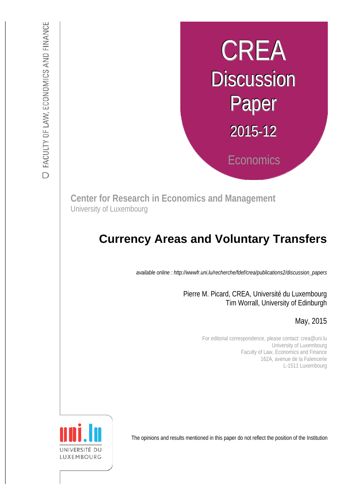# CREA **Discussion** Paper 2015-12 **Economics**

**Center for Research in Economics and Management** University of Luxembourg

## **Currency Areas and Voluntary Transfers**

*available online : http://wwwfr.uni.lu/recherche/fdef/crea/publications2/discussion\_papers* 

Pierre M. Picard, CREA, Université du Luxembourg Tim Worrall, University of Edinburgh

## May, 2015

For editorial correspondence, please contact: crea@uni.lu University of Luxembourg Faculty of Law, Economics and Finance 162A, avenue de la Faïencerie L-1511 Luxembourg

The opinions and results mentioned in this paper do not reflect the position of the Institution

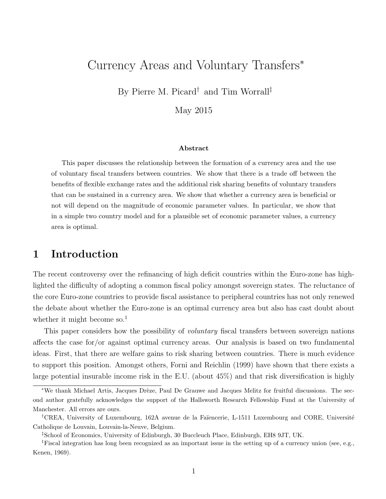## Currency Areas and Voluntary Transfers<sup>∗</sup>

By Pierre M. Picard† and Tim Worrall‡

May 2015

#### Abstract

This paper discusses the relationship between the formation of a currency area and the use of voluntary fiscal transfers between countries. We show that there is a trade off between the benefits of flexible exchange rates and the additional risk sharing benefits of voluntary transfers that can be sustained in a currency area. We show that whether a currency area is beneficial or not will depend on the magnitude of economic parameter values. In particular, we show that in a simple two country model and for a plausible set of economic parameter values, a currency area is optimal.

## 1 Introduction

The recent controversy over the refinancing of high deficit countries within the Euro-zone has highlighted the difficulty of adopting a common fiscal policy amongst sovereign states. The reluctance of the core Euro-zone countries to provide fiscal assistance to peripheral countries has not only renewed the debate about whether the Euro-zone is an optimal currency area but also has cast doubt about whether it might become so.<sup>1</sup>

This paper considers how the possibility of *voluntary* fiscal transfers between sovereign nations affects the case for/or against optimal currency areas. Our analysis is based on two fundamental ideas. First, that there are welfare gains to risk sharing between countries. There is much evidence to support this position. Amongst others, Forni and Reichlin (1999) have shown that there exists a large potential insurable income risk in the E.U. (about 45%) and that risk diversification is highly

<sup>\*</sup>We thank Michael Artis, Jacques Drèze, Paul De Grauwe and Jacques Melitz for fruitful discussions. The second author gratefully acknowledges the support of the Hallsworth Research Fellowship Fund at the University of Manchester. All errors are ours.

<sup>&</sup>lt;sup>†</sup>CREA, University of Luxembourg, 162A avenue de la Faïencerie, L-1511 Luxembourg and CORE, Université Catholique de Louvain, Louvain-la-Neuve, Belgium.

<sup>‡</sup>School of Economics, University of Edinburgh, 30 Buccleuch Place, Edinburgh, EH8 9JT, UK.

<sup>1</sup>Fiscal integration has long been recognized as an important issue in the setting up of a currency union (see, e.g., Kenen, 1969).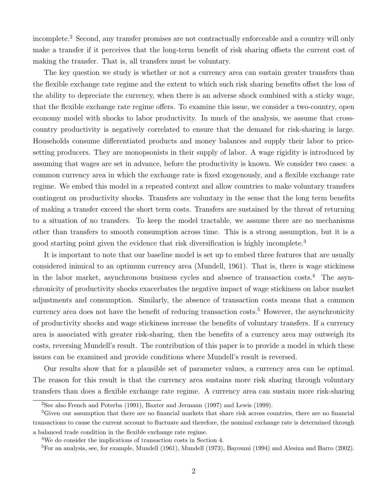incomplete.<sup>2</sup> Second, any transfer promises are not contractually enforceable and a country will only make a transfer if it perceives that the long-term benefit of risk sharing offsets the current cost of making the transfer. That is, all transfers must be voluntary.

The key question we study is whether or not a currency area can sustain greater transfers than the flexible exchange rate regime and the extent to which such risk sharing benefits offset the loss of the ability to depreciate the currency, when there is an adverse shock combined with a sticky wage, that the flexible exchange rate regime offers. To examine this issue, we consider a two-country, open economy model with shocks to labor productivity. In much of the analysis, we assume that crosscountry productivity is negatively correlated to ensure that the demand for risk-sharing is large. Households consume differentiated products and money balances and supply their labor to pricesetting producers. They are monopsonists in their supply of labor. A wage rigidity is introduced by assuming that wages are set in advance, before the productivity is known. We consider two cases: a common currency area in which the exchange rate is fixed exogenously, and a flexible exchange rate regime. We embed this model in a repeated context and allow countries to make voluntary transfers contingent on productivity shocks. Transfers are voluntary in the sense that the long term benefits of making a transfer exceed the short term costs. Transfers are sustained by the threat of returning to a situation of no transfers. To keep the model tractable, we assume there are no mechanisms other than transfers to smooth consumption across time. This is a strong assumption, but it is a good starting point given the evidence that risk diversification is highly incomplete.<sup>3</sup>

It is important to note that our baseline model is set up to embed three features that are usually considered inimical to an optimum currency area (Mundell, 1961). That is, there is wage stickiness in the labor market, asynchronous business cycles and absence of transaction costs.<sup>4</sup> The asynchronicity of productivity shocks exacerbates the negative impact of wage stickiness on labor market adjustments and consumption. Similarly, the absence of transaction costs means that a common currency area does not have the benefit of reducing transaction costs.<sup>5</sup> However, the asynchronicity of productivity shocks and wage stickiness increase the benefits of voluntary transfers. If a currency area is associated with greater risk-sharing, then the benefits of a currency area may outweigh its costs, reversing Mundell's result. The contribution of this paper is to provide a model in which these issues can be examined and provide conditions where Mundell's result is reversed.

Our results show that for a plausible set of parameter values, a currency area can be optimal. The reason for this result is that the currency area sustains more risk sharing through voluntary transfers than does a flexible exchange rate regime. A currency area can sustain more risk-sharing

<sup>2</sup>See also French and Poterba (1991), Baxter and Jermann (1997) and Lewis (1999).

<sup>3</sup>Given our assumption that there are no financial markets that share risk across countries, there are no financial transactions to cause the current account to fluctuate and therefore, the nominal exchange rate is determined through a balanced trade condition in the flexible exchange rate regime.

<sup>4</sup>We do consider the implications of transaction costs in Section 4.

<sup>&</sup>lt;sup>5</sup>For an analysis, see, for example, Mundell (1961), Mundell (1973), Bayoumi (1994) and Alesina and Barro (2002).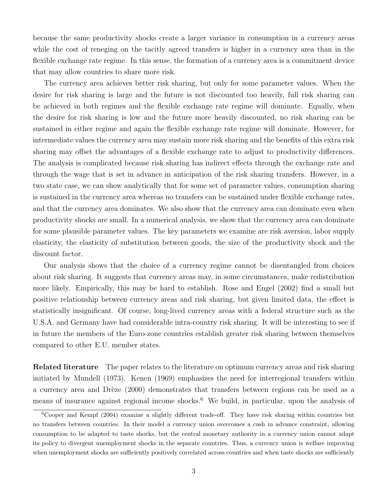because the same productivity shocks create a larger variance in consumption in a currency areas while the cost of reneging on the tacitly agreed transfers is higher in a currency area than in the flexible exchange rate regime. In this sense, the formation of a currency area is a commitment device that may allow countries to share more risk.

The currency area achieves better risk sharing, but only for some parameter values. When the desire for risk sharing is large and the future is not discounted too heavily, full risk sharing can be achieved in both regimes and the flexible exchange rate regime will dominate. Equally, when the desire for risk sharing is low and the future more heavily discounted, no risk sharing can be sustained in either regime and again the flexible exchange rate regime will dominate. However, for intermediate values the currency area may sustain more risk sharing and the benefits of this extra risk sharing may offset the advantages of a flexible exchange rate to adjust to productivity differences. The analysis is complicated because risk sharing has indirect effects through the exchange rate and through the wage that is set in advance in anticipation of the risk sharing transfers. However, in a two state case, we can show analytically that for some set of parameter values, consumption sharing is sustained in the currency area whereas no transfers can be sustained under flexible exchange rates, and that the currency area dominates. We also show that the currency area can dominate even when productivity shocks are small. In a numerical analysis, we show that the currency area can dominate for some plausible parameter values. The key parameters we examine are risk aversion, labor supply elasticity, the elasticity of substitution between goods, the size of the productivity shock and the discount factor.

Our analysis shows that the choice of a currency regime cannot be disentangled from choices about risk sharing. It suggests that currency areas may, in some circumstances, make redistribution more likely. Empirically, this may be hard to establish. Rose and Engel (2002) find a small but positive relationship between currency areas and risk sharing, but given limited data, the effect is statistically insignificant. Of course, long-lived currency areas with a federal structure such as the U.S.A. and Germany have had considerable intra-country risk sharing. It will be interesting to see if in future the members of the Euro-zone countries establish greater risk sharing between themselves compared to other E.U. member states.

Related literature The paper relates to the literature on optimum currency areas and risk sharing initiated by Mundell (1973). Kenen (1969) emphasizes the need for interregional transfers within a currency area and Drèze (2000) demonstrates that transfers between regions can be used as a means of insurance against regional income shocks.<sup>6</sup> We build, in particular, upon the analysis of

 $6C_{\text{Ooper}}$  and Kempf (2004) examine a slightly different trade-off. They have risk sharing within countries but no transfers between countries. In their model a currency union overcomes a cash in advance constraint, allowing consumption to be adapted to taste shocks, but the central monetary authority in a currency union cannot adapt its policy to divergent unemployment shocks in the separate countries. Thus, a currency union is welfare improving when unemployment shocks are sufficiently positively correlated across countries and when taste shocks are sufficiently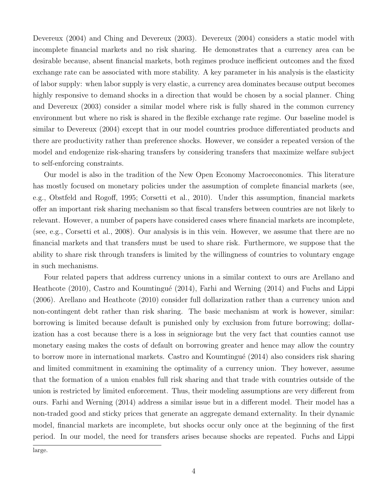Devereux (2004) and Ching and Devereux (2003). Devereux (2004) considers a static model with incomplete financial markets and no risk sharing. He demonstrates that a currency area can be desirable because, absent financial markets, both regimes produce inefficient outcomes and the fixed exchange rate can be associated with more stability. A key parameter in his analysis is the elasticity of labor supply: when labor supply is very elastic, a currency area dominates because output becomes highly responsive to demand shocks in a direction that would be chosen by a social planner. Ching and Devereux (2003) consider a similar model where risk is fully shared in the common currency environment but where no risk is shared in the flexible exchange rate regime. Our baseline model is similar to Devereux (2004) except that in our model countries produce differentiated products and there are productivity rather than preference shocks. However, we consider a repeated version of the model and endogenize risk-sharing transfers by considering transfers that maximize welfare subject to self-enforcing constraints.

Our model is also in the tradition of the New Open Economy Macroeconomics. This literature has mostly focused on monetary policies under the assumption of complete financial markets (see, e.g., Obstfeld and Rogoff, 1995; Corsetti et al., 2010). Under this assumption, financial markets offer an important risk sharing mechanism so that fiscal transfers between countries are not likely to relevant. However, a number of papers have considered cases where financial markets are incomplete, (see, e.g., Corsetti et al., 2008). Our analysis is in this vein. However, we assume that there are no financial markets and that transfers must be used to share risk. Furthermore, we suppose that the ability to share risk through transfers is limited by the willingness of countries to voluntary engage in such mechanisms.

Four related papers that address currency unions in a similar context to ours are Arellano and Heathcote (2010), Castro and Koumtingué (2014), Farhi and Werning (2014) and Fuchs and Lippi (2006). Arellano and Heathcote (2010) consider full dollarization rather than a currency union and non-contingent debt rather than risk sharing. The basic mechanism at work is however, similar: borrowing is limited because default is punished only by exclusion from future borrowing; dollarization has a cost because there is a loss in seigniorage but the very fact that counties cannot use monetary easing makes the costs of default on borrowing greater and hence may allow the country to borrow more in international markets. Castro and Koumtingué (2014) also considers risk sharing and limited commitment in examining the optimality of a currency union. They however, assume that the formation of a union enables full risk sharing and that trade with countries outside of the union is restricted by limited enforcement. Thus, their modeling assumptions are very different from ours. Farhi and Werning (2014) address a similar issue but in a different model. Their model has a non-traded good and sticky prices that generate an aggregate demand externality. In their dynamic model, financial markets are incomplete, but shocks occur only once at the beginning of the first period. In our model, the need for transfers arises because shocks are repeated. Fuchs and Lippi

large.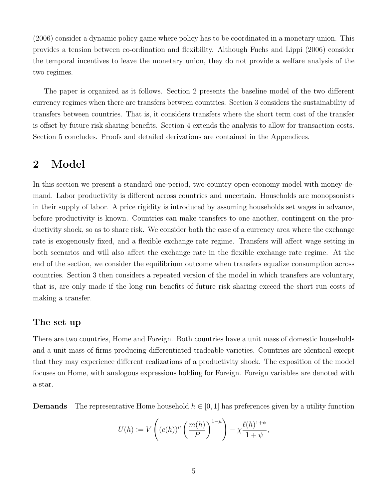(2006) consider a dynamic policy game where policy has to be coordinated in a monetary union. This provides a tension between co-ordination and flexibility. Although Fuchs and Lippi (2006) consider the temporal incentives to leave the monetary union, they do not provide a welfare analysis of the two regimes.

The paper is organized as it follows. Section 2 presents the baseline model of the two different currency regimes when there are transfers between countries. Section 3 considers the sustainability of transfers between countries. That is, it considers transfers where the short term cost of the transfer is offset by future risk sharing benefits. Section 4 extends the analysis to allow for transaction costs. Section 5 concludes. Proofs and detailed derivations are contained in the Appendices.

## 2 Model

In this section we present a standard one-period, two-country open-economy model with money demand. Labor productivity is different across countries and uncertain. Households are monopsonists in their supply of labor. A price rigidity is introduced by assuming households set wages in advance, before productivity is known. Countries can make transfers to one another, contingent on the productivity shock, so as to share risk. We consider both the case of a currency area where the exchange rate is exogenously fixed, and a flexible exchange rate regime. Transfers will affect wage setting in both scenarios and will also affect the exchange rate in the flexible exchange rate regime. At the end of the section, we consider the equilibrium outcome when transfers equalize consumption across countries. Section 3 then considers a repeated version of the model in which transfers are voluntary, that is, are only made if the long run benefits of future risk sharing exceed the short run costs of making a transfer.

#### The set up

There are two countries, Home and Foreign. Both countries have a unit mass of domestic households and a unit mass of firms producing differentiated tradeable varieties. Countries are identical except that they may experience different realizations of a productivity shock. The exposition of the model focuses on Home, with analogous expressions holding for Foreign. Foreign variables are denoted with a star.

**Demands** The representative Home household  $h \in [0, 1]$  has preferences given by a utility function

$$
U(h) := V\left((c(h))^{\mu} \left(\frac{m(h)}{P}\right)^{1-\mu}\right) - \chi \frac{\ell(h)^{1+\psi}}{1+\psi},
$$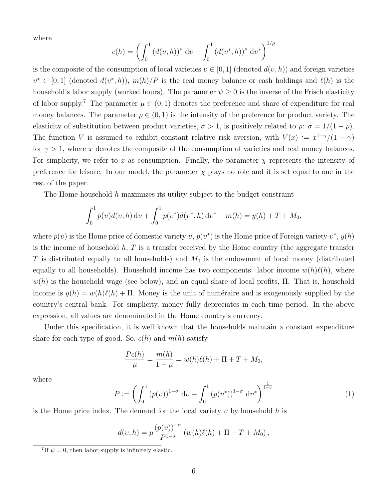where

$$
c(h) = \left(\int_0^1 (d(v, h))^{\rho} dv + \int_0^1 (d(v^*, h))^{\rho} dv^*\right)^{1/\rho}
$$

is the composite of the consumption of local varieties  $v \in [0, 1]$  (denoted  $d(v, h)$ ) and foreign varieties  $v^* \in [0,1]$  (denoted  $d(v^*, h)$ ),  $m(h)/P$  is the real money balance or cash holdings and  $\ell(h)$  is the household's labor supply (worked hours). The parameter  $\psi \geq 0$  is the inverse of the Frisch elasticity of labor supply.<sup>7</sup> The parameter  $\mu \in (0,1)$  denotes the preference and share of expenditure for real money balances. The parameter  $\rho \in (0,1)$  is the intensity of the preference for product variety. The elasticity of substitution between product varieties,  $\sigma > 1$ , is positively related to  $\rho: \sigma = 1/(1 - \rho)$ . The function V is assumed to exhibit constant relative risk aversion, with  $V(x) := x^{1-\gamma}/(1-\gamma)$ for  $\gamma > 1$ , where x denotes the composite of the consumption of varieties and real money balances. For simplicity, we refer to x as consumption. Finally, the parameter  $\chi$  represents the intensity of preference for leisure. In our model, the parameter  $\chi$  plays no role and it is set equal to one in the rest of the paper.

The Home household h maximizes its utility subject to the budget constraint

$$
\int_0^1 p(v)d(v,h) dv + \int_0^1 p(v^*)d(v^*,h) dv^* + m(h) = y(h) + T + M_0,
$$

where  $p(v)$  is the Home price of domestic variety  $v, p(v^*)$  is the Home price of Foreign variety  $v^*, y(h)$ is the income of household  $h, T$  is a transfer received by the Home country (the aggregate transfer T is distributed equally to all households) and  $M_0$  is the endowment of local money (distributed equally to all households). Household income has two components: labor income  $w(h)\ell(h)$ , where  $w(h)$  is the household wage (see below), and an equal share of local profits,  $\Pi$ . That is, household income is  $y(h) = w(h)\ell(h) + \Pi$ . Money is the unit of numéraire and is exogenously supplied by the country's central bank. For simplicity, money fully depreciates in each time period. In the above expression, all values are denominated in the Home country's currency.

Under this specification, it is well known that the households maintain a constant expenditure share for each type of good. So,  $c(h)$  and  $m(h)$  satisfy

$$
\frac{Pc(h)}{\mu} = \frac{m(h)}{1-\mu} = w(h)\ell(h) + \Pi + T + M_0,
$$

where

$$
P := \left(\int_0^1 (p(v))^{1-\sigma} dv + \int_0^1 (p(v^*))^{1-\sigma} dv^*\right)^{\frac{1}{1-\sigma}} \tag{1}
$$

is the Home price index. The demand for the local variety  $v$  by household h is

$$
d(v, h) = \mu \frac{(p(v))^{-\sigma}}{P^{1-\sigma}} (w(h)\ell(h) + \Pi + T + M_0),
$$

<sup>&</sup>lt;sup>7</sup>If  $\psi = 0$ , then labor supply is infinitely elastic.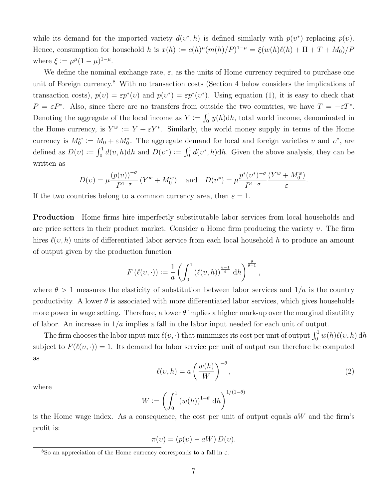while its demand for the imported variety  $d(v^*, h)$  is defined similarly with  $p(v^*)$  replacing  $p(v)$ . Hence, consumption for household h is  $x(h) := c(h)^{\mu} (m(h)/P)^{1-\mu} = \xi(w(h)\ell(h) + \Pi + T + M_0)/P$ where  $\xi := \mu^{\mu} (1 - \mu)^{1 - \mu}$ .

We define the nominal exchange rate,  $\varepsilon$ , as the units of Home currency required to purchase one unit of Foreign currency.<sup>8</sup> With no transaction costs (Section 4 below considers the implications of transaction costs),  $p(v) = \varepsilon p^*(v)$  and  $p(v^*) = \varepsilon p^*(v^*)$ . Using equation (1), it is easy to check that  $P = \varepsilon P^*$ . Also, since there are no transfers from outside the two countries, we have  $T = -\varepsilon T^*$ . Denoting the aggregate of the local income as  $Y := \int_0^1 y(h) dh$ , total world income, denominated in the Home currency, is  $Y^w := Y + \varepsilon Y^*$ . Similarly, the world money supply in terms of the Home currency is  $M_0^w := M_0 + \varepsilon M_0^*$ . The aggregate demand for local and foreign varieties v and  $v^*$ , are defined as  $D(v) := \int_0^1 d(v, h) dh$  and  $D(v^*) := \int_0^1 d(v^*, h) dh$ . Given the above analysis, they can be written as

$$
D(v) = \mu \frac{(p(v))^{-\sigma}}{P^{1-\sigma}} (Y^w + M_0^w) \text{ and } D(v^*) = \mu \frac{p^*(v^*)^{-\sigma}}{P^{1-\sigma}} \frac{(Y^w + M_0^w)}{\varepsilon}.
$$

If the two countries belong to a common currency area, then  $\varepsilon = 1$ .

Production Home firms hire imperfectly substitutable labor services from local households and are price setters in their product market. Consider a Home firm producing the variety  $v$ . The firm hires  $\ell(v, h)$  units of differentiated labor service from each local household h to produce an amount of output given by the production function

$$
F(\ell(v,\cdot)) := \frac{1}{a} \left( \int_0^1 (\ell(v,h))^{\frac{\theta-1}{\theta}} dh \right)^{\frac{\theta}{\theta-1}},
$$

where  $\theta > 1$  measures the elasticity of substitution between labor services and  $1/a$  is the country productivity. A lower  $\theta$  is associated with more differentiated labor services, which gives households more power in wage setting. Therefore, a lower  $\theta$  implies a higher mark-up over the marginal disutility of labor. An increase in  $1/a$  implies a fall in the labor input needed for each unit of output.

The firm chooses the labor input mix  $\ell(v, \cdot)$  that minimizes its cost per unit of output  $\int_0^1 w(h)\ell(v, h) dh$ subject to  $F(\ell(v, \cdot)) = 1$ . Its demand for labor service per unit of output can therefore be computed as

$$
\ell(v, h) = a \left(\frac{w(h)}{W}\right)^{-\theta},\tag{2}
$$

where

$$
W := \left(\int_0^1 \left(w(h)\right)^{1-\theta} dh\right)^{1/(1-\theta)}
$$

is the Home wage index. As a consequence, the cost per unit of output equals  $aW$  and the firm's profit is:

$$
\pi(v) = (p(v) - aW) D(v).
$$

<sup>&</sup>lt;sup>8</sup>So an appreciation of the Home currency corresponds to a fall in  $\varepsilon$ .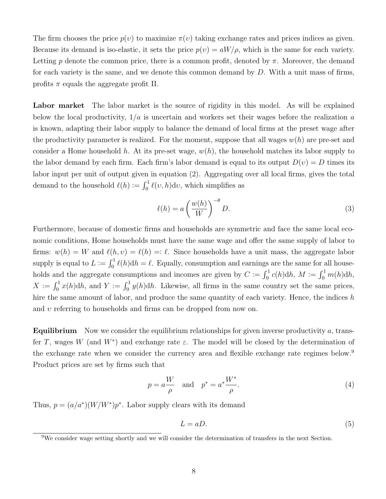The firm chooses the price  $p(v)$  to maximize  $\pi(v)$  taking exchange rates and prices indices as given. Because its demand is iso-elastic, it sets the price  $p(v) = aW/\rho$ , which is the same for each variety. Letting p denote the common price, there is a common profit, denoted by  $\pi$ . Moreover, the demand for each variety is the same, and we denote this common demand by  $D$ . With a unit mass of firms, profits  $π$  equals the aggregate profit  $\Pi$ .

Labor market The labor market is the source of rigidity in this model. As will be explained below the local productivity,  $1/a$  is uncertain and workers set their wages before the realization a is known, adapting their labor supply to balance the demand of local firms at the preset wage after the productivity parameter is realized. For the moment, suppose that all wages  $w(h)$  are pre-set and consider a Home household h. At its pre-set wage,  $w(h)$ , the household matches its labor supply to the labor demand by each firm. Each firm's labor demand is equal to its output  $D(v) = D$  times its labor input per unit of output given in equation (2). Aggregating over all local firms, gives the total demand to the household  $\ell(h) := \int_0^1 \ell(v, h) \, dv$ , which simplifies as

$$
\ell(h) = a \left(\frac{w(h)}{W}\right)^{-\theta} D. \tag{3}
$$

Furthermore, because of domestic firms and households are symmetric and face the same local economic conditions, Home households must have the same wage and offer the same supply of labor to firms:  $w(h) = W$  and  $\ell(h, v) = \ell(h) =: \ell$ . Since households have a unit mass, the aggregate labor supply is equal to  $L := \int_0^1 \ell(h) dh = \ell$ . Equally, consumption and earnings are the same for all households and the aggregate consumptions and incomes are given by  $C := \int_0^1 c(h) dh$ ,  $M := \int_0^1 m(h) dh$ ,  $X := \int_0^1 x(h) dh$ , and  $Y := \int_0^1 y(h) dh$ . Likewise, all firms in the same country set the same prices, hire the same amount of labor, and produce the same quantity of each variety. Hence, the indices  $h$ and  $\nu$  referring to households and firms can be dropped from now on.

**Equilibrium** Now we consider the equilibrium relationships for given inverse productivity a, transfer T, wages W (and  $W^*$ ) and exchange rate  $\varepsilon$ . The model will be closed by the determination of the exchange rate when we consider the currency area and flexible exchange rate regimes below.<sup>9</sup> Product prices are set by firms such that

$$
p = a \frac{W}{\rho} \quad \text{and} \quad p^* = a^* \frac{W^*}{\rho}.\tag{4}
$$

Thus,  $p = (a/a^*)(W/W^*)p^*$ . Labor supply clears with its demand

$$
L = aD.\t\t(5)
$$

 $9W$ e consider wage setting shortly and we will consider the determination of transfers in the next Section.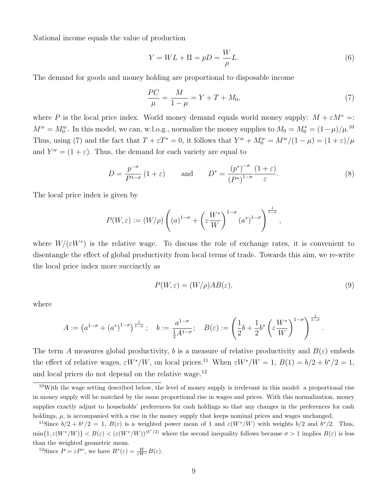National income equals the value of production

$$
Y = WL + \Pi = pD = \frac{W}{\rho}L.\tag{6}
$$

The demand for goods and money holding are proportional to disposable income

$$
\frac{PC}{\mu} = \frac{M}{1 - \mu} = Y + T + M_0,\tag{7}
$$

where P is the local price index. World money demand equals world money supply:  $M + \varepsilon M^* =$ :  $M^w = M_0^w$ . In this model, we can, w.l.o.g., normalize the money supplies to  $M_0 = M_0^* = (1 - \mu)/\mu^{10}$ Thus, using (7) and the fact that  $T + \varepsilon T^* = 0$ , it follows that  $Y^w + M_0^w = M^w/(1 - \mu) = (1 + \varepsilon)/\mu$ and  $Y^w = (1 + \varepsilon)$ . Thus, the demand for each variety are equal to

$$
D = \frac{p^{-\sigma}}{P^{1-\sigma}} \left(1+\varepsilon\right) \quad \text{and} \quad D^* = \frac{\left(p^*\right)^{-\sigma}}{\left(P^*\right)^{1-\sigma}} \frac{\left(1+\varepsilon\right)}{\varepsilon}.\tag{8}
$$

The local price index is given by

$$
P(W,\varepsilon) := (W/\rho) \left( (a)^{1-\sigma} + \left( \varepsilon \frac{W^*}{W} \right)^{1-\sigma} (a^*)^{1-\sigma} \right)^{\frac{1}{1-\sigma}},
$$

where  $W/(\varepsilon W^*)$  is the relative wage. To discuss the role of exchange rates, it is convenient to disentangle the effect of global productivity from local terms of trade. Towards this aim, we re-write the local price index more succinctly as

$$
P(W, \varepsilon) = (W/\rho)AB(\varepsilon),\tag{9}
$$

.

where

$$
A:=\left(a^{1-\sigma}+(a^*)^{1-\sigma}\right)^{\frac{1}{1-\sigma}};\quad b:=\frac{a^{1-\sigma}}{\frac{1}{2}A^{1-\sigma}};\quad B(\varepsilon):=\left(\frac{1}{2}b+\frac{1}{2}b^*\left(\varepsilon\frac{W^*}{W}\right)^{1-\sigma}\right)^{\frac{1}{1-\sigma}}
$$

The term A measures global productivity, b is a measure of relative productivity and  $B(\varepsilon)$  embeds the effect of relative wages,  $\varepsilon W^*/W$ , on local prices.<sup>11</sup> When  $\varepsilon W^*/W = 1$ ,  $B(1) = b/2 + b^*/2 = 1$ , and local prices do not depend on the relative wage. $^{12}$ 

 $10$ With the wage setting described below, the level of money supply is irrelevant in this model: a proportional rise in money supply will be matched by the same proportional rise in wages and prices. With this normalization, money supplies exactly adjust to households' preferences for cash holdings so that any changes in the preferences for cash holdings,  $\mu$ , is accompanied with a rise in the money supply that keeps nominal prices and wages unchanged.

<sup>12</sup>Since  $P = \varepsilon P^*$ , we have  $B^*(\varepsilon) = \frac{W}{\varepsilon W^*} B(\varepsilon)$ .

<sup>&</sup>lt;sup>11</sup>Since  $b/2 + b^*/2 = 1$ ,  $B(\varepsilon)$  is a weighted power mean of 1 and  $\varepsilon(W^*/W)$  with weights  $b/2$  and  $b^*/2$ . Thus,  $\min\{1, \varepsilon(W^*/W)\} < B(\varepsilon) < (\varepsilon(W^*/W))^{(b^*/2)}$  where the second inequality follows because  $\sigma > 1$  implies  $B(\varepsilon)$  is less than the weighted geometric mean.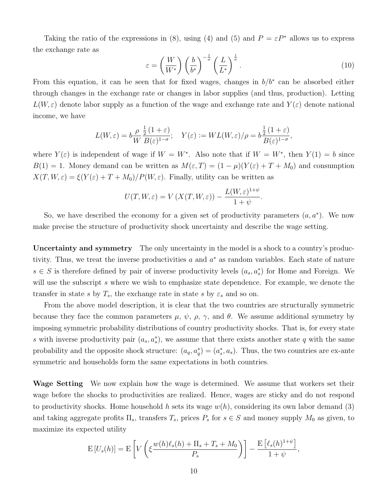Taking the ratio of the expressions in (8), using (4) and (5) and  $P = \varepsilon P^*$  allows us to express the exchange rate as

$$
\varepsilon = \left(\frac{W}{W^*}\right) \left(\frac{b}{b^*}\right)^{-\frac{1}{\sigma}} \left(\frac{L}{L^*}\right)^{\frac{1}{\sigma}}.\tag{10}
$$

From this equation, it can be seen that for fixed wages, changes in  $b/b^*$  can be absorbed either through changes in the exchange rate or changes in labor supplies (and thus, production). Letting  $L(W,\varepsilon)$  denote labor supply as a function of the wage and exchange rate and  $Y(\varepsilon)$  denote national income, we have

$$
L(W,\varepsilon) = b \frac{\rho}{W} \frac{\frac{1}{2} (1+\varepsilon)}{B(\varepsilon)^{1-\sigma}}; \quad Y(\varepsilon) := WL(W,\varepsilon)/\rho = b \frac{\frac{1}{2} (1+\varepsilon)}{B(\varepsilon)^{1-\sigma}},
$$

where  $Y(\varepsilon)$  is independent of wage if  $W = W^*$ . Also note that if  $W = W^*$ , then  $Y(1) = b$  since  $B(1) = 1$ . Money demand can be written as  $M(\varepsilon, T) = (1 - \mu)(Y(\varepsilon) + T + M_0)$  and consumption  $X(T, W, \varepsilon) = \xi(Y(\varepsilon) + T + M_0)/P(W, \varepsilon)$ . Finally, utility can be written as

$$
U(T, W, \varepsilon) = V(X(T, W, \varepsilon)) - \frac{L(W, \varepsilon)^{1+\psi}}{1+\psi}.
$$

So, we have described the economy for a given set of productivity parameters  $(a, a^*)$ . We now make precise the structure of productivity shock uncertainty and describe the wage setting.

Uncertainty and symmetry The only uncertainty in the model is a shock to a country's productivity. Thus, we treat the inverse productivities  $a$  and  $a^*$  as random variables. Each state of nature  $s \in S$  is therefore defined by pair of inverse productivity levels  $(a_s, a_s^*)$  for Home and Foreign. We will use the subscript s where we wish to emphasize state dependence. For example, we denote the transfer in state s by  $T_s$ , the exchange rate in state s by  $\varepsilon_s$  and so on.

From the above model description, it is clear that the two countries are structurally symmetric because they face the common parameters  $\mu$ ,  $\psi$ ,  $\rho$ ,  $\gamma$ , and  $\theta$ . We assume additional symmetry by imposing symmetric probability distributions of country productivity shocks. That is, for every state s with inverse productivity pair  $(a_s, a_s)$ , we assume that there exists another state q with the same probability and the opposite shock structure:  $(a_q, a_q^*) = (a_s^*, a_s)$ . Thus, the two countries are ex-ante symmetric and households form the same expectations in both countries.

Wage Setting We now explain how the wage is determined. We assume that workers set their wage before the shocks to productivities are realized. Hence, wages are sticky and do not respond to productivity shocks. Home household h sets its wage  $w(h)$ , considering its own labor demand (3) and taking aggregate profits  $\Pi_s$ , transfers  $T_s$ , prices  $P_s$  for  $s \in S$  and money supply  $M_0$  as given, to maximize its expected utility

$$
E[U_s(h)] = E\left[V\left(\xi \frac{w(h)\ell_s(h) + \Pi_s + T_s + M_0}{P_s}\right)\right] - \frac{E\left[\ell_s(h)^{1+\psi}\right]}{1+\psi},
$$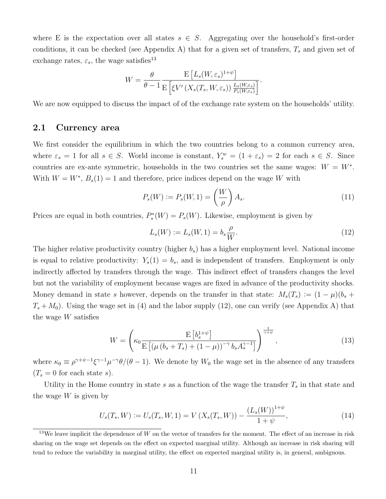where E is the expectation over all states  $s \in S$ . Aggregating over the household's first-order conditions, it can be checked (see Appendix A) that for a given set of transfers,  $T_s$  and given set of exchange rates,  $\varepsilon_s$ , the wage satisfies<sup>13</sup>

$$
W = \frac{\theta}{\theta - 1} \frac{\mathrm{E}\left[L_s(W, \varepsilon_s)^{1+\psi}\right]}{\mathrm{E}\left[\xi V'\left(X_s(T_s, W, \varepsilon_s)\right) \frac{L_s(W, \varepsilon_s)}{P_s(W, \varepsilon_s)}\right]}.
$$

We are now equipped to discuss the impact of of the exchange rate system on the households' utility.

#### 2.1 Currency area

We first consider the equilibrium in which the two countries belong to a common currency area, where  $\varepsilon_s = 1$  for all  $s \in S$ . World income is constant,  $Y_s^w = (1 + \varepsilon_s) = 2$  for each  $s \in S$ . Since countries are ex-ante symmetric, households in the two countries set the same wages:  $W = W^*$ . With  $W = W^*$ ,  $B_s(1) = 1$  and therefore, price indices depend on the wage W with

$$
P_s(W) := P_s(W, 1) = \left(\frac{W}{\rho}\right) A_s. \tag{11}
$$

Prices are equal in both countries,  $P_s^*(W) = P_s(W)$ . Likewise, employment is given by

$$
L_s(W) := L_s(W, 1) = b_s \frac{\rho}{W}.
$$
\n(12)

The higher relative productivity country (higher  $b_s$ ) has a higher employment level. National income is equal to relative productivity:  $Y_s(1) = b_s$ , and is independent of transfers. Employment is only indirectly affected by transfers through the wage. This indirect effect of transfers changes the level but not the variability of employment because wages are fixed in advance of the productivity shocks. Money demand in state s however, depends on the transfer in that state:  $M_s(T_s) := (1 - \mu)(b_s +$  $T_s + M_0$ ). Using the wage set in (4) and the labor supply (12), one can verify (see Appendix A) that the wage W satisfies

$$
W = \left(\kappa_0 \frac{\mathrm{E}\left[b_s^{1+\psi}\right]}{\mathrm{E}\left[\left(\mu\left(b_s + T_s\right) + \left(1 - \mu\right)\right)^{-\gamma} b_s A_s^{\gamma - 1}\right]}\right)^{\frac{1}{\gamma + \psi}},\tag{13}
$$

where  $\kappa_0 \equiv \rho^{\gamma+\psi-1} \xi^{\gamma-1} \mu^{-\gamma} \theta/(\theta-1)$ . We denote by  $W_0$  the wage set in the absence of any transfers  $(T_s = 0$  for each state s).

Utility in the Home country in state s as a function of the wage the transfer  $T_s$  in that state and the wage  $W$  is given by

$$
U_s(T_s, W) := U_s(T_s, W, 1) = V\left(X_s(T_s, W)\right) - \frac{\left(L_s(W)\right)^{1+\psi}}{1+\psi},\tag{14}
$$

 $13$ We leave implicit the dependence of W on the vector of transfers for the moment. The effect of an increase in risk sharing on the wage set depends on the effect on expected marginal utility. Although an increase in risk sharing will tend to reduce the variability in marginal utility, the effect on expected marginal utility is, in general, ambiguous.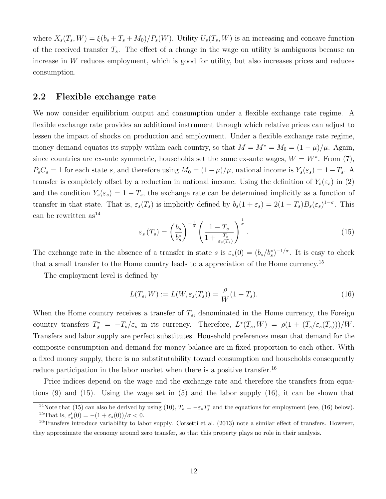where  $X_s(T_s, W) = \xi(b_s + T_s + M_0)/P_s(W)$ . Utility  $U_s(T_s, W)$  is an increasing and concave function of the received transfer  $T_s$ . The effect of a change in the wage on utility is ambiguous because an increase in  $W$  reduces employment, which is good for utility, but also increases prices and reduces consumption.

#### 2.2 Flexible exchange rate

We now consider equilibrium output and consumption under a flexible exchange rate regime. A flexible exchange rate provides an additional instrument through which relative prices can adjust to lessen the impact of shocks on production and employment. Under a flexible exchange rate regime, money demand equates its supply within each country, so that  $M = M^* = M_0 = (1 - \mu)/\mu$ . Again, since countries are ex-ante symmetric, households set the same ex-ante wages,  $W = W^*$ . From (7),  $P_sC_s = 1$  for each state s, and therefore using  $M_0 = (1-\mu)/\mu$ , national income is  $Y_s(\varepsilon_s) = 1-T_s$ . A transfer is completely offset by a reduction in national income. Using the definition of  $Y_s(\varepsilon_s)$  in (2) and the condition  $Y_s(\varepsilon_s) = 1 - T_s$ , the exchange rate can be determined implicitly as a function of transfer in that state. That is,  $\varepsilon_s(T_s)$  is implicitly defined by  $b_s(1+\varepsilon_s) = 2(1-T_s)B_s(\varepsilon_s)^{1-\sigma}$ . This can be rewritten  $as^{14}$ 

$$
\varepsilon_s(T_s) = \left(\frac{b_s}{b_s^*}\right)^{-\frac{1}{\sigma}} \left(\frac{1 - T_s}{1 + \frac{T_s}{\varepsilon_s(T_s)}}\right)^{\frac{1}{\sigma}}.\tag{15}
$$

The exchange rate in the absence of a transfer in state s is  $\varepsilon_s(0) = (b_s/b_s^*)^{-1/\sigma}$ . It is easy to check that a small transfer to the Home country leads to a appreciation of the Home currency.<sup>15</sup>

The employment level is defined by

$$
L(T_s, W) := L(W, \varepsilon_s(T_s)) = \frac{\rho}{W}(1 - T_s). \tag{16}
$$

When the Home country receives a transfer of  $T_s$ , denominated in the Home currency, the Foreign country transfers  $T_s^* = -T_s/\varepsilon_s$  in its currency. Therefore,  $L^*(T_s, W) = \rho(1 + (T_s/\varepsilon_s(T_s)))/W$ . Transfers and labor supply are perfect substitutes. Household preferences mean that demand for the composite consumption and demand for money balance are in fixed proportion to each other. With a fixed money supply, there is no substitutability toward consumption and households consequently reduce participation in the labor market when there is a positive transfer.<sup>16</sup>

Price indices depend on the wage and the exchange rate and therefore the transfers from equations (9) and (15). Using the wage set in (5) and the labor supply (16), it can be shown that

<sup>&</sup>lt;sup>14</sup>Note that (15) can also be derived by using (10),  $T_s = -\varepsilon_s T_s^*$  and the equations for employment (see, (16) below). <sup>15</sup>That is,  $\varepsilon_s'(0) = -(1 + \varepsilon_s(0))/\sigma < 0$ .

 $^{16}$ Transfers introduce variability to labor supply. Corsetti et al. (2013) note a similar effect of transfers. However, they approximate the economy around zero transfer, so that this property plays no role in their analysis.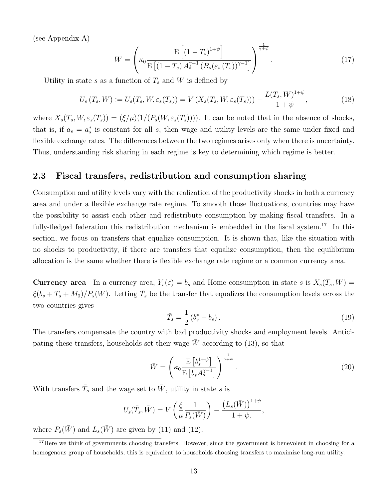(see Appendix A)

$$
W = \left(\kappa_0 \frac{\mathrm{E}\left[\left(1-T_s\right)^{1+\psi}\right]}{\mathrm{E}\left[\left(1-T_s\right)A_s^{\gamma-1}\left(B_s\left(\varepsilon_s\left(T_s\right)\right)^{\gamma-1}\right]}\right)^{\frac{1}{\gamma+\psi}}.\tag{17}
$$

Utility in state s as a function of  $T_s$  and W is defined by

$$
U_s(T_s, W) := U_s(T_s, W, \varepsilon_s(T_s)) = V(X_s(T_s, W, \varepsilon_s(T_s))) - \frac{L(T_s, W)^{1+\psi}}{1+\psi},
$$
\n(18)

where  $X_s(T_s, W, \varepsilon_s(T_s)) = (\xi/\mu)(1/(P_s(W, \varepsilon_s(T_s))))$ . It can be noted that in the absence of shocks, that is, if  $a_s = a_s^*$  is constant for all s, then wage and utility levels are the same under fixed and flexible exchange rates. The differences between the two regimes arises only when there is uncertainty. Thus, understanding risk sharing in each regime is key to determining which regime is better.

#### 2.3 Fiscal transfers, redistribution and consumption sharing

Consumption and utility levels vary with the realization of the productivity shocks in both a currency area and under a flexible exchange rate regime. To smooth those fluctuations, countries may have the possibility to assist each other and redistribute consumption by making fiscal transfers. In a fully-fledged federation this redistribution mechanism is embedded in the fiscal system.<sup>17</sup> In this section, we focus on transfers that equalize consumption. It is shown that, like the situation with no shocks to productivity, if there are transfers that equalize consumption, then the equilibrium allocation is the same whether there is flexible exchange rate regime or a common currency area.

**Currency area** In a currency area,  $Y_s(\varepsilon) = b_s$  and Home consumption in state s is  $X_s(T_s, W) =$  $\xi(b_s + T_s + M_0)/P_s(W)$ . Letting  $\overline{T}_s$  be the transfer that equalizes the consumption levels across the two countries gives

$$
\bar{T}_s = \frac{1}{2} \left( b_s^* - b_s \right). \tag{19}
$$

The transfers compensate the country with bad productivity shocks and employment levels. Anticipating these transfers, households set their wage  $W$  according to (13), so that

$$
\bar{W} = \left(\kappa_0 \frac{\mathrm{E}\left[b_s^{1+\psi}\right]}{\mathrm{E}\left[b_s A_s^{\gamma-1}\right]}\right)^{\frac{1}{\gamma+\psi}}.\tag{20}
$$

With transfers  $\bar{T}_s$  and the wage set to  $\bar{W}$ , utility in state s is

$$
U_s(\bar{T}_s, \bar{W}) = V\left(\frac{\xi}{\mu} \frac{1}{P_s(\bar{W})}\right) - \frac{\left(L_s(\bar{W})\right)^{1+\psi}}{1+\psi}.
$$

where  $P_s(\bar{W})$  and  $L_s(\bar{W})$  are given by (11) and (12).

 $17$  Here we think of governments choosing transfers. However, since the government is benevolent in choosing for a homogenous group of households, this is equivalent to households choosing transfers to maximize long-run utility.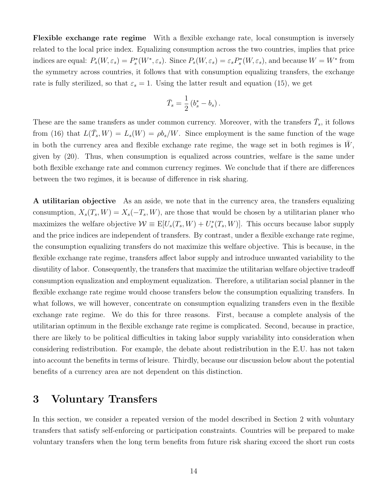Flexible exchange rate regime With a flexible exchange rate, local consumption is inversely related to the local price index. Equalizing consumption across the two countries, implies that price indices are equal:  $P_s(W, \varepsilon_s) = P_s^*(W^*, \varepsilon_s)$ . Since  $P_s(W, \varepsilon_s) = \varepsilon_s P_s^*(W, \varepsilon_s)$ , and because  $W = W^*$  from the symmetry across countries, it follows that with consumption equalizing transfers, the exchange rate is fully sterilized, so that  $\varepsilon_s = 1$ . Using the latter result and equation (15), we get

$$
\bar{T}_s = \frac{1}{2} \left( b_s^* - b_s \right).
$$

These are the same transfers as under common currency. Moreover, with the transfers  $\bar{T}_s$ , it follows from (16) that  $L(\bar{T}_s, W) = L_s(W) = \rho b_s/W$ . Since employment is the same function of the wage in both the currency area and flexible exchange rate regime, the wage set in both regimes is  $\bar{W}$ , given by (20). Thus, when consumption is equalized across countries, welfare is the same under both flexible exchange rate and common currency regimes. We conclude that if there are differences between the two regimes, it is because of difference in risk sharing.

A utilitarian objective As an aside, we note that in the currency area, the transfers equalizing consumption,  $X_s(T_s, W) = X_s(-T_s, W)$ , are those that would be chosen by a utilitarian planer who maximizes the welfare objective  $W \equiv E[U_s(T_s, W) + U_s^*(T_s, W)]$ . This occurs because labor supply and the price indices are independent of transfers. By contrast, under a flexible exchange rate regime, the consumption equalizing transfers do not maximize this welfare objective. This is because, in the flexible exchange rate regime, transfers affect labor supply and introduce unwanted variability to the disutility of labor. Consequently, the transfers that maximize the utilitarian welfare objective tradeoff consumption equalization and employment equalization. Therefore, a utilitarian social planner in the flexible exchange rate regime would choose transfers below the consumption equalizing transfers. In what follows, we will however, concentrate on consumption equalizing transfers even in the flexible exchange rate regime. We do this for three reasons. First, because a complete analysis of the utilitarian optimum in the flexible exchange rate regime is complicated. Second, because in practice, there are likely to be political difficulties in taking labor supply variability into consideration when considering redistribution. For example, the debate about redistribution in the E.U. has not taken into account the benefits in terms of leisure. Thirdly, because our discussion below about the potential benefits of a currency area are not dependent on this distinction.

## 3 Voluntary Transfers

In this section, we consider a repeated version of the model described in Section 2 with voluntary transfers that satisfy self-enforcing or participation constraints. Countries will be prepared to make voluntary transfers when the long term benefits from future risk sharing exceed the short run costs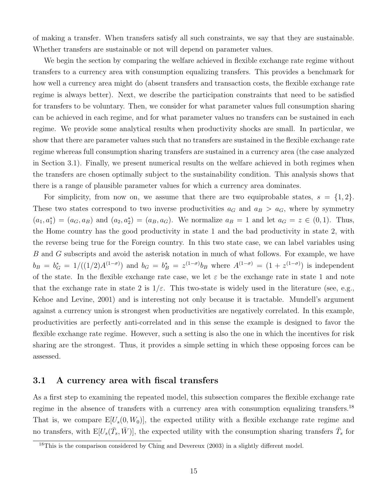of making a transfer. When transfers satisfy all such constraints, we say that they are sustainable. Whether transfers are sustainable or not will depend on parameter values.

We begin the section by comparing the welfare achieved in flexible exchange rate regime without transfers to a currency area with consumption equalizing transfers. This provides a benchmark for how well a currency area might do (absent transfers and transaction costs, the flexible exchange rate regime is always better). Next, we describe the participation constraints that need to be satisfied for transfers to be voluntary. Then, we consider for what parameter values full consumption sharing can be achieved in each regime, and for what parameter values no transfers can be sustained in each regime. We provide some analytical results when productivity shocks are small. In particular, we show that there are parameter values such that no transfers are sustained in the flexible exchange rate regime whereas full consumption sharing transfers are sustained in a currency area (the case analyzed in Section 3.1). Finally, we present numerical results on the welfare achieved in both regimes when the transfers are chosen optimally subject to the sustainability condition. This analysis shows that there is a range of plausible parameter values for which a currency area dominates.

For simplicity, from now on, we assume that there are two equiprobable states,  $s = \{1, 2\}$ . These two states correspond to two inverse productivities  $a_G$  and  $a_B > a_G$ , where by symmetry  $(a_1, a_1^*) = (a_G, a_B)$  and  $(a_2, a_2^*) = (a_B, a_G)$ . We normalize  $a_B = 1$  and let  $a_G = z \in (0, 1)$ . Thus, the Home country has the good productivity in state 1 and the bad productivity in state 2, with the reverse being true for the Foreign country. In this two state case, we can label variables using B and G subscripts and avoid the asterisk notation in much of what follows. For example, we have  $b_B = b_G^* = 1/((1/2)A^{(1-\sigma)})$  and  $b_G = b_B^* = z^{(1-\sigma)}b_B$  where  $A^{(1-\sigma)} = (1 + z^{(1-\sigma)})$  is independent of the state. In the flexible exchange rate case, we let  $\varepsilon$  be the exchange rate in state 1 and note that the exchange rate in state 2 is  $1/\varepsilon$ . This two-state is widely used in the literature (see, e.g., Kehoe and Levine, 2001) and is interesting not only because it is tractable. Mundell's argument against a currency union is strongest when productivities are negatively correlated. In this example, productivities are perfectly anti-correlated and in this sense the example is designed to favor the flexible exchange rate regime. However, such a setting is also the one in which the incentives for risk sharing are the strongest. Thus, it provides a simple setting in which these opposing forces can be assessed.

#### 3.1 A currency area with fiscal transfers

As a first step to examining the repeated model, this subsection compares the flexible exchange rate regime in the absence of transfers with a currency area with consumption equalizing transfers.<sup>18</sup> That is, we compare  $E[U_s(0, W_0)]$ , the expected utility with a flexible exchange rate regime and no transfers, with  $E[U_s(\bar{T}_s,\bar{W})]$ , the expected utility with the consumption sharing transfers  $\bar{T}_s$  for

<sup>&</sup>lt;sup>18</sup>This is the comparison considered by Ching and Devereux (2003) in a slightly different model.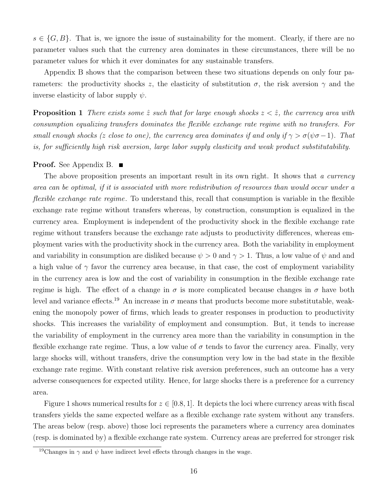$s \in \{G, B\}$ . That is, we ignore the issue of sustainability for the moment. Clearly, if there are no parameter values such that the currency area dominates in these circumstances, there will be no parameter values for which it ever dominates for any sustainable transfers.

Appendix B shows that the comparison between these two situations depends on only four parameters: the productivity shocks z, the elasticity of substitution  $\sigma$ , the risk aversion  $\gamma$  and the inverse elasticity of labor supply  $\psi$ .

**Proposition 1** There exists some  $\hat{z}$  such that for large enough shocks  $z < \hat{z}$ , the currency area with consumption equalizing transfers dominates the flexible exchange rate regime with no transfers. For small enough shocks (z close to one), the currency area dominates if and only if  $\gamma > \sigma(\psi \sigma - 1)$ . That is, for sufficiently high risk aversion, large labor supply elasticity and weak product substitutability.

#### **Proof.** See Appendix B.  $\blacksquare$

The above proposition presents an important result in its own right. It shows that a currency area can be optimal, if it is associated with more redistribution of resources than would occur under a flexible exchange rate regime. To understand this, recall that consumption is variable in the flexible exchange rate regime without transfers whereas, by construction, consumption is equalized in the currency area. Employment is independent of the productivity shock in the flexible exchange rate regime without transfers because the exchange rate adjusts to productivity differences, whereas employment varies with the productivity shock in the currency area. Both the variability in employment and variability in consumption are disliked because  $\psi > 0$  and  $\gamma > 1$ . Thus, a low value of  $\psi$  and and a high value of  $\gamma$  favor the currency area because, in that case, the cost of employment variability in the currency area is low and the cost of variability in consumption in the flexible exchange rate regime is high. The effect of a change in  $\sigma$  is more complicated because changes in  $\sigma$  have both level and variance effects.<sup>19</sup> An increase in  $\sigma$  means that products become more substitutable, weakening the monopoly power of firms, which leads to greater responses in production to productivity shocks. This increases the variability of employment and consumption. But, it tends to increase the variability of employment in the currency area more than the variability in consumption in the flexible exchange rate regime. Thus, a low value of  $\sigma$  tends to favor the currency area. Finally, very large shocks will, without transfers, drive the consumption very low in the bad state in the flexible exchange rate regime. With constant relative risk aversion preferences, such an outcome has a very adverse consequences for expected utility. Hence, for large shocks there is a preference for a currency area.

Figure 1 shows numerical results for  $z \in [0.8, 1]$ . It depicts the loci where currency areas with fiscal transfers yields the same expected welfare as a flexible exchange rate system without any transfers. The areas below (resp. above) those loci represents the parameters where a currency area dominates (resp. is dominated by) a flexible exchange rate system. Currency areas are preferred for stronger risk

<sup>&</sup>lt;sup>19</sup>Changes in  $\gamma$  and  $\psi$  have indirect level effects through changes in the wage.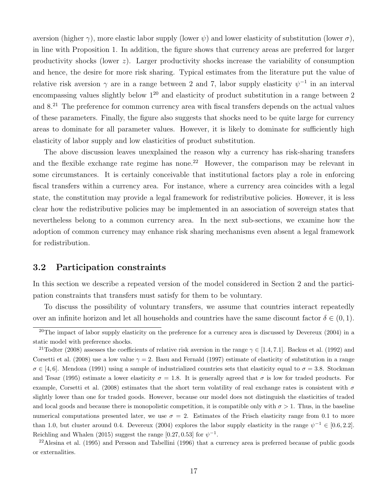aversion (higher  $\gamma$ ), more elastic labor supply (lower  $\psi$ ) and lower elasticity of substitution (lower  $\sigma$ ), in line with Proposition 1. In addition, the figure shows that currency areas are preferred for larger productivity shocks (lower  $z$ ). Larger productivity shocks increase the variability of consumption and hence, the desire for more risk sharing. Typical estimates from the literature put the value of relative risk aversion  $\gamma$  are in a range between 2 and 7, labor supply elasticity  $\psi^{-1}$  in an interval encompassing values slightly below  $1^{20}$  and elasticity of product substitution in a range between 2 and 8.<sup>21</sup> The preference for common currency area with fiscal transfers depends on the actual values of these parameters. Finally, the figure also suggests that shocks need to be quite large for currency areas to dominate for all parameter values. However, it is likely to dominate for sufficiently high elasticity of labor supply and low elasticities of product substitution.

The above discussion leaves unexplained the reason why a currency has risk-sharing transfers and the flexible exchange rate regime has none.<sup>22</sup> However, the comparison may be relevant in some circumstances. It is certainly conceivable that institutional factors play a role in enforcing fiscal transfers within a currency area. For instance, where a currency area coincides with a legal state, the constitution may provide a legal framework for redistributive policies. However, it is less clear how the redistributive policies may be implemented in an association of sovereign states that nevertheless belong to a common currency area. In the next sub-sections, we examine how the adoption of common currency may enhance risk sharing mechanisms even absent a legal framework for redistribution.

#### 3.2 Participation constraints

In this section we describe a repeated version of the model considered in Section 2 and the participation constraints that transfers must satisfy for them to be voluntary.

To discuss the possibility of voluntary transfers, we assume that countries interact repeatedly over an infinite horizon and let all households and countries have the same discount factor  $\delta \in (0,1)$ .

<sup>&</sup>lt;sup>20</sup>The impact of labor supply elasticity on the preference for a currency area is discussed by Devereux  $(2004)$  in a static model with preference shocks.

<sup>&</sup>lt;sup>21</sup>Todter (2008) assesses the coefficients of relative risk aversion in the range  $\gamma \in [1.4, 7.1]$ . Backus et al. (1992) and Corsetti et al. (2008) use a low value  $\gamma = 2$ . Basu and Fernald (1997) estimate of elasticity of substitution in a range  $\sigma \in [4, 6]$ . Mendoza (1991) using a sample of industrialized countries sets that elasticity equal to  $\sigma = 3.8$ . Stockman and Tesar (1995) estimate a lower elasticity  $\sigma = 1.8$ . It is generally agreed that  $\sigma$  is low for traded products. For example, Corsetti et al. (2008) estimates that the short term volatility of real exchange rates is consistent with  $\sigma$ slightly lower than one for traded goods. However, because our model does not distinguish the elasticities of traded and local goods and because there is monopolistic competition, it is compatible only with  $\sigma > 1$ . Thus, in the baseline numerical computations presented later, we use  $\sigma = 2$ . Estimates of the Frisch elasticity range from 0.1 to more than 1.0, but cluster around 0.4. Devereux (2004) explores the labor supply elasticity in the range  $\psi^{-1} \in [0.6, 2.2]$ . Reichling and Whalen (2015) suggest the range [0.27, 0.53] for  $\psi^{-1}$ .

 $^{22}$ Alesina et al. (1995) and Persson and Tabellini (1996) that a currency area is preferred because of public goods or externalities.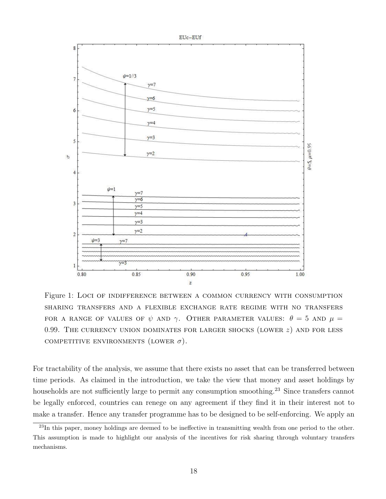

Figure 1: Loci of indifference between a common currency with consumption sharing transfers and a flexible exchange rate regime with no transfers FOR A RANGE OF VALUES OF  $\psi$  and  $\gamma$ . Other parameter values:  $\theta = 5$  and  $\mu =$ 0.99. THE CURRENCY UNION DOMINATES FOR LARGER SHOCKS (LOWER  $z$ ) AND FOR LESS COMPETITIVE ENVIRONMENTS (LOWER  $\sigma$ ).

For tractability of the analysis, we assume that there exists no asset that can be transferred between time periods. As claimed in the introduction, we take the view that money and asset holdings by households are not sufficiently large to permit any consumption smoothing.<sup>23</sup> Since transfers cannot be legally enforced, countries can renege on any agreement if they find it in their interest not to make a transfer. Hence any transfer programme has to be designed to be self-enforcing. We apply an

 $^{23}$ In this paper, money holdings are deemed to be ineffective in transmitting wealth from one period to the other. This assumption is made to highlight our analysis of the incentives for risk sharing through voluntary transfers mechanisms.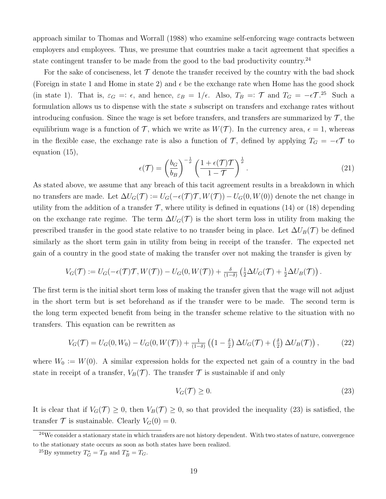approach similar to Thomas and Worrall (1988) who examine self-enforcing wage contracts between employers and employees. Thus, we presume that countries make a tacit agreement that specifies a state contingent transfer to be made from the good to the bad productivity country.<sup>24</sup>

For the sake of conciseness, let  $\mathcal T$  denote the transfer received by the country with the bad shock (Foreign in state 1 and Home in state 2) and  $\epsilon$  be the exchange rate when Home has the good shock (in state 1). That is,  $\varepsilon_G =: \epsilon$ , and hence,  $\varepsilon_B = 1/\epsilon$ . Also,  $T_B =: \mathcal{T}$  and  $T_G = -\epsilon \mathcal{T}^{25}$ . Such a formulation allows us to dispense with the state s subscript on transfers and exchange rates without introducing confusion. Since the wage is set before transfers, and transfers are summarized by  $\mathcal{T}$ , the equilibrium wage is a function of  $\mathcal T$ , which we write as  $W(\mathcal T)$ . In the currency area,  $\epsilon = 1$ , whereas in the flexible case, the exchange rate is also a function of T, defined by applying  $T_G = -\epsilon T$  to equation (15),

$$
\epsilon(\mathcal{T}) = \left(\frac{b_G}{b_B}\right)^{-\frac{1}{\sigma}} \left(\frac{1 + \epsilon(\mathcal{T})\mathcal{T}}{1 - \mathcal{T}}\right)^{\frac{1}{\sigma}}.
$$
\n(21)

As stated above, we assume that any breach of this tacit agreement results in a breakdown in which no transfers are made. Let  $\Delta U_G(\mathcal{T}) := U_G(-\epsilon(\mathcal{T})\mathcal{T}, W(\mathcal{T})) - U_G(0, W(0))$  denote the net change in utility from the addition of a transfer  $\mathcal{T}$ , where utility is defined in equations (14) or (18) depending on the exchange rate regime. The term  $\Delta U_G(\mathcal{T})$  is the short term loss in utility from making the prescribed transfer in the good state relative to no transfer being in place. Let  $\Delta U_B(\mathcal{T})$  be defined similarly as the short term gain in utility from being in receipt of the transfer. The expected net gain of a country in the good state of making the transfer over not making the transfer is given by

$$
V_G(\mathcal{T}) := U_G(-\epsilon(\mathcal{T})\mathcal{T}, W(\mathcal{T})) - U_G(0, W(\mathcal{T})) + \frac{\delta}{(1-\delta)} \left( \frac{1}{2} \Delta U_G(\mathcal{T}) + \frac{1}{2} \Delta U_B(\mathcal{T}) \right).
$$

The first term is the initial short term loss of making the transfer given that the wage will not adjust in the short term but is set beforehand as if the transfer were to be made. The second term is the long term expected benefit from being in the transfer scheme relative to the situation with no transfers. This equation can be rewritten as

$$
V_G(\mathcal{T}) = U_G(0, W_0) - U_G(0, W(\mathcal{T})) + \frac{1}{(1-\delta)} \left( \left( 1 - \frac{\delta}{2} \right) \Delta U_G(\mathcal{T}) + \left( \frac{\delta}{2} \right) \Delta U_B(\mathcal{T}) \right), \tag{22}
$$

where  $W_0 := W(0)$ . A similar expression holds for the expected net gain of a country in the bad state in receipt of a transfer,  $V_B(\mathcal{T})$ . The transfer  $\mathcal T$  is sustainable if and only

$$
V_G(\mathcal{T}) \ge 0. \tag{23}
$$

It is clear that if  $V_G(\mathcal{T}) \geq 0$ , then  $V_B(\mathcal{T}) \geq 0$ , so that provided the inequality (23) is satisfied, the transfer  $\mathcal T$  is sustainable. Clearly  $V_G(0) = 0$ .

 $^{24}$ We consider a stationary state in which transfers are not history dependent. With two states of nature, convergence to the stationary state occurs as soon as both states have been realized.

<sup>&</sup>lt;sup>25</sup>By symmetry  $T_G^* = T_B$  and  $T_B^* = T_G$ .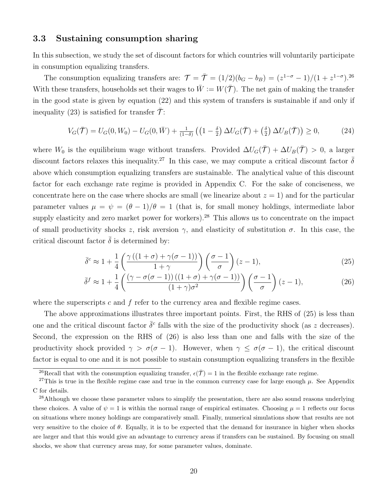#### 3.3 Sustaining consumption sharing

In this subsection, we study the set of discount factors for which countries will voluntarily participate in consumption equalizing transfers.

The consumption equalizing transfers are:  $\mathcal{T} = \bar{\mathcal{T}} = (1/2)(b_G - b_B) = (z^{1-\sigma} - 1)/(1 + z^{1-\sigma})^{26}$ With these transfers, households set their wages to  $\bar{W} := W(\bar{\mathcal{T}})$ . The net gain of making the transfer in the good state is given by equation (22) and this system of transfers is sustainable if and only if inequality (23) is satisfied for transfer  $\mathcal{T}$ :

$$
V_G(\bar{\mathcal{T}}) = U_G(0, W_0) - U_G(0, \bar{W}) + \frac{1}{(1-\delta)} \left( \left( 1 - \frac{\delta}{2} \right) \Delta U_G(\bar{\mathcal{T}}) + \left( \frac{\delta}{2} \right) \Delta U_B(\bar{\mathcal{T}}) \right) \ge 0, \tag{24}
$$

where  $W_0$  is the equilibrium wage without transfers. Provided  $\Delta U_G(\bar{\mathcal{T}}) + \Delta U_B(\bar{\mathcal{T}}) > 0$ , a larger discount factors relaxes this inequality.<sup>27</sup> In this case, we may compute a critical discount factor  $\bar{\delta}$ above which consumption equalizing transfers are sustainable. The analytical value of this discount factor for each exchange rate regime is provided in Appendix C. For the sake of conciseness, we concentrate here on the case where shocks are small (we linearize about  $z = 1$ ) and for the particular parameter values  $\mu = \psi = (\theta - 1)/\theta = 1$  (that is, for small money holdings, intermediate labor supply elasticity and zero market power for workers).<sup>28</sup> This allows us to concentrate on the impact of small productivity shocks z, risk aversion  $\gamma$ , and elasticity of substitution  $\sigma$ . In this case, the critical discount factor  $\delta$  is determined by:

$$
\bar{\delta}^c \approx 1 + \frac{1}{4} \left( \frac{\gamma \left( (1+\sigma) + \gamma (\sigma - 1) \right)}{1+\gamma} \right) \left( \frac{\sigma - 1}{\sigma} \right) (z-1),\tag{25}
$$

$$
\bar{\delta}^f \approx 1 + \frac{1}{4} \left( \frac{(\gamma - \sigma(\sigma - 1))((1 + \sigma) + \gamma(\sigma - 1))}{(1 + \gamma)\sigma^2} \right) \left( \frac{\sigma - 1}{\sigma} \right) (z - 1), \tag{26}
$$

where the superscripts c and  $f$  refer to the currency area and flexible regime cases.

The above approximations illustrates three important points. First, the RHS of (25) is less than one and the critical discount factor  $\bar{\delta}^c$  falls with the size of the productivity shock (as z decreases). Second, the expression on the RHS of (26) is also less than one and falls with the size of the productivity shock provided  $\gamma > \sigma(\sigma - 1)$ . However, when  $\gamma \leq \sigma(\sigma - 1)$ , the critical discount factor is equal to one and it is not possible to sustain consumption equalizing transfers in the flexible

<sup>&</sup>lt;sup>26</sup>Recall that with the consumption equalizing transfer,  $\epsilon(\overline{\mathcal{T}}) = 1$  in the flexible exchange rate regime.

<sup>&</sup>lt;sup>27</sup>This is true in the flexible regime case and true in the common currency case for large enough  $\mu$ . See Appendix C for details.

<sup>&</sup>lt;sup>28</sup>Although we choose these parameter values to simplify the presentation, there are also sound reasons underlying these choices. A value of  $\psi = 1$  is within the normal range of empirical estimates. Choosing  $\mu = 1$  reflects our focus on situations where money holdings are comparatively small. Finally, numerical simulations show that results are not very sensitive to the choice of  $\theta$ . Equally, it is to be expected that the demand for insurance in higher when shocks are larger and that this would give an advantage to currency areas if transfers can be sustained. By focusing on small shocks, we show that currency areas may, for some parameter values, dominate.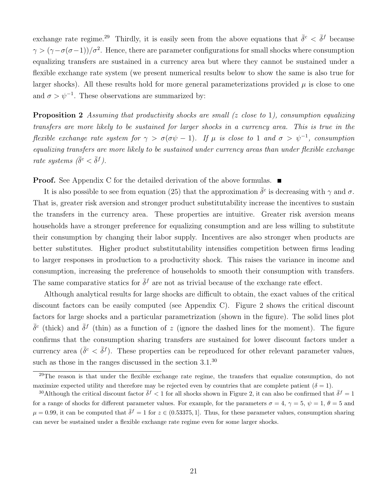exchange rate regime.<sup>29</sup> Thirdly, it is easily seen from the above equations that  $\bar{\delta}^c < \bar{\delta}^f$  because  $\gamma > (\gamma - \sigma(\sigma - 1))/\sigma^2$ . Hence, there are parameter configurations for small shocks where consumption equalizing transfers are sustained in a currency area but where they cannot be sustained under a flexible exchange rate system (we present numerical results below to show the same is also true for larger shocks). All these results hold for more general parameterizations provided  $\mu$  is close to one and  $\sigma > \psi^{-1}$ . These observations are summarized by:

**Proposition 2** Assuming that productivity shocks are small  $(z \text{ close to } 1)$ , consumption equalizing transfers are more likely to be sustained for larger shocks in a currency area. This is true in the flexible exchange rate system for  $\gamma > \sigma(\sigma \psi - 1)$ . If  $\mu$  is close to 1 and  $\sigma > \psi^{-1}$ , consumption equalizing transfers are more likely to be sustained under currency areas than under flexible exchange rate systems  $(\bar{\delta}^c < \bar{\delta}^f)$ .

**Proof.** See Appendix C for the detailed derivation of the above formulas. ■

It is also possible to see from equation (25) that the approximation  $\bar{\delta}^c$  is decreasing with  $\gamma$  and  $\sigma$ . That is, greater risk aversion and stronger product substitutability increase the incentives to sustain the transfers in the currency area. These properties are intuitive. Greater risk aversion means households have a stronger preference for equalizing consumption and are less willing to substitute their consumption by changing their labor supply. Incentives are also stronger when products are better substitutes. Higher product substitutability intensifies competition between firms leading to larger responses in production to a productivity shock. This raises the variance in income and consumption, increasing the preference of households to smooth their consumption with transfers. The same comparative statics for  $\bar{\delta}^f$  are not as trivial because of the exchange rate effect.

Although analytical results for large shocks are difficult to obtain, the exact values of the critical discount factors can be easily computed (see Appendix C). Figure 2 shows the critical discount factors for large shocks and a particular parametrization (shown in the figure). The solid lines plot  $\bar{\delta}^c$  (thick) and  $\bar{\delta}^f$  (thin) as a function of z (ignore the dashed lines for the moment). The figure confirms that the consumption sharing transfers are sustained for lower discount factors under a currency area  $(\bar{\delta}^c < \bar{\delta}^f)$ . These properties can be reproduced for other relevant parameter values, such as those in the ranges discussed in the section 3.1.<sup>30</sup>

<sup>&</sup>lt;sup>29</sup>The reason is that under the flexible exchange rate regime, the transfers that equalize consumption, do not maximize expected utility and therefore may be rejected even by countries that are complete patient ( $\delta = 1$ ).

<sup>&</sup>lt;sup>30</sup>Although the critical discount factor  $\bar{\delta}^f < 1$  for all shocks shown in Figure 2, it can also be confirmed that  $\bar{\delta}^f = 1$ for a range of shocks for different parameter values. For example, for the parameters  $\sigma = 4$ ,  $\gamma = 5$ ,  $\psi = 1$ ,  $\theta = 5$  and  $\mu = 0.99$ , it can be computed that  $\bar{\delta}^f = 1$  for  $z \in (0.53375, 1]$ . Thus, for these parameter values, consumption sharing can never be sustained under a flexible exchange rate regime even for some larger shocks.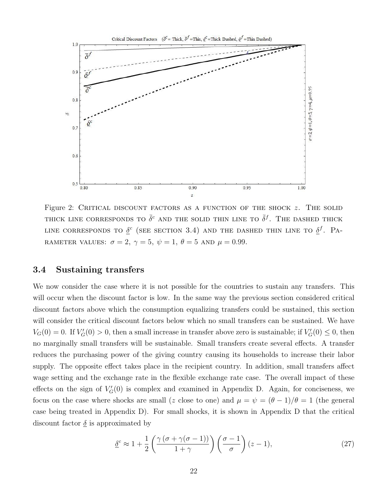

Figure 2: CRITICAL DISCOUNT FACTORS AS A FUNCTION OF THE SHOCK  $z$ . The solid THICK LINE CORRESPONDS TO  $\bar{\delta}^c$  and the solid thin line to  $\bar{\delta}^f$ . The dashed thick LINE CORRESPONDS TO  $\underline{\delta}^c$  (SEE SECTION 3.4) AND THE DASHED THIN LINE TO  $\underline{\delta}^f$ . Pa-RAMETER VALUES:  $\sigma = 2, \gamma = 5, \psi = 1, \theta = 5$  and  $\mu = 0.99$ .

#### 3.4 Sustaining transfers

We now consider the case where it is not possible for the countries to sustain any transfers. This will occur when the discount factor is low. In the same way the previous section considered critical discount factors above which the consumption equalizing transfers could be sustained, this section will consider the critical discount factors below which no small transfers can be sustained. We have  $V_G(0) = 0$ . If  $V_G'(0) > 0$ , then a small increase in transfer above zero is sustainable; if  $V_G'(0) \leq 0$ , then no marginally small transfers will be sustainable. Small transfers create several effects. A transfer reduces the purchasing power of the giving country causing its households to increase their labor supply. The opposite effect takes place in the recipient country. In addition, small transfers affect wage setting and the exchange rate in the flexible exchange rate case. The overall impact of these effects on the sign of  $V'_G(0)$  is complex and examined in Appendix D. Again, for conciseness, we focus on the case where shocks are small (z close to one) and  $\mu = \psi = (\theta - 1)/\theta = 1$  (the general case being treated in Appendix D). For small shocks, it is shown in Appendix D that the critical discount factor  $\delta$  is approximated by

$$
\underline{\delta}^c \approx 1 + \frac{1}{2} \left( \frac{\gamma \left( \sigma + \gamma (\sigma - 1) \right)}{1 + \gamma} \right) \left( \frac{\sigma - 1}{\sigma} \right) (z - 1),\tag{27}
$$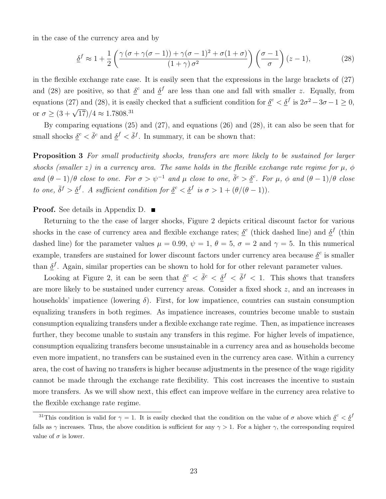in the case of the currency area and by

$$
\underline{\delta}^f \approx 1 + \frac{1}{2} \left( \frac{\gamma (\sigma + \gamma (\sigma - 1)) + \gamma (\sigma - 1)^2 + \sigma (1 + \sigma)}{(1 + \gamma) \sigma^2} \right) \left( \frac{\sigma - 1}{\sigma} \right) (z - 1),\tag{28}
$$

in the flexible exchange rate case. It is easily seen that the expressions in the large brackets of (27) and (28) are positive, so that  $\delta^c$  and  $\delta^f$  are less than one and fall with smaller z. Equally, from equations (27) and (28), it is easily checked that a sufficient condition for  $\underline{\delta}^c < \underline{\delta}^f$  is  $2\sigma^2 - 3\sigma - 1 \ge 0$ , or  $\sigma \geq (3 + \sqrt{17})/4 \approx 1.7808^{31}$ 

By comparing equations (25) and (27), and equations (26) and (28), it can also be seen that for small shocks  $\underline{\delta}^c < \overline{\delta}^c$  and  $\underline{\delta}^f < \overline{\delta}^f$ . In summary, it can be shown that:

Proposition 3 For small productivity shocks, transfers are more likely to be sustained for larger shocks (smaller z) in a currency area. The same holds in the flexible exchange rate regime for  $\mu$ ,  $\phi$ and  $(\theta - 1)/\theta$  close to one. For  $\sigma > \psi^{-1}$  and  $\mu$  close to one,  $\bar{\delta}^c > \underline{\delta}^c$ . For  $\mu$ ,  $\phi$  and  $(\theta - 1)/\theta$  close to one,  $\overline{\delta}^f > \underline{\delta}^f$ . A sufficient condition for  $\underline{\delta}^c < \underline{\delta}^f$  is  $\sigma > 1 + (\theta/(\theta - 1))$ .

#### **Proof.** See details in Appendix D. ■

Returning to the the case of larger shocks, Figure 2 depicts critical discount factor for various shocks in the case of currency area and flexible exchange rates;  $\underline{\delta}^c$  (thick dashed line) and  $\underline{\delta}^f$  (thin dashed line) for the parameter values  $\mu = 0.99$ ,  $\psi = 1$ ,  $\theta = 5$ ,  $\sigma = 2$  and  $\gamma = 5$ . In this numerical example, transfers are sustained for lower discount factors under currency area because  $\delta^c$  is smaller than  $\underline{\delta}^f$ . Again, similar properties can be shown to hold for for other relevant parameter values.

Looking at Figure 2, it can be seen that  $\delta^c < \bar{\delta}^c < \delta^f < \bar{\delta}^f < 1$ . This shows that transfers are more likely to be sustained under currency areas. Consider a fixed shock z, and an increases in households' impatience (lowering  $\delta$ ). First, for low impatience, countries can sustain consumption equalizing transfers in both regimes. As impatience increases, countries become unable to sustain consumption equalizing transfers under a flexible exchange rate regime. Then, as impatience increases further, they become unable to sustain any transfers in this regime. For higher levels of impatience, consumption equalizing transfers become unsustainable in a currency area and as households become even more impatient, no transfers can be sustained even in the currency area case. Within a currency area, the cost of having no transfers is higher because adjustments in the presence of the wage rigidity cannot be made through the exchange rate flexibility. This cost increases the incentive to sustain more transfers. As we will show next, this effect can improve welfare in the currency area relative to the flexible exchange rate regime.

<sup>&</sup>lt;sup>31</sup>This condition is valid for  $\gamma = 1$ . It is easily checked that the condition on the value of  $\sigma$  above which  $\underline{\delta}^c < \underline{\delta}^f$ falls as  $\gamma$  increases. Thus, the above condition is sufficient for any  $\gamma > 1$ . For a higher  $\gamma$ , the corresponding required value of  $\sigma$  is lower.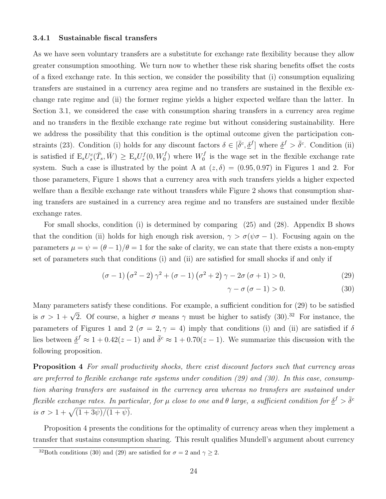#### 3.4.1 Sustainable fiscal transfers

As we have seen voluntary transfers are a substitute for exchange rate flexibility because they allow greater consumption smoothing. We turn now to whether these risk sharing benefits offset the costs of a fixed exchange rate. In this section, we consider the possibility that (i) consumption equalizing transfers are sustained in a currency area regime and no transfers are sustained in the flexible exchange rate regime and (ii) the former regime yields a higher expected welfare than the latter. In Section 3.1, we considered the case with consumption sharing transfers in a currency area regime and no transfers in the flexible exchange rate regime but without considering sustainability. Here we address the possibility that this condition is the optimal outcome given the participation constraints (23). Condition (i) holds for any discount factors  $\delta \in [\bar{\delta}^c, \underline{\delta}^f]$  where  $\underline{\delta}^f > \bar{\delta}^c$ . Condition (ii) is satisfied if  $E_sU_s^c(\bar{T}_s,\bar{W}) \geq E_sU_s^f(0,W_0^f)$  where  $W_0^f$  $\sigma_0^J$  is the wage set in the flexible exchange rate system. Such a case is illustrated by the point A at  $(z, \delta) = (0.95, 0.97)$  in Figures 1 and 2. For those parameters, Figure 1 shows that a currency area with such transfers yields a higher expected welfare than a flexible exchange rate without transfers while Figure 2 shows that consumption sharing transfers are sustained in a currency area regime and no transfers are sustained under flexible exchange rates.

For small shocks, condition (i) is determined by comparing (25) and (28). Appendix B shows that the condition (ii) holds for high enough risk aversion,  $\gamma > \sigma(\psi \sigma - 1)$ . Focusing again on the parameters  $\mu = \psi = (\theta - 1)/\theta = 1$  for the sake of clarity, we can state that there exists a non-empty set of parameters such that conditions (i) and (ii) are satisfied for small shocks if and only if

$$
(\sigma - 1)(\sigma^2 - 2)\gamma^2 + (\sigma - 1)(\sigma^2 + 2)\gamma - 2\sigma(\sigma + 1) > 0,
$$
\n(29)

$$
\gamma - \sigma \left( \sigma - 1 \right) > 0. \tag{30}
$$

Many parameters satisfy these conditions. For example, a sufficient condition for (29) to be satisfied is  $\sigma > 1 + \sqrt{2}$ . Of course, a higher  $\sigma$  means  $\gamma$  must be higher to satisfy (30).<sup>32</sup> For instance, the parameters of Figures 1 and 2 ( $\sigma = 2, \gamma = 4$ ) imply that conditions (i) and (ii) are satisfied if  $\delta$ lies between  $\underline{\delta}^f \approx 1 + 0.42(z - 1)$  and  $\overline{\delta}^c \approx 1 + 0.70(z - 1)$ . We summarize this discussion with the following proposition.

Proposition 4 For small productivity shocks, there exist discount factors such that currency areas are preferred to flexible exchange rate systems under condition (29) and (30). In this case, consumption sharing transfers are sustained in the currency area whereas no transfers are sustained under flexible exchange rates. In particular, for  $\mu$  close to one and  $\theta$  large, a sufficient condition for  $\underline{\delta}^f > \bar{\delta}^c$ is  $\sigma > 1 + \sqrt{(1 + 3\psi)/(1 + \psi)}$ .

Proposition 4 presents the conditions for the optimality of currency areas when they implement a transfer that sustains consumption sharing. This result qualifies Mundell's argument about currency

<sup>&</sup>lt;sup>32</sup>Both conditions (30) and (29) are satisfied for  $\sigma = 2$  and  $\gamma > 2$ .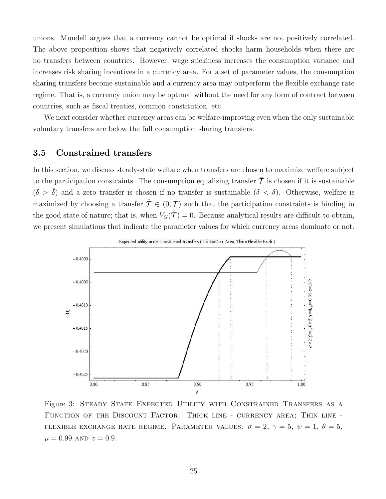unions. Mundell argues that a currency cannot be optimal if shocks are not positively correlated. The above proposition shows that negatively correlated shocks harm households when there are no transfers between countries. However, wage stickiness increases the consumption variance and increases risk sharing incentives in a currency area. For a set of parameter values, the consumption sharing transfers become sustainable and a currency area may outperform the flexible exchange rate regime. That is, a currency union may be optimal without the need for any form of contract between countries, such as fiscal treaties, common constitution, etc.

We next consider whether currency areas can be welfare-improving even when the only sustainable voluntary transfers are below the full consumption sharing transfers.

#### 3.5 Constrained transfers

In this section, we discuss steady-state welfare when transfers are chosen to maximize welfare subject to the participation constraints. The consumption equalizing transfer  $\bar{\mathcal{T}}$  is chosen if it is sustainable  $(\delta > \overline{\delta})$  and a zero transfer is chosen if no transfer is sustainable  $(\delta < \underline{\delta})$ . Otherwise, welfare is maximized by choosing a transfer  $\hat{\mathcal{T}} \in (0, \bar{\mathcal{T}})$  such that the participation constraints is binding in the good state of nature; that is, when  $V_G(\hat{\mathcal{T}}) = 0$ . Because analytical results are difficult to obtain, we present simulations that indicate the parameter values for which currency areas dominate or not.



Figure 3: STEADY STATE EXPECTED UTILITY WITH CONSTRAINED TRANSFERS AS A Function of the Discount Factor. Thick line - currency area; Thin line - FLEXIBLE EXCHANGE RATE REGIME. PARAMETER VALUES:  $\sigma = 2$ ,  $\gamma = 5$ ,  $\psi = 1$ ,  $\theta = 5$ ,  $\mu = 0.99$  AND  $z = 0.9$ .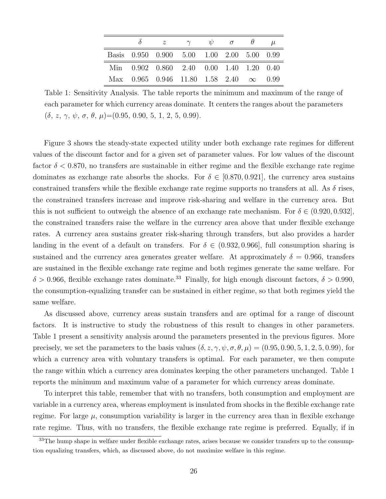|                                                           | $\delta$ $z$ $\gamma$ $\psi$ $\sigma$ $\theta$ $\mu$ |  |  |  |
|-----------------------------------------------------------|------------------------------------------------------|--|--|--|
| Basis 0.950 0.900 5.00 1.00 2.00 5.00 0.99                |                                                      |  |  |  |
| Min 0.902 0.860 2.40 0.00 1.40 1.20 0.40                  |                                                      |  |  |  |
| Max $0.965$ $0.946$ $11.80$ $1.58$ $2.40$ $\infty$ $0.99$ |                                                      |  |  |  |

Table 1: Sensitivity Analysis. The table reports the minimum and maximum of the range of each parameter for which currency areas dominate. It centers the ranges about the parameters  $(\delta, z, \gamma, \psi, \sigma, \theta, \mu)$  = (0.95, 0.90, 5, 1, 2, 5, 0.99).

Figure 3 shows the steady-state expected utility under both exchange rate regimes for different values of the discount factor and for a given set of parameter values. For low values of the discount factor  $\delta$  < 0.870, no transfers are sustainable in either regime and the flexible exchange rate regime dominates as exchange rate absorbs the shocks. For  $\delta \in [0.870, 0.921]$ , the currency area sustains constrained transfers while the flexible exchange rate regime supports no transfers at all. As  $\delta$  rises, the constrained transfers increase and improve risk-sharing and welfare in the currency area. But this is not sufficient to outweigh the absence of an exchange rate mechanism. For  $\delta \in (0.920, 0.932]$ , the constrained transfers raise the welfare in the currency area above that under flexible exchange rates. A currency area sustains greater risk-sharing through transfers, but also provides a harder landing in the event of a default on transfers. For  $\delta \in (0.932, 0.966]$ , full consumption sharing is sustained and the currency area generates greater welfare. At approximately  $\delta = 0.966$ , transfers are sustained in the flexible exchange rate regime and both regimes generate the same welfare. For  $\delta > 0.966$ , flexible exchange rates dominate.<sup>33</sup> Finally, for high enough discount factors,  $\delta > 0.990$ , the consumption-equalizing transfer can be sustained in either regime, so that both regimes yield the same welfare.

As discussed above, currency areas sustain transfers and are optimal for a range of discount factors. It is instructive to study the robustness of this result to changes in other parameters. Table 1 present a sensitivity analysis around the parameters presented in the previous figures. More precisely, we set the parameters to the basis values  $(\delta, z, \gamma, \psi, \sigma, \theta, \mu) = (0.95, 0.90, 5, 1, 2, 5, 0.99)$ , for which a currency area with voluntary transfers is optimal. For each parameter, we then compute the range within which a currency area dominates keeping the other parameters unchanged. Table 1 reports the minimum and maximum value of a parameter for which currency areas dominate.

To interpret this table, remember that with no transfers, both consumption and employment are variable in a currency area, whereas employment is insulated from shocks in the flexible exchange rate regime. For large  $\mu$ , consumption variability is larger in the currency area than in flexible exchange rate regime. Thus, with no transfers, the flexible exchange rate regime is preferred. Equally, if in

<sup>&</sup>lt;sup>33</sup>The hump shape in welfare under flexible exchange rates, arises because we consider transfers up to the consumption equalizing transfers, which, as discussed above, do not maximize welfare in this regime.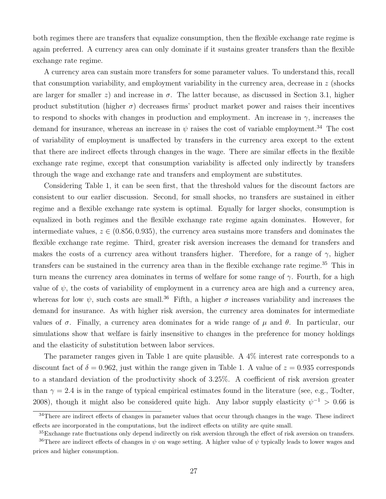both regimes there are transfers that equalize consumption, then the flexible exchange rate regime is again preferred. A currency area can only dominate if it sustains greater transfers than the flexible exchange rate regime.

A currency area can sustain more transfers for some parameter values. To understand this, recall that consumption variability, and employment variability in the currency area, decrease in  $z$  (shocks) are larger for smaller z) and increase in  $\sigma$ . The latter because, as discussed in Section 3.1, higher product substitution (higher  $\sigma$ ) decreases firms' product market power and raises their incentives to respond to shocks with changes in production and employment. An increase in  $\gamma$ , increases the demand for insurance, whereas an increase in  $\psi$  raises the cost of variable employment.<sup>34</sup> The cost of variability of employment is unaffected by transfers in the currency area except to the extent that there are indirect effects through changes in the wage. There are similar effects in the flexible exchange rate regime, except that consumption variability is affected only indirectly by transfers through the wage and exchange rate and transfers and employment are substitutes.

Considering Table 1, it can be seen first, that the threshold values for the discount factors are consistent to our earlier discussion. Second, for small shocks, no transfers are sustained in either regime and a flexible exchange rate system is optimal. Equally for larger shocks, consumption is equalized in both regimes and the flexible exchange rate regime again dominates. However, for intermediate values,  $z \in (0.856, 0.935)$ , the currency area sustains more transfers and dominates the flexible exchange rate regime. Third, greater risk aversion increases the demand for transfers and makes the costs of a currency area without transfers higher. Therefore, for a range of  $\gamma$ , higher transfers can be sustained in the currency area than in the flexible exchange rate regime.<sup>35</sup> This in turn means the currency area dominates in terms of welfare for some range of  $\gamma$ . Fourth, for a high value of  $\psi$ , the costs of variability of employment in a currency area are high and a currency area, whereas for low  $\psi$ , such costs are small.<sup>36</sup> Fifth, a higher  $\sigma$  increases variability and increases the demand for insurance. As with higher risk aversion, the currency area dominates for intermediate values of  $\sigma$ . Finally, a currency area dominates for a wide range of  $\mu$  and  $\theta$ . In particular, our simulations show that welfare is fairly insensitive to changes in the preference for money holdings and the elasticity of substitution between labor services.

The parameter ranges given in Table 1 are quite plausible. A 4% interest rate corresponds to a discount fact of  $\delta = 0.962$ , just within the range given in Table 1. A value of  $z = 0.935$  corresponds to a standard deviation of the productivity shock of 3.25%. A coefficient of risk aversion greater than  $\gamma = 2.4$  is in the range of typical empirical estimates found in the literature (see, e.g., Todter, 2008), though it might also be considered quite high. Any labor supply elasticity  $\psi^{-1} > 0.66$  is

<sup>&</sup>lt;sup>34</sup>There are indirect effects of changes in parameter values that occur through changes in the wage. These indirect effects are incorporated in the computations, but the indirect effects on utility are quite small.

<sup>35</sup>Exchange rate fluctuations only depend indirectly on risk aversion through the effect of risk aversion on transfers. <sup>36</sup>There are indirect effects of changes in  $\psi$  on wage setting. A higher value of  $\psi$  typically leads to lower wages and prices and higher consumption.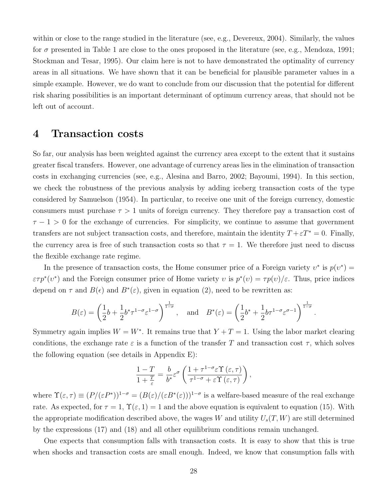within or close to the range studied in the literature (see, e.g., Devereux, 2004). Similarly, the values for  $\sigma$  presented in Table 1 are close to the ones proposed in the literature (see, e.g., Mendoza, 1991; Stockman and Tesar, 1995). Our claim here is not to have demonstrated the optimality of currency areas in all situations. We have shown that it can be beneficial for plausible parameter values in a simple example. However, we do want to conclude from our discussion that the potential for different risk sharing possibilities is an important determinant of optimum currency areas, that should not be left out of account.

### 4 Transaction costs

So far, our analysis has been weighted against the currency area except to the extent that it sustains greater fiscal transfers. However, one advantage of currency areas lies in the elimination of transaction costs in exchanging currencies (see, e.g., Alesina and Barro, 2002; Bayoumi, 1994). In this section, we check the robustness of the previous analysis by adding iceberg transaction costs of the type considered by Samuelson (1954). In particular, to receive one unit of the foreign currency, domestic consumers must purchase  $\tau > 1$  units of foreign currency. They therefore pay a transaction cost of  $\tau - 1 > 0$  for the exchange of currencies. For simplicity, we continue to assume that government transfers are not subject transaction costs, and therefore, maintain the identity  $T + \varepsilon T^* = 0$ . Finally, the currency area is free of such transaction costs so that  $\tau = 1$ . We therefore just need to discuss the flexible exchange rate regime.

In the presence of transaction costs, the Home consumer price of a Foreign variety  $v^*$  is  $p(v^*) =$  $\varepsilon \tau p^*(v^*)$  and the Foreign consumer price of Home variety v is  $p^*(v) = \tau p(v)/\varepsilon$ . Thus, price indices depend on  $\tau$  and  $B(\epsilon)$  and  $B^*(\epsilon)$ , given in equation (2), need to be rewritten as:

$$
B(\varepsilon) = \left(\frac{1}{2}b + \frac{1}{2}b^*\tau^{1-\sigma}\varepsilon^{1-\sigma}\right)^{\frac{1}{1-\sigma}}, \text{ and } B^*(\varepsilon) = \left(\frac{1}{2}b^* + \frac{1}{2}b\tau^{1-\sigma}\varepsilon^{\sigma-1}\right)^{\frac{1}{1-\sigma}}.
$$

Symmetry again implies  $W = W^*$ . It remains true that  $Y + T = 1$ . Using the labor market clearing conditions, the exchange rate  $\varepsilon$  is a function of the transfer T and transaction cost  $\tau$ , which solves the following equation (see details in Appendix E):

$$
\frac{1-T}{1+\frac{T}{\varepsilon}}=\frac{b}{b^*}\varepsilon^{\sigma}\left(\frac{1+\tau^{1-\sigma}\varepsilon\Upsilon\left(\varepsilon,\tau\right)}{\tau^{1-\sigma}+\varepsilon\Upsilon\left(\varepsilon,\tau\right)}\right),\,
$$

where  $\Upsilon(\varepsilon,\tau) \equiv (P/(\varepsilon P^*))^{1-\sigma} = (B(\varepsilon)/(\varepsilon B^*(\varepsilon)))^{1-\sigma}$  is a welfare-based measure of the real exchange rate. As expected, for  $\tau = 1$ ,  $\Upsilon(\varepsilon, 1) = 1$  and the above equation is equivalent to equation (15). With the appropriate modification described above, the wages W and utility  $U_s(T, W)$  are still determined by the expressions (17) and (18) and all other equilibrium conditions remain unchanged.

One expects that consumption falls with transaction costs. It is easy to show that this is true when shocks and transaction costs are small enough. Indeed, we know that consumption falls with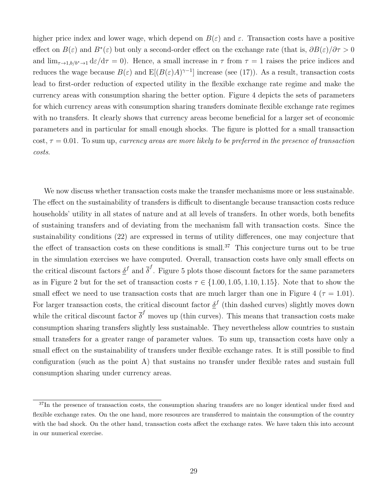higher price index and lower wage, which depend on  $B(\varepsilon)$  and  $\varepsilon$ . Transaction costs have a positive effect on  $B(\varepsilon)$  and  $B^*(\varepsilon)$  but only a second-order effect on the exchange rate (that is,  $\partial B(\varepsilon)/\partial \tau > 0$ and  $\lim_{\tau\to 1, b/b^*\to 1} d\varepsilon/d\tau = 0$ . Hence, a small increase in  $\tau$  from  $\tau = 1$  raises the price indices and reduces the wage because  $B(\varepsilon)$  and  $E[(B(\varepsilon)A)^{\gamma-1}]$  increase (see (17)). As a result, transaction costs lead to first-order reduction of expected utility in the flexible exchange rate regime and make the currency areas with consumption sharing the better option. Figure 4 depicts the sets of parameters for which currency areas with consumption sharing transfers dominate flexible exchange rate regimes with no transfers. It clearly shows that currency areas become beneficial for a larger set of economic parameters and in particular for small enough shocks. The figure is plotted for a small transaction cost,  $\tau = 0.01$ . To sum up, currency areas are more likely to be preferred in the presence of transaction costs.

We now discuss whether transaction costs make the transfer mechanisms more or less sustainable. The effect on the sustainability of transfers is difficult to disentangle because transaction costs reduce households' utility in all states of nature and at all levels of transfers. In other words, both benefits of sustaining transfers and of deviating from the mechanism fall with transaction costs. Since the sustainability conditions (22) are expressed in terms of utility differences, one may conjecture that the effect of transaction costs on these conditions is small.<sup>37</sup> This conjecture turns out to be true in the simulation exercises we have computed. Overall, transaction costs have only small effects on the critical discount factors  $\underline{\delta}^f$  and  $\overline{\delta}^f$ . Figure 5 plots those discount factors for the same parameters as in Figure 2 but for the set of transaction costs  $\tau \in \{1.00, 1.05, 1.10, 1.15\}$ . Note that to show the small effect we need to use transaction costs that are much larger than one in Figure 4 ( $\tau = 1.01$ ). For larger transaction costs, the critical discount factor  $\underline{\delta}^f$  (thin dashed curves) slightly moves down while the critical discount factor  $\bar{\delta}^f$  moves up (thin curves). This means that transaction costs make consumption sharing transfers slightly less sustainable. They nevertheless allow countries to sustain small transfers for a greater range of parameter values. To sum up, transaction costs have only a small effect on the sustainability of transfers under flexible exchange rates. It is still possible to find configuration (such as the point A) that sustains no transfer under flexible rates and sustain full consumption sharing under currency areas.

<sup>&</sup>lt;sup>37</sup>In the presence of transaction costs, the consumption sharing transfers are no longer identical under fixed and flexible exchange rates. On the one hand, more resources are transferred to maintain the consumption of the country with the bad shock. On the other hand, transaction costs affect the exchange rates. We have taken this into account in our numerical exercise.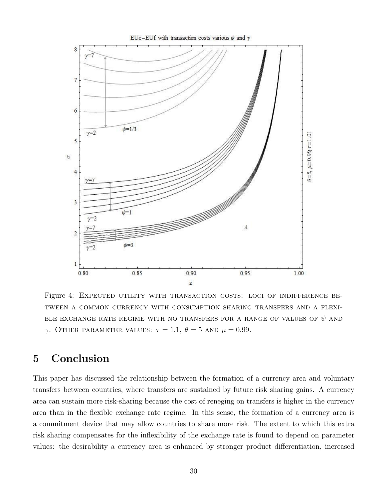

Figure 4: EXPECTED UTILITY WITH TRANSACTION COSTS: LOCI OF INDIFFERENCE BEtween a common currency with consumption sharing transfers and a flexi-BLE EXCHANGE RATE REGIME WITH NO TRANSFERS FOR A RANGE OF VALUES OF  $\psi$  and γ. OTHER PARAMETER VALUES:  $τ = 1.1, θ = 5$  AND  $μ = 0.99$ .

## 5 Conclusion

This paper has discussed the relationship between the formation of a currency area and voluntary transfers between countries, where transfers are sustained by future risk sharing gains. A currency area can sustain more risk-sharing because the cost of reneging on transfers is higher in the currency area than in the flexible exchange rate regime. In this sense, the formation of a currency area is a commitment device that may allow countries to share more risk. The extent to which this extra risk sharing compensates for the inflexibility of the exchange rate is found to depend on parameter values: the desirability a currency area is enhanced by stronger product differentiation, increased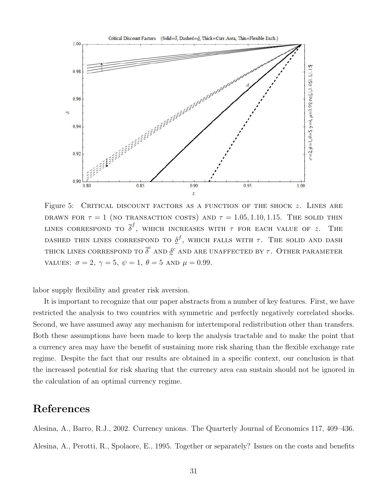

Figure 5: CRITICAL DISCOUNT FACTORS AS A FUNCTION OF THE SHOCK  $z$ . LINES ARE DRAWN FOR  $\tau = 1$  (no transaction costs) and  $\tau = 1.05, 1.10, 1.15$ . The solid thin LINES CORRESPOND TO  $\overline{\delta}^f,$  which increases with  $\tau$  for each value of  $z.$  The DASHED THIN LINES CORRESPOND TO  $\underline{\delta}^f$ , which falls with  $\tau$ . The solid and dash THICK LINES CORRESPOND TO  $\overline{\delta}^c$  and  $\underline{\delta}^c$  and are unaffected by  $\tau$ . Other parameter values:  $\sigma = 2, \gamma = 5, \psi = 1, \theta = 5$  and  $\mu = 0.99$ .

labor supply flexibility and greater risk aversion.

It is important to recognize that our paper abstracts from a number of key features. First, we have restricted the analysis to two countries with symmetric and perfectly negatively correlated shocks. Second, we have assumed away any mechanism for intertemporal redistribution other than transfers. Both these assumptions have been made to keep the analysis tractable and to make the point that a currency area may have the benefit of sustaining more risk sharing than the flexible exchange rate regime. Despite the fact that our results are obtained in a specific context, our conclusion is that the increased potential for risk sharing that the currency area can sustain should not be ignored in the calculation of an optimal currency regime.

## References

Alesina, A., Barro, R.J., 2002. Currency unions. The Quarterly Journal of Economics 117, 409–436. Alesina, A., Perotti, R., Spolaore, E., 1995. Together or separately? Issues on the costs and benefits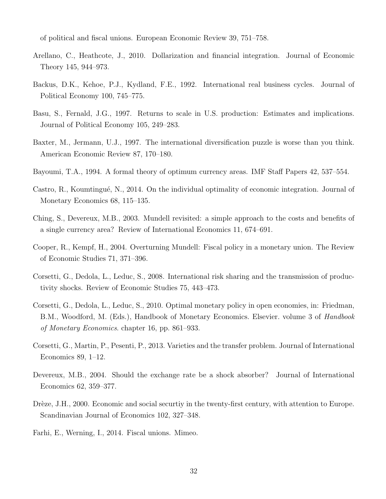of political and fiscal unions. European Economic Review 39, 751–758.

- Arellano, C., Heathcote, J., 2010. Dollarization and financial integration. Journal of Economic Theory 145, 944–973.
- Backus, D.K., Kehoe, P.J., Kydland, F.E., 1992. International real business cycles. Journal of Political Economy 100, 745–775.
- Basu, S., Fernald, J.G., 1997. Returns to scale in U.S. production: Estimates and implications. Journal of Political Economy 105, 249–283.
- Baxter, M., Jermann, U.J., 1997. The international diversification puzzle is worse than you think. American Economic Review 87, 170–180.
- Bayoumi, T.A., 1994. A formal theory of optimum currency areas. IMF Staff Papers 42, 537–554.
- Castro, R., Koumtingué, N., 2014. On the individual optimality of economic integration. Journal of Monetary Economics 68, 115–135.
- Ching, S., Devereux, M.B., 2003. Mundell revisited: a simple approach to the costs and benefits of a single currency area? Review of International Economics 11, 674–691.
- Cooper, R., Kempf, H., 2004. Overturning Mundell: Fiscal policy in a monetary union. The Review of Economic Studies 71, 371–396.
- Corsetti, G., Dedola, L., Leduc, S., 2008. International risk sharing and the transmission of productivity shocks. Review of Economic Studies 75, 443–473.
- Corsetti, G., Dedola, L., Leduc, S., 2010. Optimal monetary policy in open economies, in: Friedman, B.M., Woodford, M. (Eds.), Handbook of Monetary Economics. Elsevier. volume 3 of *Handbook* of Monetary Economics. chapter 16, pp. 861–933.
- Corsetti, G., Martin, P., Pesenti, P., 2013. Varieties and the transfer problem. Journal of International Economics 89, 1–12.
- Devereux, M.B., 2004. Should the exchange rate be a shock absorber? Journal of International Economics 62, 359–377.
- Drèze, J.H., 2000. Economic and social securtiy in the twenty-first century, with attention to Europe. Scandinavian Journal of Economics 102, 327–348.
- Farhi, E., Werning, I., 2014. Fiscal unions. Mimeo.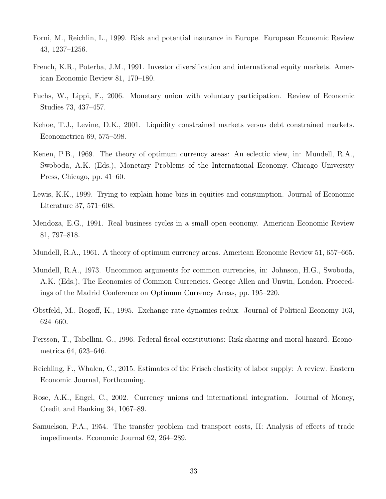- Forni, M., Reichlin, L., 1999. Risk and potential insurance in Europe. European Economic Review 43, 1237–1256.
- French, K.R., Poterba, J.M., 1991. Investor diversification and international equity markets. American Economic Review 81, 170–180.
- Fuchs, W., Lippi, F., 2006. Monetary union with voluntary participation. Review of Economic Studies 73, 437–457.
- Kehoe, T.J., Levine, D.K., 2001. Liquidity constrained markets versus debt constrained markets. Econometrica 69, 575–598.
- Kenen, P.B., 1969. The theory of optimum currency areas: An eclectic view, in: Mundell, R.A., Swoboda, A.K. (Eds.), Monetary Problems of the International Economy. Chicago University Press, Chicago, pp. 41–60.
- Lewis, K.K., 1999. Trying to explain home bias in equities and consumption. Journal of Economic Literature 37, 571–608.
- Mendoza, E.G., 1991. Real business cycles in a small open economy. American Economic Review 81, 797–818.
- Mundell, R.A., 1961. A theory of optimum currency areas. American Economic Review 51, 657–665.
- Mundell, R.A., 1973. Uncommon arguments for common currencies, in: Johnson, H.G., Swoboda, A.K. (Eds.), The Economics of Common Currencies. George Allen and Unwin, London. Proceedings of the Madrid Conference on Optimum Currency Areas, pp. 195–220.
- Obstfeld, M., Rogoff, K., 1995. Exchange rate dynamics redux. Journal of Political Economy 103, 624–660.
- Persson, T., Tabellini, G., 1996. Federal fiscal constitutions: Risk sharing and moral hazard. Econometrica 64, 623–646.
- Reichling, F., Whalen, C., 2015. Estimates of the Frisch elasticity of labor supply: A review. Eastern Economic Journal, Forthcoming.
- Rose, A.K., Engel, C., 2002. Currency unions and international integration. Journal of Money, Credit and Banking 34, 1067–89.
- Samuelson, P.A., 1954. The transfer problem and transport costs, II: Analysis of effects of trade impediments. Economic Journal 62, 264–289.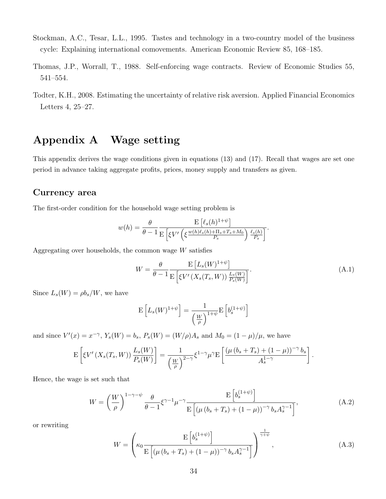- Stockman, A.C., Tesar, L.L., 1995. Tastes and technology in a two-country model of the business cycle: Explaining international comovements. American Economic Review 85, 168–185.
- Thomas, J.P., Worrall, T., 1988. Self-enforcing wage contracts. Review of Economic Studies 55, 541–554.
- Todter, K.H., 2008. Estimating the uncertainty of relative risk aversion. Applied Financial Economics Letters 4, 25–27.

## Appendix A Wage setting

This appendix derives the wage conditions given in equations (13) and (17). Recall that wages are set one period in advance taking aggregate profits, prices, money supply and transfers as given.

#### Currency area

The first-order condition for the household wage setting problem is

$$
w(h) = \frac{\theta}{\theta - 1} \frac{\mathrm{E} \left[ \ell_s(h)^{1 + \psi} \right]}{\mathrm{E} \left[ \xi V' \left( \xi \frac{w(h)\ell_s(h) + \Pi_s + T_s + M_0}{P_s} \right) \frac{\ell_s(h)}{P_s} \right]}.
$$

Aggregating over households, the common wage  $W$  satisfies

$$
W = \frac{\theta}{\theta - 1} \frac{\mathrm{E}\left[L_s(W)^{1+\psi}\right]}{\mathrm{E}\left[\xi V'\left(X_s(T_s, W)\right) \frac{L_s(W)}{P_s(W)}\right]}.
$$
\n(A.1)

Since  $L_s(W) = \rho b_s/W$ , we have

$$
\mathcal{E}\left[L_s(W)^{1+\psi}\right] = \frac{1}{\left(\frac{W}{\rho}\right)^{1+\psi}} \mathcal{E}\left[b_s^{(1+\psi)}\right]
$$

and since  $V'(x) = x^{-\gamma}$ ,  $Y_s(W) = b_s$ ,  $P_s(W) = (W/\rho)A_s$  and  $M_0 = (1 - \mu)/\mu$ , we have

$$
\mathcal{E}\left[\xi V'\left(X_s(T_s,W)\right)\frac{L_s(W)}{P_s(W)}\right] = \frac{1}{\left(\frac{W}{\rho}\right)^{2-\gamma}}\xi^{1-\gamma}\mu^{\gamma}\mathcal{E}\left[\frac{\left(\mu\left(b_s+T_s\right)+(1-\mu)\right)^{-\gamma}b_s}{A_s^{1-\gamma}}\right].
$$

Hence, the wage is set such that

$$
W = \left(\frac{W}{\rho}\right)^{1-\gamma-\psi} \frac{\theta}{\theta-1} \xi^{\gamma-1} \mu^{-\gamma} \frac{E\left[b_s^{(1+\psi)}\right]}{E\left[\left(\mu\left(b_s+T_s\right) + (1-\mu)\right)^{-\gamma} b_s A_s^{\gamma-1}\right]},\tag{A.2}
$$

or rewriting

$$
W = \left(\kappa_0 \frac{\mathrm{E}\left[b_s^{(1+\psi)}\right]}{\mathrm{E}\left[\left(\mu\left(b_s + T_s\right) + (1-\mu)\right)^{-\gamma} b_s A_s^{\gamma-1}\right]}\right)^{\frac{1}{\gamma+\psi}},\tag{A.3}
$$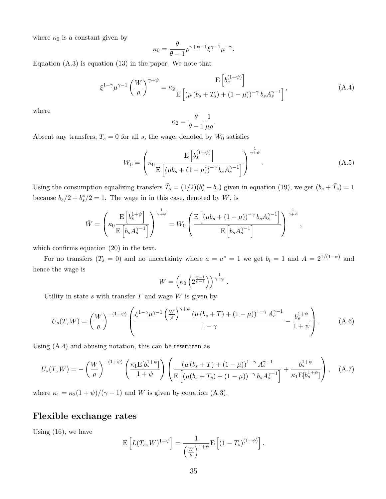where  $\kappa_0$  is a constant given by

$$
\kappa_0 = \frac{\theta}{\theta - 1} \rho^{\gamma + \psi - 1} \xi^{\gamma - 1} \mu^{-\gamma}.
$$

Equation  $(A.3)$  is equation  $(13)$  in the paper. We note that

$$
\xi^{1-\gamma}\mu^{\gamma-1}\left(\frac{W}{\rho}\right)^{\gamma+\psi} = \kappa_2 \frac{\mathbb{E}\left[b_s^{(1+\psi)}\right]}{\mathbb{E}\left[\left(\mu\left(b_s + T_s\right) + (1-\mu)\right)^{-\gamma} b_s A_s^{\gamma-1}\right]},\tag{A.4}
$$

.

where

$$
\kappa_2 = \frac{\theta}{\theta - 1} \frac{1}{\mu \rho}
$$

Absent any transfers,  $T_s = 0$  for all s, the wage, denoted by  $W_0$  satisfies

$$
W_0 = \left(\kappa_0 \frac{\mathrm{E}\left[b_s^{(1+\psi)}\right]}{\mathrm{E}\left[(\mu b_s + (1-\mu))^{-\gamma} b_s A_s^{\gamma-1}\right]}\right)^{\frac{1}{\gamma+\psi}}.\tag{A.5}
$$

Using the consumption equalizing transfers  $\bar{T}_s = (1/2)(b_s^* - b_s)$  given in equation (19), we get  $(b_s + \bar{T}_s) = 1$ because  $b_s/2 + b_s^*/2 = 1$ . The wage in in this case, denoted by  $\bar{W}$ , is

$$
\bar{W} = \left(\kappa_0 \frac{\mathrm{E}\left[b_s^{1+\psi}\right]}{\mathrm{E}\left[b_s A_s^{\gamma-1}\right]}\right)^{\frac{1}{\gamma+\psi}} = W_0 \left(\frac{\mathrm{E}\left[\left(\mu b_s + \left(1-\mu\right)\right)^{-\gamma} b_s A_s^{\gamma-1}\right]}{\mathrm{E}\left[b_s A_s^{\gamma-1}\right]}\right)^{\frac{1}{\gamma+\psi}},\,
$$

which confirms equation (20) in the text.

For no transfers  $(T_s = 0)$  and no uncertainty where  $a = a^* = 1$  we get  $b_i = 1$  and  $A = 2^{1/(1-\sigma)}$  and hence the wage is

$$
W = \left(\kappa_0 \left(2^{\frac{\gamma - 1}{\sigma - 1}}\right)\right)^{\frac{1}{\gamma + \psi}}.
$$

Utility in state  $s$  with transfer  $T$  and wage  $W$  is given by

$$
U_s(T,W) = \left(\frac{W}{\rho}\right)^{-(1+\psi)} \left(\frac{\xi^{1-\gamma}\mu^{\gamma-1}\left(\frac{W}{\rho}\right)^{\gamma+\psi}\left(\mu\left(b_s+T\right)+(1-\mu)\right)^{1-\gamma}A_s^{\gamma-1}}{1-\gamma} - \frac{b_s^{1+\psi}}{1+\psi}\right). \tag{A.6}
$$

Using (A.4) and abusing notation, this can be rewritten as

$$
U_s(T,W) = -\left(\frac{W}{\rho}\right)^{-(1+\psi)} \left(\frac{\kappa_1 E[b_s^{1+\psi}]}{1+\psi}\right) \left(\frac{(\mu (b_s+T)+(1-\mu))^{1-\gamma} A_s^{\gamma-1}}{E\left[(\mu (b_s+T_s)+(1-\mu))^{-\gamma} b_s A_s^{\gamma-1}\right]} + \frac{b_s^{1+\psi}}{\kappa_1 E[b_s^{1+\psi}]}\right), \quad (A.7)
$$

where  $\kappa_1 = \kappa_2(1 + \psi)/(\gamma - 1)$  and W is given by equation (A.3).

#### Flexible exchange rates

Using (16), we have

$$
\mathbf{E}\left[L(T_s, W)^{1+\psi}\right] = \frac{1}{\left(\frac{W}{\rho}\right)^{1+\psi}} \mathbf{E}\left[(1-T_s)^{(1+\psi)}\right].
$$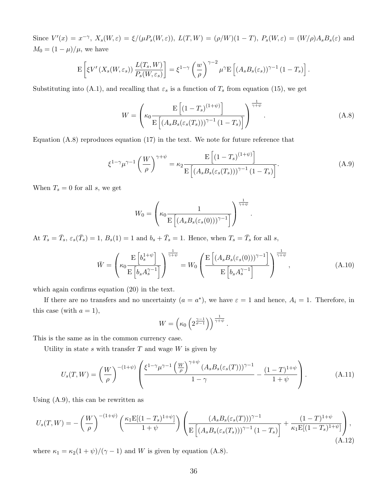Since  $V'(x) = x^{-\gamma}$ ,  $X_s(W,\varepsilon) = \xi/(\mu P_s(W,\varepsilon))$ ,  $L(T,W) = (\rho/W)(1-T)$ ,  $P_s(W,\varepsilon) = (W/\rho)A_sB_s(\varepsilon)$  and  $M_0 = (1 - \mu)/\mu$ , we have

$$
\mathbb{E}\left[\xi V'(X_s(W,\varepsilon_s))\,\frac{L(T_s,W)}{P_s(W,\varepsilon_s)}\right] = \xi^{1-\gamma}\left(\frac{w}{\rho}\right)^{\gamma-2}\mu^{\gamma}\mathbb{E}\left[(A_sB_s(\varepsilon_s))^{\gamma-1}\,(1-T_s)\right].
$$

Substituting into (A.1), and recalling that  $\varepsilon_s$  is a function of  $T_s$  from equation (15), we get

$$
W = \left(\kappa_0 \frac{\mathrm{E}\left[ (1 - T_s)^{(1 + \psi)} \right]}{\mathrm{E}\left[ (A_s B_s(\varepsilon_s(T_s)))^{\gamma - 1} (1 - T_s) \right]} \right)^{\frac{1}{\gamma + \psi}}.
$$
\n(A.8)

Equation (A.8) reproduces equation (17) in the text. We note for future reference that

$$
\xi^{1-\gamma}\mu^{\gamma-1}\left(\frac{W}{\rho}\right)^{\gamma+\psi} = \kappa_2 \frac{\mathcal{E}\left[ (1-T_s)^{(1+\psi)} \right]}{\mathcal{E}\left[ (A_s B_s(\varepsilon_s(T_s)))^{\gamma-1} (1-T_s) \right]}.
$$
\n(A.9)

When  $T_s = 0$  for all s, we get

$$
W_0 = \left(\kappa_0 \frac{1}{\mathrm{E}\left[ (A_s B_s(\varepsilon_s(0)))^{\gamma-1} \right]} \right)^{\frac{1}{\gamma+\psi}}.
$$

At  $T_s = \overline{T}_s$ ,  $\varepsilon_s(\overline{T}_s) = 1$ ,  $B_s(1) = 1$  and  $b_s + \overline{T}_s = 1$ . Hence, when  $T_s = \overline{T}_s$  for all s,

$$
\bar{W} = \left(\kappa_0 \frac{\mathcal{E}\left[b_s^{1+\psi}\right]}{\mathcal{E}\left[b_s A_s^{\gamma-1}\right]}\right)^{\frac{1}{\gamma+\psi}} = W_0 \left(\frac{\mathcal{E}\left[\left(A_s B_s(\varepsilon_s(0))\right)^{\gamma-1}\right]}{\mathcal{E}\left[b_s A_s^{\gamma-1}\right]}\right)^{\frac{1}{\gamma+\psi}},\tag{A.10}
$$

which again confirms equation  $(20)$  in the text.

If there are no transfers and no uncertainty  $(a = a^*)$ , we have  $\varepsilon = 1$  and hence,  $A_i = 1$ . Therefore, in this case (with  $a = 1$ ),

$$
W = \left(\kappa_0 \left(2^{\frac{\gamma - 1}{\sigma - 1}}\right)\right)^{\frac{1}{\gamma + \psi}}.
$$

This is the same as in the common currency case.

Utility in state s with transfer  $T$  and wage  $W$  is given by

$$
U_s(T,W) = \left(\frac{W}{\rho}\right)^{-(1+\psi)} \left(\frac{\xi^{1-\gamma}\mu^{\gamma-1}\left(\frac{W}{\rho}\right)^{\gamma+\psi}(A_s B_s(\varepsilon_s(T)))^{\gamma-1}}{1-\gamma} - \frac{(1-T)^{1+\psi}}{1+\psi}\right). \tag{A.11}
$$

Using (A.9), this can be rewritten as

$$
U_s(T,W) = -\left(\frac{W}{\rho}\right)^{-(1+\psi)} \left(\frac{\kappa_1 E[(1-T_s)^{1+\psi}]}{1+\psi}\right) \left(\frac{(A_s B_s(\varepsilon_s(T)))^{\gamma-1}}{E\left[(A_s B_s(\varepsilon_s(T_s)))^{\gamma-1}(1-T_s)\right]} + \frac{(1-T)^{1+\psi}}{\kappa_1 E[(1-T_s)^{1+\psi}]}\right),\tag{A.12}
$$

where  $\kappa_1 = \kappa_2(1 + \psi)/(\gamma - 1)$  and W is given by equation (A.8).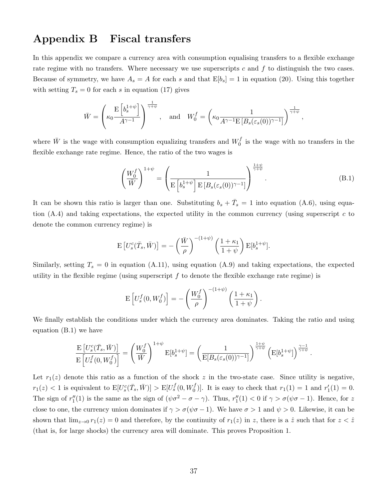## Appendix B Fiscal transfers

In this appendix we compare a currency area with consumption equalising transfers to a flexible exchange rate regime with no transfers. Where necessary we use superscripts  $c$  and  $f$  to distinguish the two cases. Because of symmetry, we have  $A_s = A$  for each s and that  $E[b_s] = 1$  in equation (20). Using this together with setting  $T_s = 0$  for each s in equation (17) gives

$$
\bar{W} = \left(\kappa_0 \frac{\mathrm{E} \left[ b_s^{1+\psi} \right]}{A^{\gamma-1}} \right)^{\frac{1}{\gamma+\psi}}, \quad \text{and} \quad W_0^f = \left(\kappa_0 \frac{1}{A^{\gamma-1} \mathrm{E} \left[ B_s(\varepsilon_s(0))^{\gamma-1} \right]} \right)^{\frac{1}{\gamma+\psi}},
$$

where  $\bar{W}$  is the wage with consumption equalizing transfers and  $W_0^f$  $\int_0^J$  is the wage with no transfers in the flexible exchange rate regime. Hence, the ratio of the two wages is

$$
\left(\frac{W_0^f}{\bar{W}}\right)^{1+\psi} = \left(\frac{1}{\mathbb{E}\left[b_s^{1+\psi}\right] \mathbb{E}\left[B_s(\varepsilon_s(0))^{\gamma-1}\right]}\right)^{\frac{1+\psi}{\gamma+\psi}}.\tag{B.1}
$$

.

It can be shown this ratio is larger than one. Substituting  $b_s + \bar{T}_s = 1$  into equation (A.6), using equation  $(A.4)$  and taking expectations, the expected utility in the common currency (using superscript c to denote the common currency regime) is

$$
\mathcal{E}\left[U_s^c(\bar{T}_s,\bar{W})\right] = -\left(\frac{\bar{W}}{\rho}\right)^{-(1+\psi)}\left(\frac{1+\kappa_1}{1+\psi}\right)\mathcal{E}[b_s^{1+\psi}].
$$

Similarly, setting  $T_s = 0$  in equation (A.11), using equation (A.9) and taking expectations, the expected utility in the flexible regime (using superscript  $f$  to denote the flexible exchange rate regime) is

$$
\mathbf{E}\left[U_s^f(0, W_0^f)\right] = -\left(\frac{W_0^f}{\rho}\right)^{-(1+\psi)}\left(\frac{1+\kappa_1}{1+\psi}\right).
$$

We finally establish the conditions under which the currency area dominates. Taking the ratio and using equation (B.1) we have

$$
\frac{\mathrm{E}\left[U_s^c(\bar{T}_s,\bar{W})\right]}{\mathrm{E}\left[U_s^f(0,W_0^f)\right]} = \left(\frac{W_0^f}{\bar{W}}\right)^{1+\psi} \mathrm{E}[b_s^{1+\psi}] = \left(\frac{1}{\mathrm{E}[B_s(\varepsilon_s(0))^{\gamma-1}]}\right)^{\frac{1+\psi}{\gamma+\psi}} \left(\mathrm{E}[b_s^{1+\psi}]\right)^{\frac{\gamma-1}{\gamma+\psi}}
$$

Let  $r_1(z)$  denote this ratio as a function of the shock z in the two-state case. Since utility is negative,  $r_1(z) < 1$  is equivalent to  $E[U_s^c(\bar{T}_s, \bar{W})] > E[U_s^f(0, W_0^f)]$ . It is easy to check that  $r_1(1) = 1$  and  $r'_1(1) = 0$ . The sign of  $r''_1(1)$  is the same as the sign of  $(\psi \sigma^2 - \sigma - \gamma)$ . Thus,  $r''_1(1) < 0$  if  $\gamma > \sigma(\psi \sigma - 1)$ . Hence, for z close to one, the currency union dominates if  $\gamma > \sigma(\psi \sigma - 1)$ . We have  $\sigma > 1$  and  $\psi > 0$ . Likewise, it can be shown that  $\lim_{z\to 0} r_1(z) = 0$  and therefore, by the continuity of  $r_1(z)$  in z, there is a  $\hat{z}$  such that for  $z < \hat{z}$ (that is, for large shocks) the currency area will dominate. This proves Proposition 1.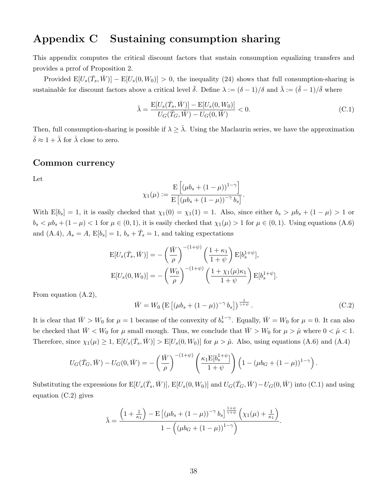## Appendix C Sustaining consumption sharing

This appendix computes the critical discount factors that sustain consumption equalizing transfers and provides a prrof of Proposition 2.

Provided  $E[U_s(\bar{T}_s, \bar{W})] - E[U_s(0, W_0)] > 0$ , the inequality (24) shows that full consumption-sharing is sustainable for discount factors above a critical level  $\bar{\delta}$ . Define  $\lambda := (\delta - 1)/\delta$  and  $\bar{\lambda} := (\bar{\delta} - 1)/\bar{\delta}$  where

$$
\bar{\lambda} = \frac{\mathcal{E}[U_s(\bar{T}_s, \bar{W})] - \mathcal{E}[U_s(0, W_0)]}{U_G(\bar{T}_G, \bar{W}) - U_G(0, \bar{W})} < 0. \tag{C.1}
$$

Then, full consumption-sharing is possible if  $\lambda \geq \overline{\lambda}$ . Using the Maclaurin series, we have the approximation  $\bar{\delta} \approx 1 + \bar{\lambda}$  for  $\bar{\lambda}$  close to zero.

#### Common currency

Let

$$
\chi_1(\mu) := \frac{\mathrm{E}\left[ (\mu b_s + (1 - \mu))^{1 - \gamma} \right]}{\mathrm{E}\left[ (\mu b_s + (1 - \mu))^{-\gamma} b_s \right]}.
$$

With  $E[b_s] = 1$ , it is easily checked that  $\chi_1(0) = \chi_1(1) = 1$ . Also, since either  $b_s > \mu b_s + (1 - \mu) > 1$  or  $b_s < \mu b_s + (1 - \mu) < 1$  for  $\mu \in (0, 1)$ , it is easily checked that  $\chi_1(\mu) > 1$  for  $\mu \in (0, 1)$ . Using equations  $(A.6)$ and (A.4),  $A_s = A$ ,  $E[b_s] = 1$ ,  $b_s + \bar{T}_s = 1$ , and taking expectations

$$
\mathcal{E}[U_s(\bar{T}_s, \bar{W})] = -\left(\frac{\bar{W}}{\rho}\right)^{-(1+\psi)} \left(\frac{1+\kappa_1}{1+\psi}\right) \mathcal{E}[b_s^{1+\psi}],
$$

$$
\mathcal{E}[U_s(0, W_0)] = -\left(\frac{W_0}{\rho}\right)^{-(1+\psi)} \left(\frac{1+\chi_1(\mu)\kappa_1}{1+\psi}\right) \mathcal{E}[b_s^{1+\psi}].
$$

From equation (A.2),

$$
\bar{W} = W_0 \left( \mathcal{E} \left[ (\mu b_s + (1 - \mu))^{-\gamma} b_s \right] \right)^{\frac{1}{\gamma + \psi}}.
$$
\n(C.2)

.

It is clear that  $\bar{W} > W_0$  for  $\mu = 1$  because of the convexity of  $b_s^{1-\gamma}$ . Equally,  $\bar{W} = W_0$  for  $\mu = 0$ . It can also be checked that  $\bar{W} < W_0$  for  $\mu$  small enough. Thus, we conclude that  $\bar{W} > W_0$  for  $\mu > \hat{\mu}$  where  $0 < \hat{\mu} < 1$ . Therefore, since  $\chi_1(\mu) \geq 1$ ,  $E[U_s(\bar{T}_s, \bar{W})] > E[U_s(0, W_0)]$  for  $\mu > \hat{\mu}$ . Also, using equations (A.6) and (A.4)

$$
U_G(\bar{T}_G, \bar{W}) - U_G(0, \bar{W}) = -\left(\frac{\bar{W}}{\rho}\right)^{-(1+\psi)} \left(\frac{\kappa_1 \mathbb{E}[b_s^{1+\psi}]}{1+\psi}\right) \left(1 - (\mu b_G + (1-\mu))^{1-\gamma}\right)
$$

Substituting the expressions for  $E[U_s(\bar{T}_s,\bar{W})], E[U_s(0,W_0)]$  and  $U_G(\bar{T}_G,\bar{W}) - U_G(0,\bar{W})$  into (C.1) and using equation (C.2) gives

$$
\bar{\lambda} = \frac{\left(1 + \frac{1}{\kappa_1}\right) - \mathrm{E}\left[ (\mu b_s + (1 - \mu))^{-\gamma} b_s \right]^{\frac{1 + \psi}{\gamma + \psi}} \left( \chi_1(\mu) + \frac{1}{\kappa_1} \right)}{1 - \left( (\mu b_G + (1 - \mu))^{1 - \gamma} \right)}.
$$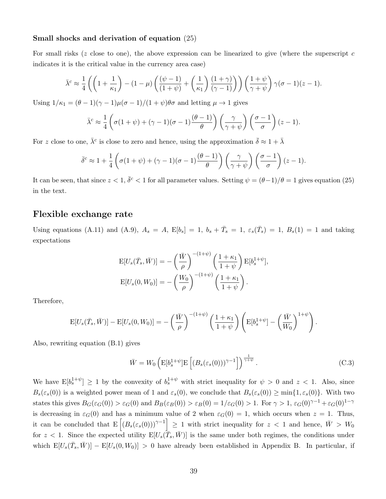#### Small shocks and derivation of equation (25)

For small risks ( $z$  close to one), the above expression can be linearized to give (where the superscript  $c$ indicates it is the critical value in the currency area case)

$$
\bar{\lambda}^c \approx \frac{1}{4} \left( \left( 1 + \frac{1}{\kappa_1} \right) - (1 - \mu) \left( \frac{(\psi - 1)}{(1 + \psi)} + \left( \frac{1}{\kappa_1} \right) \frac{(1 + \gamma)}{(\gamma - 1)} \right) \right) \left( \frac{1 + \psi}{\gamma + \psi} \right) \gamma(\sigma - 1)(z - 1).
$$

Using  $1/\kappa_1 = (\theta - 1)(\gamma - 1)\mu(\sigma - 1)/(1 + \psi)\theta\sigma$  and letting  $\mu \to 1$  gives

$$
\bar{\lambda}^c \approx \frac{1}{4} \left( \sigma(1+\psi) + (\gamma - 1)(\sigma - 1) \frac{(\theta - 1)}{\theta} \right) \left( \frac{\gamma}{\gamma + \psi} \right) \left( \frac{\sigma - 1}{\sigma} \right) (z - 1).
$$

For z close to one,  $\bar{\lambda}^c$  is close to zero and hence, using the approximation  $\bar{\delta} \approx 1 + \bar{\lambda}$ 

$$
\bar{\delta}^c \approx 1 + \frac{1}{4} \left( \sigma(1+\psi) + (\gamma-1)(\sigma-1) \frac{(\theta-1)}{\theta} \right) \left( \frac{\gamma}{\gamma+\psi} \right) \left( \frac{\sigma-1}{\sigma} \right) (z-1).
$$

It can be seen, that since  $z < 1$ ,  $\bar{\delta}^c < 1$  for all parameter values. Setting  $\psi = (\theta - 1)/\theta = 1$  gives equation (25) in the text.

#### Flexible exchange rate

Using equations (A.11) and (A.9),  $A_s = A$ ,  $E[b_s] = 1$ ,  $b_s + \bar{T}_s = 1$ ,  $\varepsilon_s(\bar{T}_s) = 1$ ,  $B_s(1) = 1$  and taking expectations

$$
E[U_s(\bar{T}_s, \bar{W})] = -\left(\frac{\bar{W}}{\rho}\right)^{-(1+\psi)} \left(\frac{1+\kappa_1}{1+\psi}\right) E[b_s^{1+\psi}],
$$
  

$$
E[U_s(0, W_0)] = -\left(\frac{W_0}{\rho}\right)^{-(1+\psi)} \left(\frac{1+\kappa_1}{1+\psi}\right).
$$

Therefore,

$$
\mathrm{E}[U_s(\bar{T}_s,\bar{W})] - \mathrm{E}[U_s(0,W_0)] = -\left(\frac{\bar{W}}{\rho}\right)^{-(1+\psi)} \left(\frac{1+\kappa_1}{1+\psi}\right) \left(\mathrm{E}[b_s^{1+\psi}] - \left(\frac{\bar{W}}{W_0}\right)^{1+\psi}\right).
$$

Also, rewriting equation (B.1) gives

$$
\bar{W} = W_0 \left( \mathcal{E}[b_s^{1+\psi}] \mathcal{E}\left[ \left( B_s(\varepsilon_s(0)) \right)^{\gamma-1} \right] \right)^{\frac{1}{\gamma+\psi}}.
$$
\n(C.3)

We have  $E[b_s^{1+\psi}] \ge 1$  by the convexity of  $b_s^{1+\psi}$  with strict inequality for  $\psi > 0$  and  $z < 1$ . Also, since  $B_s(\varepsilon_s(0))$  is a weighted power mean of 1 and  $\varepsilon_s(0)$ , we conclude that  $B_s(\varepsilon_s(0)) \ge \min\{1, \varepsilon_s(0)\}\.$  With two states this gives  $B_G(\varepsilon_G(0)) > \varepsilon_G(0)$  and  $B_B(\varepsilon_B(0)) > \varepsilon_B(0) = 1/\varepsilon_G(0) > 1$ . For  $\gamma > 1$ ,  $\varepsilon_G(0)^{\gamma-1} + \varepsilon_G(0)^{1-\gamma}$ is decreasing in  $\varepsilon_G(0)$  and has a minimum value of 2 when  $\varepsilon_G(0) = 1$ , which occurs when  $z = 1$ . Thus, it can be concluded that  $E\left[ (B_s(\varepsilon_s(0)))^{\gamma-1} \right] \geq 1$  with strict inequality for  $z < 1$  and hence,  $\bar{W} > W_0$ for  $z < 1$ . Since the expected utility  $E[U_s(\overline{T}_s, \overline{W})]$  is the same under both regimes, the conditions under which  $E[U_s(\bar{T}_s, \bar{W})] - E[U_s(0, W_0)] > 0$  have already been established in Appendix B. In particular, if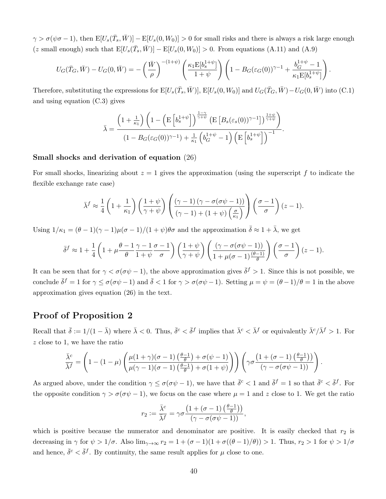$\gamma > \sigma(\psi \sigma - 1)$ , then  $\mathbb{E}[U_s(\bar{T}_s, \bar{W})] - \mathbb{E}[U_s(0, W_0)] > 0$  for small risks and there is always a risk large enough (z small enough) such that  $E[U_s(\bar{T}_s, \bar{W})] - E[U_s(0, W_0)] > 0$ . From equations (A.11) and (A.9)

$$
U_G(\bar{T}_G, \bar{W}) - U_G(0, \bar{W}) = -\left(\frac{\bar{W}}{\rho}\right)^{-(1+\psi)} \left(\frac{\kappa_1 \mathcal{E}[b_s^{1+\psi}]}{1+\psi}\right) \left(1 - B_G(\varepsilon_G(0))^{\gamma-1} + \frac{b_G^{1+\psi}-1}{\kappa_1 \mathcal{E}[b_s^{1+\psi}]}\right).
$$

Therefore, substituting the expressions for  $E[U_s(\bar{T}_s, \bar{W})]$ ,  $E[U_s(0, W_0)]$  and  $U_G(\bar{T}_G, \bar{W}) - U_G(0, \bar{W})$  into (C.1) and using equation (C.3) gives

$$
\bar{\lambda} = \frac{\left(1 + \frac{1}{\kappa_1}\right)\left(1 - \left(\mathcal{E}\left[b_s^{1 + \psi}\right]\right)^{\frac{1 - \gamma}{\gamma + \psi}}\left(\mathcal{E}\left[B_s(\varepsilon_s(0))^{\gamma - 1}\right]\right)^{\frac{1 + \psi}{\gamma + \psi}}\right)}{\left(1 - B_G(\varepsilon_G(0))^{\gamma - 1}\right) + \frac{1}{\kappa_1}\left(b_G^{1 + \psi} - 1\right)\left(\mathcal{E}\left[b_s^{1 + \psi}\right]\right)^{-1}}.
$$

#### Small shocks and derivation of equation (26)

For small shocks, linearizing about  $z = 1$  gives the approximation (using the superscript f to indicate the flexible exchange rate case)

$$
\bar{\lambda}^{f} \approx \frac{1}{4} \left( 1 + \frac{1}{\kappa_{1}} \right) \left( \frac{1 + \psi}{\gamma + \psi} \right) \left( \frac{(\gamma - 1) \left( \gamma - \sigma(\sigma\psi - 1) \right)}{(\gamma - 1) + (1 + \psi) \left( \frac{\sigma}{\kappa_{1}} \right)} \right) \left( \frac{\sigma - 1}{\sigma} \right) (z - 1).
$$

Using  $1/\kappa_1 = (\theta - 1)(\gamma - 1)\mu(\sigma - 1)/(1 + \psi)\theta\sigma$  and the approximation  $\bar{\delta} \approx 1 + \bar{\lambda}$ , we get

$$
\bar{\delta}^f \approx 1 + \frac{1}{4} \left( 1 + \mu \frac{\theta - 1}{\theta} \frac{\gamma - 1}{1 + \psi} \frac{\sigma - 1}{\sigma} \right) \left( \frac{1 + \psi}{\gamma + \psi} \right) \left( \frac{(\gamma - \sigma(\sigma\psi - 1))}{1 + \mu(\sigma - 1) \frac{(\theta - 1)}{\theta}} \right) \left( \frac{\sigma - 1}{\sigma} \right) (z - 1).
$$

It can be seen that for  $\gamma < \sigma(\sigma\psi - 1)$ , the above approximation gives  $\bar{\delta}^f > 1$ . Since this is not possible, we conclude  $\bar{\delta}^f = 1$  for  $\gamma \le \sigma(\sigma\psi - 1)$  and  $\bar{\delta} < 1$  for  $\gamma > \sigma(\sigma\psi - 1)$ . Setting  $\mu = \psi = (\theta - 1)/\theta = 1$  in the above approximation gives equation (26) in the text.

#### Proof of Proposition 2

Recall that  $\bar{\delta} := 1/(1 - \bar{\lambda})$  where  $\bar{\lambda} < 0$ . Thus,  $\bar{\delta}^c < \bar{\delta}^f$  implies that  $\bar{\lambda}^c < \bar{\lambda}^f$  or equivalently  $\bar{\lambda}^c/\bar{\lambda}^f > 1$ . For z close to 1, we have the ratio

$$
\frac{\bar{\lambda}^c}{\bar{\lambda}^f} = \left(1 - (1 - \mu) \left( \frac{\mu(1 + \gamma)(\sigma - 1) \left(\frac{\theta - 1}{\theta}\right) + \sigma(\psi - 1)}{\mu(\gamma - 1)(\sigma - 1) \left(\frac{\theta - 1}{\theta}\right) + \sigma(1 + \psi)}\right)\right) \left(\gamma \sigma \frac{\left(1 + (\sigma - 1) \left(\frac{\theta - 1}{\theta}\right)\right)}{(\gamma - \sigma(\sigma \psi - 1))}\right).
$$

As argued above, under the condition  $\gamma \le \sigma(\sigma\psi - 1)$ , we have that  $\bar{\delta}^c < 1$  and  $\bar{\delta}^f = 1$  so that  $\bar{\delta}^c < \bar{\delta}^f$ . For the opposite condition  $\gamma > \sigma(\sigma \psi - 1)$ , we focus on the case where  $\mu = 1$  and z close to 1. We get the ratio

$$
r_2 := \frac{\bar{\lambda}^c}{\bar{\lambda}^f} = \gamma \sigma \frac{\left(1 + (\sigma - 1)\left(\frac{\theta - 1}{\theta}\right)\right)}{\left(\gamma - \sigma(\sigma \psi - 1)\right)},
$$

which is positive because the numerator and denominator are positive. It is easily checked that  $r_2$  is decreasing in  $\gamma$  for  $\psi > 1/\sigma$ . Also  $\lim_{\gamma \to \infty} r_2 = 1 + (\sigma - 1)(1 + \sigma((\theta - 1)/\theta)) > 1$ . Thus,  $r_2 > 1$  for  $\psi > 1/\sigma$ . and hence,  $\bar{\delta}^c < \bar{\delta}^f$ . By continuity, the same result applies for  $\mu$  close to one.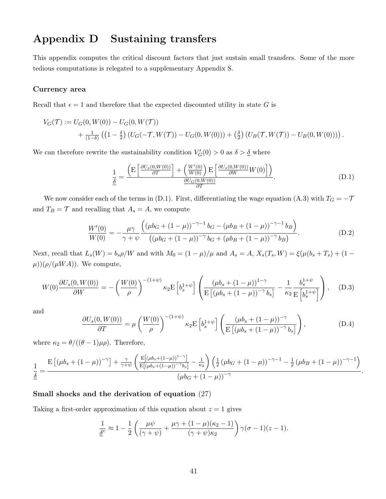## Appendix D Sustaining transfers

This appendix computes the critical discount factors that just sustain small transfers. Some of the more tedious computations is relegated to a supplementary Appendix S.

#### Currency area

Recall that  $\epsilon = 1$  and therefore that the expected discounted utility in state G is

$$
V_G(\mathcal{T}) := U_G(0, W(0)) - U_G(0, W(\mathcal{T}))
$$
  
+  $\frac{1}{(1-\delta)} ((1-\frac{\delta}{2}) (U_G(-\mathcal{T}, W(\mathcal{T})) - U_G(0, W(0))) + (\frac{\delta}{2}) (U_B(\mathcal{T}, W(\mathcal{T})) - U_B(0, W(0))))$ .

We can therefore rewrite the sustainability condition  $V_G'(0) > 0$  as  $\delta > \underline{\delta}$  where

$$
\frac{1}{\underline{\delta}} = \frac{\left( \mathcal{E} \left[ \frac{\partial U_s(0, W(0))}{\partial T} \right] + \left( \frac{W'(0)}{W(0)} \right) \mathcal{E} \left[ \frac{\partial U_s(0, W(0))}{\partial W} W(0) \right] \right)}{\frac{\partial U_G(0, W(0))}{\partial T}}.
$$
\n(D.1)

We now consider each of the terms in (D.1). First, differentiating the wage equation (A.3) with  $T_G = -T$ and  $T_B = \mathcal{T}$  and recalling that  $A_s = A$ , we compute

$$
\frac{W'(0)}{W(0)} = -\frac{\mu\gamma}{\gamma + \psi} \frac{\left( (\mu b_G + (1 - \mu))^{-\gamma - 1} b_G - (\mu b_B + (1 - \mu))^{-\gamma - 1} b_B \right)}{\left( (\mu b_G + (1 - \mu))^{-\gamma} b_G + (\mu b_B + (1 - \mu))^{-\gamma} b_B \right)}.
$$
(D.2)

Next, recall that  $L_s(W) = b_s \rho/W$  and with  $M_0 = (1 - \mu)/\mu$  and  $A_s = A$ ,  $X_s(T_s, W) = \xi(\mu(b_s + T_s) + (1 \mu$ ))( $\rho$ /( $\mu WA$ )). We compute,

$$
W(0)\frac{\partial U_s(0, W(0))}{\partial W} = -\left(\frac{W(0)}{\rho}\right)^{-(1+\psi)}\kappa_2 E\left[b_s^{1+\psi}\right] \left(\frac{(\mu b_s + (1-\mu))^{1-\gamma}}{E\left[(\mu b_s + (1-\mu))^{-\gamma} b_s\right]} - \frac{1}{\kappa_2} \frac{b_s^{1+\psi}}{E\left[b_s^{1+\psi}\right]}\right), \quad (D.3)
$$

and

$$
\frac{\partial U_s(0, W(0))}{\partial T} = \mu \left( \frac{W(0)}{\rho} \right)^{-(1+\psi)} \kappa_2 \mathcal{E} \left[ b_s^{1+\psi} \right] \left( \frac{(\mu b_s + (1-\mu))^{-\gamma}}{\mathcal{E} \left[ (\mu b_s + (1-\mu))^{-\gamma} b_s \right]} \right), \tag{D.4}
$$

.

where  $\kappa_2 = \theta/((\theta - 1)\mu \rho)$ . Therefore,

$$
\frac{1}{\underline{\delta}} = \frac{\mathrm{E}\left[\left(\mu b_s + (1-\mu)\right)^{-\gamma}\right] + \frac{\gamma}{\gamma+\psi}\left(\frac{\mathrm{E}\left[\left(\mu b_s + (1-\mu)\right)^{1-\gamma}\right]}{\mathrm{E}\left[\left(\mu b_s + (1-\mu)\right)^{-\gamma}b_s\right]} - \frac{1}{\kappa_2}\right)\left(\frac{1}{2}\left(\mu b_G + (1-\mu)\right)^{-\gamma-1} - \frac{1}{2}\left(\mu b_B + (1-\mu)\right)^{-\gamma-1}\right)}{\left(\mu b_G + (1-\mu)\right)^{-\gamma}}
$$

#### Small shocks and the derivation of equation (27)

Taking a first-order approximation of this equation about  $z = 1$  gives

$$
\frac{1}{\underline{\delta}^c} \approx 1 - \frac{1}{2} \left( \frac{\mu \psi}{(\gamma + \psi)} + \frac{\mu \gamma + (1 - \mu)(\kappa_2 - 1)}{(\gamma + \psi)\kappa_2} \right) \gamma(\sigma - 1)(z - 1).
$$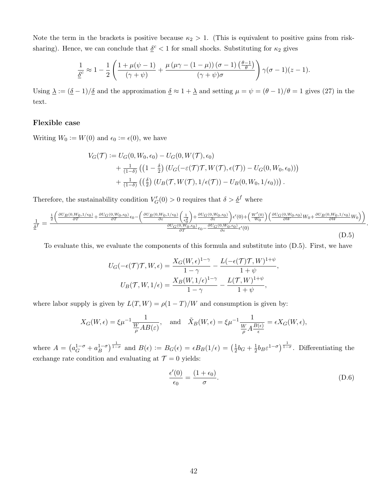Note the term in the brackets is positive because  $\kappa_2 > 1$ . (This is equivalent to positive gains from risksharing). Hence, we can conclude that  $\underline{\delta}^c < 1$  for small shocks. Substituting for  $\kappa_2$  gives

$$
\frac{1}{\underline{\delta}^c} \approx 1 - \frac{1}{2} \left( \frac{1 + \mu(\psi - 1)}{(\gamma + \psi)} + \frac{\mu(\mu\gamma - (1 - \mu))(\sigma - 1)(\frac{\theta - 1}{\theta})}{(\gamma + \psi)\sigma} \right) \gamma(\sigma - 1)(z - 1).
$$

Using  $\Delta := (\underline{\delta} - 1)/\underline{\delta}$  and the approximation  $\underline{\delta} \approx 1 + \underline{\lambda}$  and setting  $\mu = \psi = (\theta - 1)/\theta = 1$  gives (27) in the text.

#### Flexible case

Writing  $W_0 := W(0)$  and  $\epsilon_0 := \epsilon(0)$ , we have

$$
V_G(\mathcal{T}) := U_G(0, W_0, \epsilon_0) - U_G(0, W(\mathcal{T}), \epsilon_0)
$$
  
+ 
$$
\frac{1}{(1-\delta)} ((1-\frac{\delta}{2}) (U_G(-\varepsilon(\mathcal{T})\mathcal{T}, W(\mathcal{T}), \epsilon(\mathcal{T})) - U_G(0, W_0, \epsilon_0)))
$$
  
+ 
$$
\frac{1}{(1-\delta)} ((\frac{\delta}{2}) (U_B(\mathcal{T}, W(\mathcal{T}), 1/\epsilon(\mathcal{T})) - U_B(0, W_0, 1/\epsilon_0))) .
$$

Therefore, the sustainability condition  $V'_G(0) > 0$  requires that  $\delta > \underline{\delta}^f$  where

$$
\frac{1}{\underline{\delta}^f} = \frac{\frac{1}{2} \left( \frac{\partial U_B(0, W_0, 1/\epsilon_0)}{\partial T} + \frac{\partial U_G(0, W_0, \epsilon_0)}{\partial T} \epsilon_0 - \left( \frac{\partial U_B(0, W_0, 1/\epsilon_0)}{\partial \epsilon} \left( \frac{1}{\epsilon_0^2} \right) + \frac{\partial U_G(0, W_0, \epsilon_0)}{\partial \epsilon} \right) \epsilon'(0) + \left( \frac{W'(0)}{W_0} \right) \left( \frac{\partial U_G(0, W_0, \epsilon_0)}{\partial W} W_0 + \frac{\partial U_B(0, W_0, 1/\epsilon_0)}{\partial W} W_0 \right) \right)}{\frac{\partial U_G(0, W_0, \epsilon_0)}{\partial T} \epsilon_0 - \frac{\partial U_G(0, W_0, \epsilon_0)}{\partial \epsilon} \epsilon'(0)}
$$
(D.5)

To evaluate this, we evaluate the components of this formula and substitute into (D.5). First, we have

$$
U_G(-\epsilon(\mathcal{T})\mathcal{T}, W, \epsilon) = \frac{X_G(W, \epsilon)^{1-\gamma}}{1-\gamma} - \frac{L(-\epsilon(\mathcal{T})\mathcal{T}, W)^{1+\psi}}{1+\psi},
$$

$$
U_B(\mathcal{T}, W, 1/\epsilon) = \frac{X_B(W, 1/\epsilon)^{1-\gamma}}{1-\gamma} - \frac{L(\mathcal{T}, W)^{1+\psi}}{1+\psi},
$$

where labor supply is given by  $L(T, W) = \rho(1 - T)/W$  and consumption is given by:

$$
X_G(W,\epsilon) = \xi \mu^{-1} \frac{1}{\frac{W}{\rho} AB(\epsilon)}, \text{ and } \tilde{X}_B(W,\epsilon) = \xi \mu^{-1} \frac{1}{\frac{W}{\rho} A \frac{B(\epsilon)}{\epsilon}} = \epsilon X_G(W,\epsilon),
$$

where  $A = \left( a_G^{1-\sigma} + a_B^{1-\sigma} \right)$  $\left(B\right)^{1-\sigma}$  and  $B(\epsilon) := B_G(\epsilon) = \epsilon B_B(1/\epsilon) = \left(\frac{1}{2}\right)$  $\frac{1}{2}b_G + \frac{1}{2}$  $\frac{1}{2}b_B \varepsilon^{1-\sigma}$ )<sup>1- $\sigma$ </sup>. Differentiating the exchange rate condition and evaluating at  $\mathcal{T} = 0$  yields:

$$
\frac{\epsilon'(0)}{\epsilon_0} = \frac{(1 + \epsilon_0)}{\sigma}.
$$
\n(D.6)

.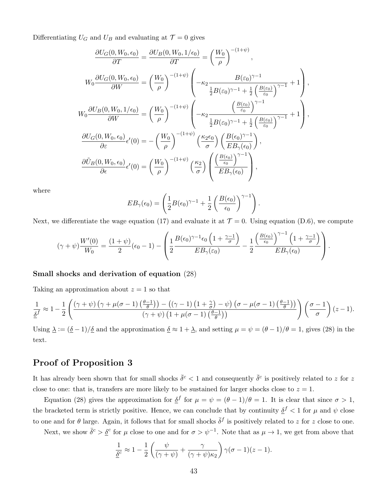Differentiating  $U_G$  and  $U_B$  and evaluating at  $\mathcal{T} = 0$  gives

$$
\frac{\partial U_G(0, W_0, \epsilon_0)}{\partial T} = \frac{\partial U_B(0, W_0, 1/\epsilon_0)}{\partial T} = \left(\frac{W_0}{\rho}\right)^{-(1+\psi)},
$$
\n
$$
W_0 \frac{\partial U_G(0, W_0, \epsilon_0)}{\partial W} = \left(\frac{W_0}{\rho}\right)^{-(1+\psi)} \left(-\kappa_2 \frac{B(\epsilon_0)^{\gamma-1}}{\frac{1}{2}B(\epsilon_0)^{\gamma-1} + \frac{1}{2}\left(\frac{B(\epsilon_0)}{\epsilon_0}\right)^{\gamma-1}} + 1\right),
$$
\n
$$
W_0 \frac{\partial U_B(0, W_0, 1/\epsilon_0)}{\partial W} = \left(\frac{W_0}{\rho}\right)^{-(1+\psi)} \left(-\kappa_2 \frac{\left(\frac{B(\epsilon_0)}{\epsilon_0}\right)^{\gamma-1}}{\frac{1}{2}B(\epsilon_0)^{\gamma-1} + \frac{1}{2}\left(\frac{B(\epsilon_0)}{\epsilon_0}\right)^{\gamma-1}} + 1\right),
$$
\n
$$
\frac{\partial U_G(0, W_0, \epsilon_0)}{\partial \epsilon} \epsilon'(0) = -\left(\frac{W_0}{\rho}\right)^{-(1+\psi)} \left(\frac{\kappa_2 \epsilon_0}{\sigma}\right) \left(\frac{B(\epsilon_0)^{\gamma-1}}{EB_{\gamma}(\epsilon_0)}\right),
$$
\n
$$
\frac{\partial \tilde{U}_B(0, W_0, \epsilon_0)}{\partial \epsilon} \epsilon'(0) = \left(\frac{W_0}{\rho}\right)^{-(1+\psi)} \left(\frac{\kappa_2}{\sigma}\right) \left(\frac{\left(\frac{B(\epsilon_0)}{\epsilon_0}\right)^{\gamma-1}}{EB_{\gamma}(\epsilon_0)}\right),
$$

where

$$
EB_{\gamma}(\epsilon_0) = \left(\frac{1}{2}B(\epsilon_0)^{\gamma-1} + \frac{1}{2}\left(\frac{B(\epsilon_0)}{\epsilon_0}\right)^{\gamma-1}\right).
$$

Next, we differentiate the wage equation (17) and evaluate it at  $\mathcal{T} = 0$ . Using equation (D.6), we compute

$$
(\gamma + \psi)\frac{W'(0)}{W_0} = \frac{(1+\psi)}{2}(\epsilon_0 - 1) - \left(\frac{1}{2}\frac{B(\epsilon_0)^{\gamma-1}\epsilon_0\left(1 + \frac{\gamma-1}{\sigma}\right)}{EB_{\gamma}(\epsilon_0)} - \frac{1}{2}\frac{\left(\frac{B(\epsilon_0)}{\epsilon_0}\right)^{\gamma-1}\left(1 + \frac{\gamma-1}{\sigma}\right)}{EB_{\gamma}(\epsilon_0)}\right).
$$

#### Small shocks and derivation of equation (28)

Taking an approximation about  $z = 1$  so that

$$
\frac{1}{\underline{\delta}^f} \approx 1 - \frac{1}{2} \left( \frac{(\gamma + \psi) \left( \gamma + \mu(\sigma - 1) \left( \frac{\theta - 1}{\theta} \right) \right) - \left( (\gamma - 1) \left( 1 + \frac{\gamma}{\sigma} \right) - \psi \right) \left( \sigma - \mu(\sigma - 1) \left( \frac{\theta - 1}{\theta} \right) \right)}{(\gamma + \psi) \left( 1 + \mu(\sigma - 1) \left( \frac{\theta - 1}{\theta} \right) \right)} \right) \left( \frac{\sigma - 1}{\sigma} \right) (z - 1).
$$

Using  $\Delta := (\underline{\delta} - 1)/\underline{\delta}$  and the approximation  $\underline{\delta} \approx 1 + \underline{\lambda}$ , and setting  $\mu = \psi = (\theta - 1)/\theta = 1$ , gives (28) in the text.

#### Proof of Proposition 3

It has already been shown that for small shocks  $\bar{\delta}^c < 1$  and consequently  $\bar{\delta}^c$  is positively related to z for z close to one: that is, transfers are more likely to be sustained for larger shocks close to  $z = 1$ .

Equation (28) gives the approximation for  $\underline{\delta}^f$  for  $\mu = \psi = (\theta - 1)/\theta = 1$ . It is clear that since  $\sigma > 1$ , the bracketed term is strictly positive. Hence, we can conclude that by continuity  $\delta^f < 1$  for  $\mu$  and  $\psi$  close to one and for  $\theta$  large. Again, it follows that for small shocks  $\bar{\delta}^f$  is positively related to z for z close to one.

Next, we show  $\bar{\delta}^c > \underline{\delta}^c$  for  $\mu$  close to one and for  $\sigma > \psi^{-1}$ . Note that as  $\mu \to 1$ , we get from above that

$$
\frac{1}{\underline{\delta}^c} \approx 1 - \frac{1}{2} \left( \frac{\psi}{(\gamma + \psi)} + \frac{\gamma}{(\gamma + \psi)\kappa_2} \right) \gamma(\sigma - 1)(z - 1).
$$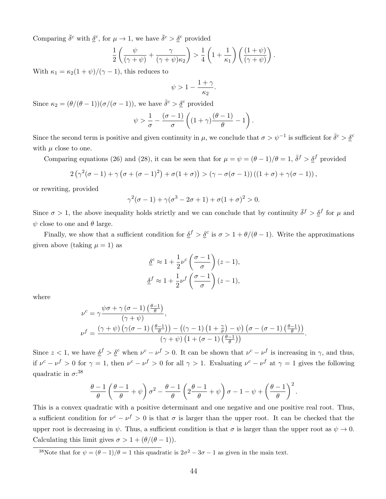Comparing  $\bar{\delta}^c$  with  $\underline{\delta}^c$ , for  $\mu \to 1$ , we have  $\bar{\delta}^c > \underline{\delta}^c$  provided

$$
\frac{1}{2}\left(\frac{\psi}{(\gamma+\psi)}+\frac{\gamma}{(\gamma+\psi)\kappa_2}\right) > \frac{1}{4}\left(1+\frac{1}{\kappa_1}\right)\left(\frac{(1+\psi)}{(\gamma+\psi)}\right).
$$

With  $\kappa_1 = \kappa_2(1+\psi)/(\gamma-1)$ , this reduces to

$$
\psi > 1 - \frac{1+\gamma}{\kappa_2}.
$$

Since  $\kappa_2 = (\theta/(\theta - 1))(\sigma/(\sigma - 1))$ , we have  $\bar{\delta}^c > \underline{\delta}^c$  provided

$$
\psi > \frac{1}{\sigma} - \frac{(\sigma - 1)}{\sigma} \left( (1 + \gamma) \frac{(\theta - 1)}{\theta} - 1 \right).
$$

Since the second term is positive and given continuity in  $\mu$ , we conclude that  $\sigma > \psi^{-1}$  is sufficient for  $\bar{\delta}^c > \underline{\delta}^c$ with  $\mu$  close to one.

Comparing equations (26) and (28), it can be seen that for  $\mu = \psi = (\theta - 1)/\theta = 1$ ,  $\bar{\delta}^f > \underline{\delta}^f$  provided

$$
2(\gamma^2(\sigma-1)+\gamma(\sigma+(\sigma-1)^2)+\sigma(1+\sigma))>(\gamma-\sigma(\sigma-1))((1+\sigma)+\gamma(\sigma-1)),
$$

or rewriting, provided

$$
\gamma^2(\sigma - 1) + \gamma(\sigma^3 - 2\sigma + 1) + \sigma(1 + \sigma)^2 > 0.
$$

Since  $\sigma > 1$ , the above inequality holds strictly and we can conclude that by continuity  $\bar{\delta}^f > \underline{\delta}^f$  for  $\mu$  and  $\psi$  close to one and  $\theta$  large.

Finally, we show that a sufficient condition for  $\underline{\delta}^f > \underline{\delta}^c$  is  $\sigma > 1 + \theta/(\theta - 1)$ . Write the approximations given above (taking  $\mu = 1$ ) as

$$
\underline{\delta}^c \approx 1 + \frac{1}{2} \nu^c \left( \frac{\sigma - 1}{\sigma} \right) (z - 1),
$$
  

$$
\underline{\delta}^f \approx 1 + \frac{1}{2} \nu^f \left( \frac{\sigma - 1}{\sigma} \right) (z - 1),
$$

where

$$
\nu^{c} = \gamma \frac{\psi \sigma + \gamma (\sigma - 1) (\frac{\theta - 1}{\theta})}{(\gamma + \psi)},
$$
  

$$
\nu^{f} = \frac{(\gamma + \psi) (\gamma (\sigma - 1) (\frac{\theta - 1}{\theta})) - ((\gamma - 1) (1 + \frac{\gamma}{\sigma}) - \psi) (\sigma - (\sigma - 1) (\frac{\theta - 1}{\theta}))}{(\gamma + \psi) (1 + (\sigma - 1) (\frac{\theta - 1}{\theta}))}.
$$

Since  $z < 1$ , we have  $\underline{\delta}^f > \underline{\delta}^c$  when  $\nu^c - \nu^f > 0$ . It can be shown that  $\nu^c - \nu^f$  is increasing in  $\gamma$ , and thus, if  $\nu^c - \nu^f > 0$  for  $\gamma = 1$ , then  $\nu^c - \nu^f > 0$  for all  $\gamma > 1$ . Evaluating  $\nu^c - \nu^f$  at  $\gamma = 1$  gives the following quadratic in  $\sigma$ :<sup>38</sup>

$$
\frac{\theta-1}{\theta}\left(\frac{\theta-1}{\theta}+\psi\right)\sigma^2-\frac{\theta-1}{\theta}\left(2\frac{\theta-1}{\theta}+\psi\right)\sigma-1-\psi+\left(\frac{\theta-1}{\theta}\right)^2.
$$

This is a convex quadratic with a positive determinant and one negative and one positive real root. Thus, a sufficient condition for  $\nu^c - \nu^f > 0$  is that  $\sigma$  is larger than the upper root. It can be checked that the upper root is decreasing in  $\psi$ . Thus, a sufficient condition is that  $\sigma$  is larger than the upper root as  $\psi \to 0$ . Calculating this limit gives  $\sigma > 1 + (\theta/(\theta - 1)).$ 

<sup>38</sup>Note that for  $\psi = (\theta - 1)/\theta = 1$  this quadratic is  $2\sigma^2 - 3\sigma - 1$  as given in the main text.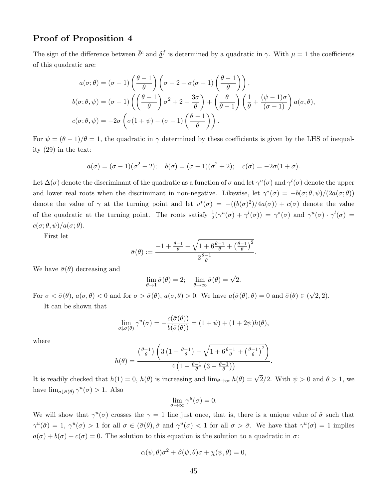#### Proof of Proposition 4

The sign of the difference between  $\bar{\delta}^c$  and  $\underline{\delta}^f$  is determined by a quadratic in  $\gamma$ . With  $\mu = 1$  the coefficients of this quadratic are:

$$
a(\sigma;\theta) = (\sigma - 1) \left(\frac{\theta - 1}{\theta}\right) \left(\sigma - 2 + \sigma(\sigma - 1) \left(\frac{\theta - 1}{\theta}\right)\right),
$$
  

$$
b(\sigma;\theta,\psi) = (\sigma - 1) \left(\left(\frac{\theta - 1}{\theta}\right) \sigma^2 + 2 + \frac{3\sigma}{\theta}\right) + \left(\frac{\theta}{\theta - 1}\right) \left(\frac{1}{\theta} + \frac{(\psi - 1)\sigma}{(\sigma - 1)}\right) a(\sigma,\theta),
$$
  

$$
c(\sigma;\theta,\psi) = -2\sigma \left(\sigma(1+\psi) - (\sigma - 1) \left(\frac{\theta - 1}{\theta}\right)\right).
$$

For  $\psi = (\theta - 1)/\theta = 1$ , the quadratic in  $\gamma$  determined by these coefficients is given by the LHS of inequality (29) in the text:

$$
a(\sigma) = (\sigma - 1)(\sigma^2 - 2); b(\sigma) = (\sigma - 1)(\sigma^2 + 2); c(\sigma) = -2\sigma(1 + \sigma).
$$

Let  $\Delta(\sigma)$  denote the discriminant of the quadratic as a function of  $\sigma$  and let  $\gamma^u(\sigma)$  and  $\gamma^l(\sigma)$  denote the upper and lower real roots when the discriminant in non-negative. Likewise, let  $\gamma^*(\sigma) = -b(\sigma;\theta,\psi)/(2a(\sigma;\theta))$ denote the value of  $\gamma$  at the turning point and let  $v^*(\sigma) = -((b(\sigma)^2)/4a(\sigma)) + c(\sigma)$  denote the value of the quadratic at the turning point. The roots satisfy  $\frac{1}{2}(\gamma^u(\sigma) + \gamma^l(\sigma)) = \gamma^*(\sigma)$  and  $\gamma^u(\sigma) \cdot \gamma^l(\sigma) =$  $c(\sigma; \theta, \psi)/a(\sigma; \theta)$ .

First let

$$
\bar{\sigma}(\theta) := \frac{-1 + \frac{\theta - 1}{\theta} + \sqrt{1 + 6\frac{\theta - 1}{\theta} + \left(\frac{\theta - 1}{\theta}\right)^2}}{2\frac{\theta - 1}{\theta}}
$$

.

We have  $\bar{\sigma}(\theta)$  decreasing and

$$
\lim_{\theta \to 1} \bar{\sigma}(\theta) = 2; \quad \lim_{\theta \to \infty} \bar{\sigma}(\theta) = \sqrt{2}.
$$

For  $\sigma < \bar{\sigma}(\theta)$ ,  $a(\sigma, \theta) < 0$  and for  $\sigma > \bar{\sigma}(\theta)$ ,  $a(\sigma, \theta) > 0$ . We have  $a(\bar{\sigma}(\theta), \theta) = 0$  and  $\bar{\sigma}(\theta) \in ($ √ 2, 2).

It can be shown that

$$
\lim_{\sigma \downarrow \overline{\sigma}(\theta)} \gamma^u(\sigma) = -\frac{c(\overline{\sigma}(\theta))}{b(\overline{\sigma}(\theta))} = (1 + \psi) + (1 + 2\psi)h(\theta),
$$

where

$$
h(\theta) = \frac{\left(\frac{\theta-1}{\theta}\right)\left(3\left(1-\frac{\theta-1}{\theta}\right)-\sqrt{1+6\frac{\theta-1}{\theta}+\left(\frac{\theta-1}{\theta}\right)^2}\right)}{4\left(1-\frac{\theta-1}{\theta}\left(3-\frac{\theta-1}{\theta}\right)\right)}.
$$

It is readily checked that  $h(1) = 0$ ,  $h(\theta)$  is increasing and  $\lim_{\theta \to \infty} h(\theta) = \sqrt{2}/2$ . With  $\psi > 0$  and  $\theta > 1$ , we have  $\lim_{\sigma \downarrow \bar{\sigma}(\theta)} \gamma^u(\sigma) > 1$ . Also

$$
\lim_{\sigma \to \infty} \gamma^u(\sigma) = 0.
$$

We will show that  $\gamma^u(\sigma)$  crosses the  $\gamma = 1$  line just once, that is, there is a unique value of  $\hat{\sigma}$  such that  $\gamma^u(\hat{\sigma}) = 1$ ,  $\gamma^u(\sigma) > 1$  for all  $\sigma \in (\bar{\sigma}(\theta), \hat{\sigma} \text{ and } \gamma^u(\sigma) < 1$  for all  $\sigma > \hat{\sigma}$ . We have that  $\gamma^u(\sigma) = 1$  implies  $a(\sigma) + b(\sigma) + c(\sigma) = 0$ . The solution to this equation is the solution to a quadratic in  $\sigma$ .

$$
\alpha(\psi,\theta)\sigma^2 + \beta(\psi,\theta)\sigma + \chi(\psi,\theta) = 0,
$$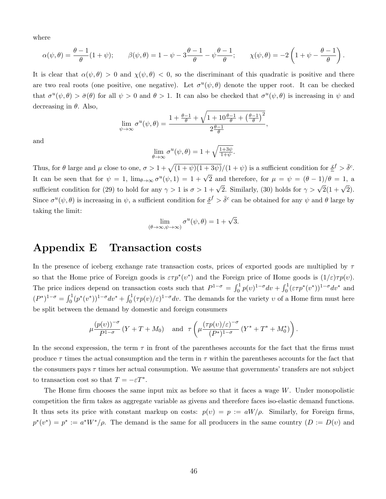where

$$
\alpha(\psi,\theta) = \frac{\theta-1}{\theta}(1+\psi); \qquad \beta(\psi,\theta) = 1 - \psi - 3\frac{\theta-1}{\theta} - \psi\frac{\theta-1}{\theta}; \qquad \chi(\psi,\theta) = -2\left(1 + \psi - \frac{\theta-1}{\theta}\right).
$$

It is clear that  $\alpha(\psi,\theta) > 0$  and  $\chi(\psi,\theta) < 0$ , so the discriminant of this quadratic is positive and there are two real roots (one positive, one negative). Let  $\sigma^u(\psi, \theta)$  denote the upper root. It can be checked that  $\sigma^u(\psi,\theta) > \bar{\sigma}(\theta)$  for all  $\psi > 0$  and  $\theta > 1$ . It can also be checked that  $\sigma^u(\psi,\theta)$  is increasing in  $\psi$  and decreasing in  $\theta$ . Also,

$$
\lim_{\psi \to \infty} \sigma^u(\psi, \theta) = \frac{1 + \frac{\theta - 1}{\theta} + \sqrt{1 + 10 \frac{\theta - 1}{\theta} + \left(\frac{\theta - 1}{\theta}\right)^2}}{2 \frac{\theta - 1}{\theta}},
$$

and

$$
\lim_{\theta \to \infty} \sigma^u(\psi, \theta) = 1 + \sqrt{\frac{1+3\psi}{1+\psi}}.
$$

Thus, for  $\theta$  large and  $\mu$  close to one,  $\sigma > 1 + \sqrt{(1 + \psi)(1 + 3\psi)}/(1 + \psi)$  is a sufficient condition for  $\underline{\delta}^f > \overline{\delta}^c$ . It can be seen that for  $\psi = 1$ ,  $\lim_{\theta \to \infty} \sigma^u(\psi, 1) = 1 + \sqrt{2}$  and therefore, for  $\mu = \psi = (\theta - 1)/\theta = 1$ , a sufficient condition for (29) to hold for any  $\gamma > 1$  is  $\sigma > 1 + \sqrt{2}$ . Similarly, (30) holds for  $\gamma > \sqrt{2}(1 + \sqrt{2})$ . Since  $\sigma^u(\psi,\theta)$  is increasing in  $\psi$ , a sufficient condition for  $\underline{\delta}^f > \overline{\delta}^c$  can be obtained for any  $\psi$  and  $\theta$  large by taking the limit:

$$
\lim_{(\theta \to \infty, \psi \to \infty)} \sigma^u(\psi, \theta) = 1 + \sqrt{3}.
$$

## Appendix E Transaction costs

In the presence of iceberg exchange rate transaction costs, prices of exported goods are multiplied by  $\tau$ so that the Home price of Foreign goods is  $\epsilon \tau p^*(v^*)$  and the Foreign price of Home goods is  $(1/\epsilon)\tau p(v)$ . The price indices depend on transaction costs such that  $P^{1-\sigma} = \int_0^1 p(v)^{1-\sigma} dv + \int_0^1 (\varepsilon \tau p^*(v^*))^{1-\sigma} dv^*$  and  $(P^*)^{1-\sigma} = \int_0^1 (p^*(v^*))^{1-\sigma} dv^* + \int_0^1 (\tau p(v)/\varepsilon)^{1-\sigma} dv$ . The demands for the variety v of a Home firm must here be split between the demand by domestic and foreign consumers

$$
\mu \frac{\left(p(v)\right)^{-\sigma}}{P^{1-\sigma}}\left(Y+T+M_0\right) \quad \text{and} \quad \tau \left(\mu \frac{(\tau p(v)/\varepsilon)^{-\sigma}}{(P^*)^{1-\sigma}}\left(Y^*+T^*+M_0^*\right)\right).
$$

In the second expression, the term  $\tau$  in front of the parentheses accounts for the fact that the firms must produce  $\tau$  times the actual consumption and the term in  $\tau$  within the parentheses accounts for the fact that the consumers pays  $\tau$  times her actual consumption. We assume that governments' transfers are not subject to transaction cost so that  $T = -\varepsilon T^*$ .

The Home firm chooses the same input mix as before so that it faces a wage  $W$ . Under monopolistic competition the firm takes as aggregate variable as givens and therefore faces iso-elastic demand functions. It thus sets its price with constant markup on costs:  $p(v) = p := aW/\rho$ . Similarly, for Foreign firms,  $p^*(v^*) = p^* := a^*W^*/\rho$ . The demand is the same for all producers in the same country  $(D := D(v))$  and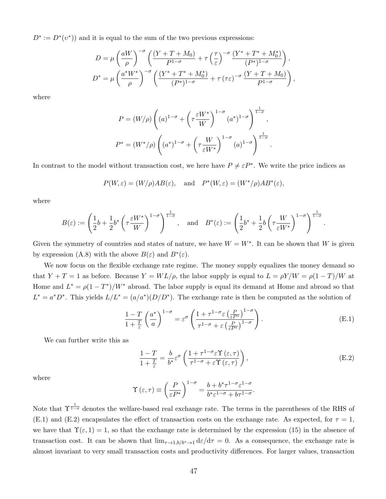$D^* := D^*(v^*)$  and it is equal to the sum of the two previous expressions:

$$
D = \mu \left(\frac{aW}{\rho}\right)^{-\sigma} \left(\frac{(Y+T+M_0)}{P^{1-\sigma}} + \tau \left(\frac{\tau}{\varepsilon}\right)^{-\sigma} \frac{(Y^*+T^*+M_0^*)}{(P^*)^{1-\sigma}}\right),
$$
  

$$
D^* = \mu \left(\frac{a^*W^*}{\rho}\right)^{-\sigma} \left(\frac{(Y^*+T^*+M_0^*)}{(P^*)^{1-\sigma}} + \tau (\tau \varepsilon)^{-\sigma} \frac{(Y+T+M_0)}{P^{1-\sigma}}\right),
$$

where

$$
P = (W/\rho) \left( (a)^{1-\sigma} + \left( \tau \frac{\varepsilon W^*}{W} \right)^{1-\sigma} (a^*)^{1-\sigma} \right)^{\frac{1}{1-\sigma}},
$$
  

$$
P^* = (W^*/\rho) \left( (a^*)^{1-\sigma} + \left( \tau \frac{W}{\varepsilon W^*} \right)^{1-\sigma} (a)^{1-\sigma} \right)^{\frac{1}{1-\sigma}}.
$$

In contrast to the model without transaction cost, we here have  $P \neq \varepsilon P^*$ . We write the price indices as

$$
P(W, \varepsilon) = (W/\rho)AB(\varepsilon)
$$
, and  $P^*(W, \varepsilon) = (W^*/\rho)AB^*(\varepsilon)$ ,

where

$$
B(\varepsilon) := \left( \frac{1}{2} b + \frac{1}{2} b^* \left( \tau \frac{\varepsilon W^*}{W} \right)^{1-\sigma} \right)^{\frac{1}{1-\sigma}}, \quad \text{and} \quad B^*(\varepsilon) := \left( \frac{1}{2} b^* + \frac{1}{2} b \left( \tau \frac{W}{\varepsilon W^*} \right)^{1-\sigma} \right)^{\frac{1}{1-\sigma}}.
$$

Given the symmetry of countries and states of nature, we have  $W = W^*$ . It can be shown that W is given by expression (A.8) with the above  $B(\varepsilon)$  and  $B^*(\varepsilon)$ .

We now focus on the flexible exchange rate regime. The money supply equalizes the money demand so that  $Y + T = 1$  as before. Because  $Y = WL/\rho$ , the labor supply is equal to  $L = \rho Y/W = \rho(1 - T)/W$  at Home and  $L^* = \rho(1 - T^*)/W^*$  abroad. The labor supply is equal its demand at Home and abroad so that  $L^* = a^*D^*$ . This yields  $L/L^* = (a/a^*)(D/D^*)$ . The exchange rate is then be computed as the solution of

$$
\frac{1-T}{1+\frac{T}{\varepsilon}}\left(\frac{a^*}{a}\right)^{1-\sigma} = \varepsilon^{\sigma}\left(\frac{1+\tau^{1-\sigma}\varepsilon\left(\frac{P}{\varepsilon P^*}\right)^{1-\sigma}}{\tau^{1-\sigma}+\varepsilon\left(\frac{P}{\varepsilon P^*}\right)^{1-\sigma}}\right).
$$
(E.1)

We can further write this as

$$
\frac{1-T}{1+\frac{T}{\varepsilon}} = \frac{b}{b^*} \varepsilon^{\sigma} \left( \frac{1+\tau^{1-\sigma} \varepsilon \Upsilon(\varepsilon, \tau)}{\tau^{1-\sigma} + \varepsilon \Upsilon(\varepsilon, \tau)} \right),
$$
(E.2)

where

$$
\Upsilon(\varepsilon,\tau) \equiv \left(\frac{P}{\varepsilon P^*}\right)^{1-\sigma} = \frac{b+b^*\tau^{1-\sigma}\varepsilon^{1-\sigma}}{b^*\varepsilon^{1-\sigma}+b\tau^{1-\sigma}}.
$$

Note that  $\Upsilon^{\frac{1}{1-\sigma}}$  denotes the welfare-based real exchange rate. The terms in the parentheses of the RHS of (E.1) and (E.2) encapsulates the effect of transaction costs on the exchange rate. As expected, for  $\tau = 1$ , we have that  $\Upsilon(\varepsilon, 1) = 1$ , so that the exchange rate is determined by the expression (15) in the absence of transaction cost. It can be shown that  $\lim_{\tau\to 1, b/b^*\to 1} d\varepsilon/d\tau = 0$ . As a consequence, the exchange rate is almost invariant to very small transaction costs and productivity differences. For larger values, transaction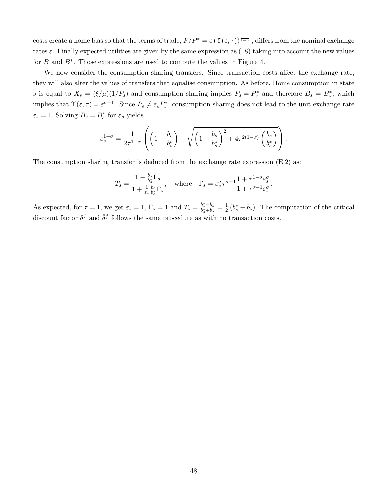costs create a home bias so that the terms of trade,  $P/P^* = \varepsilon (\Upsilon(\varepsilon,\tau))^\frac{1}{1-\sigma}$ , differs from the nominal exchange rates  $\varepsilon$ . Finally expected utilities are given by the same expression as (18) taking into account the new values for  $B$  and  $B^*$ . Those expressions are used to compute the values in Figure 4.

We now consider the consumption sharing transfers. Since transaction costs affect the exchange rate, they will also alter the values of transfers that equalise consumption. As before, Home consumption in state s is equal to  $X_s = (\xi/\mu)(1/P_s)$  and consumption sharing implies  $P_s = P_s^*$  and therefore  $B_s = B_s^*$ , which implies that  $\Upsilon(\varepsilon, \tau) = \varepsilon^{\sigma-1}$ . Since  $P_s \neq \varepsilon_s P_s^*$ , consumption sharing does not lead to the unit exchange rate  $\varepsilon_s = 1$ . Solving  $B_s = B_s^*$  for  $\varepsilon_s$  yields

$$
\varepsilon_s^{1-\sigma} = \frac{1}{2\tau^{1-\sigma}} \left( \left( 1 - \frac{b_s}{b_s^*} \right) + \sqrt{\left( 1 - \frac{b_s}{b_s^*} \right)^2 + 4\tau^{2(1-\sigma)} \left( \frac{b_s}{b_s^*} \right)} \right).
$$

The consumption sharing transfer is deduced from the exchange rate expression (E.2) as:

$$
T_s = \frac{1 - \frac{b_s}{b_s^*} \Gamma_s}{1 + \frac{1}{\varepsilon_s} \frac{b_s}{b_s^*} \Gamma_s}, \quad \text{where} \quad \Gamma_s = \varepsilon_s^{\sigma} \tau^{\sigma - 1} \frac{1 + \tau^{1 - \sigma} \varepsilon_s^{\sigma}}{1 + \tau^{\sigma - 1} \varepsilon_s^{\sigma}}.
$$

As expected, for  $\tau = 1$ , we get  $\varepsilon_s = 1$ ,  $\Gamma_s = 1$  and  $T_s = \frac{b_s^* - b_s}{b_s^* + b_s} = \frac{1}{2}$  $\frac{1}{2}(b_s^* - b_s)$ . The computation of the critical discount factor  $\underline{\delta}^f$  and  $\overline{\delta}^f$  follows the same procedure as with no transaction costs.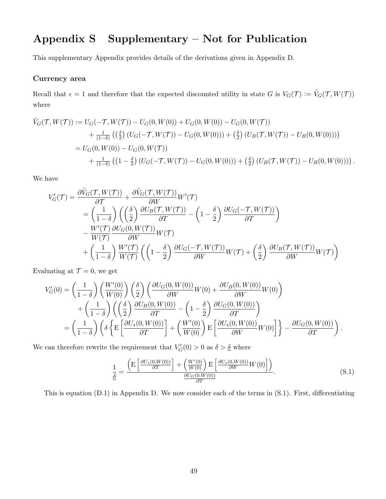## Appendix S Supplementary – Not for Publication

This supplementary Appendix provides details of the derivations given in Appendix D.

#### Currency area

Recall that  $\epsilon = 1$  and therefore that the expected discounted utility in state G is  $V_G(\mathcal{T}) := \tilde{V}_G(\mathcal{T}, W(\mathcal{T}))$ where

$$
\tilde{V}_G(\mathcal{T}, W(\mathcal{T})) := U_G(-\mathcal{T}, W(\mathcal{T})) - U_G(0, W(0)) + U_G(0, W(0)) - U_G(0, W(\mathcal{T})) \n+ \frac{1}{(1-\delta)} \left( \left( \frac{\delta}{2} \right) (U_G(-\mathcal{T}, W(\mathcal{T})) - U_G(0, W(0))) + \left( \frac{\delta}{2} \right) (U_B(\mathcal{T}, W(\mathcal{T})) - U_B(0, W(0))) \right) \n= U_G(0, W(0)) - U_G(0, W(\mathcal{T})) \n+ \frac{1}{(1-\delta)} \left( \left( 1 - \frac{\delta}{2} \right) (U_G(-\mathcal{T}, W(\mathcal{T})) - U_G(0, W(0))) + \left( \frac{\delta}{2} \right) (U_B(\mathcal{T}, W(\mathcal{T})) - U_B(0, W(0))) \right).
$$

We have

$$
V'_{G}(\mathcal{T}) = \frac{\partial \tilde{V}_{G}(\mathcal{T}, W(\mathcal{T}))}{\partial \mathcal{T}} + \frac{\partial \tilde{V}_{G}(\mathcal{T}, W(\mathcal{T}))}{\partial W} W'(\mathcal{T})
$$
  
\n
$$
= \left(\frac{1}{1-\delta}\right) \left(\left(\frac{\delta}{2}\right) \frac{\partial U_{B}(\mathcal{T}, W(\mathcal{T}))}{\partial T} - \left(1-\frac{\delta}{2}\right) \frac{\partial U_{G}(-\mathcal{T}, W(\mathcal{T}))}{\partial T}\right)
$$
  
\n
$$
- \frac{W'(\mathcal{T})}{W(\mathcal{T})} \frac{\partial U_{G}(0, W(\mathcal{T}))}{\partial W} W(\mathcal{T})
$$
  
\n
$$
+ \left(\frac{1}{1-\delta}\right) \frac{W'(\mathcal{T})}{W(\mathcal{T})} \left(\left(1-\frac{\delta}{2}\right) \frac{\partial U_{G}(-\mathcal{T}, W(\mathcal{T}))}{\partial W} W(\mathcal{T}) + \left(\frac{\delta}{2}\right) \frac{\partial U_{B}(\mathcal{T}, W(\mathcal{T}))}{\partial W} W(\mathcal{T})\right)
$$

Evaluating at  $\mathcal{T} = 0$ , we get

$$
V'_{G}(0) = \left(\frac{1}{1-\delta}\right) \left(\frac{W'(0)}{W(0)}\right) \left(\frac{\delta}{2}\right) \left(\frac{\partial U_{G}(0, W(0))}{\partial W}W(0) + \frac{\partial U_{B}(0, W(0))}{\partial W}W(0)\right) + \left(\frac{1}{1-\delta}\right) \left(\left(\frac{\delta}{2}\right) \frac{\partial U_{B}(0, W(0))}{\partial T} - \left(1-\frac{\delta}{2}\right) \frac{\partial U_{G}(0, W(0))}{\partial T}\right) = \left(\frac{1}{1-\delta}\right) \left(\delta \left\{\mathcal{E}\left[\frac{\partial U_{S}(0, W(0))}{\partial T}\right] + \left(\frac{W'(0)}{W(0)}\right) \mathcal{E}\left[\frac{\partial U_{S}(0, W(0))}{\partial W}W(0)\right]\right\} - \frac{\partial U_{G}(0, W(0))}{\partial T}\right).
$$

We can therefore rewrite the requirement that  $V_G'(0) > 0$  as  $\delta > \underline{\delta}$  where

$$
\frac{1}{\underline{\delta}} = \frac{\left( \mathrm{E} \left[ \frac{\partial U_s(0, W(0))}{\partial T} \right] + \left( \frac{W'(0)}{W(0)} \right) \mathrm{E} \left[ \frac{\partial U_s(0, W(0))}{\partial W} W(0) \right] \right)}{\frac{\partial U_G(0, W(0))}{\partial T}}.
$$
\n(S.1)

This is equation (D.1) in Appendix D. We now consider each of the terms in (S.1). First, differentiating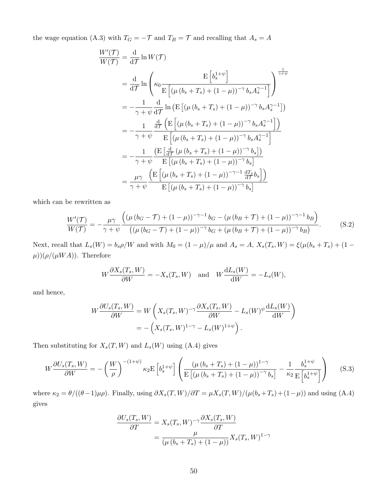the wage equation (A.3) with  $T_G = -\mathcal{T}$  and  $T_B = \mathcal{T}$  and recalling that  $A_s = A$ 

$$
\frac{W'(\mathcal{T})}{W(\mathcal{T})} = \frac{d}{d\mathcal{T}} \ln W(\mathcal{T})
$$
\n
$$
= \frac{d}{d\mathcal{T}} \ln \left( \kappa_0 \frac{E \left[ b_s^{1+\psi} \right]}{E \left[ (\mu (b_s + T_s) + (1 - \mu))^{-\gamma} b_s A_s^{\gamma - 1} \right]} \right)^{\frac{1}{\gamma + \psi}}
$$
\n
$$
= -\frac{1}{\gamma + \psi} \frac{d}{d\mathcal{T}} \ln \left( E \left[ (\mu (b_s + T_s) + (1 - \mu))^{-\gamma} b_s A_s^{\gamma - 1} \right] \right)
$$
\n
$$
= -\frac{1}{\gamma + \psi} \frac{\frac{d}{d\mathcal{T}} \left( E \left[ (\mu (b_s + T_s) + (1 - \mu))^{-\gamma} b_s A_s^{\gamma - 1} \right] \right)}{E \left[ (\mu (b_s + T_s) + (1 - \mu))^{-\gamma} b_s A_s^{\gamma - 1} \right]}
$$
\n
$$
= -\frac{1}{\gamma + \psi} \frac{\left( E \left[ \frac{d}{d\mathcal{T}} (\mu (b_s + T_s) + (1 - \mu))^{-\gamma} b_s \right] \right)}{E \left[ (\mu (b_s + T_s) + (1 - \mu))^{-\gamma} b_s \right]}
$$
\n
$$
= \frac{\mu \gamma}{\gamma + \psi} \frac{\left( E \left[ (\mu (b_s + T_s) + (1 - \mu))^{-\gamma - 1} \frac{dT_s}{d\mathcal{T}} b_s \right] \right)}{E \left[ (\mu (b_s + T_s) + (1 - \mu))^{-\gamma - 1} \frac{dT_s}{d\mathcal{T}} b_s \right]}
$$

which can be rewritten as

$$
\frac{W'(\mathcal{T})}{W(\mathcal{T})} = -\frac{\mu \gamma}{\gamma + \psi} \frac{\left( (\mu \left( b_G - \mathcal{T} \right) + (1 - \mu))^{-\gamma - 1} b_G - (\mu \left( b_B + \mathcal{T} \right) + (1 - \mu))^{-\gamma - 1} b_B \right)}{\left( (\mu \left( b_G - \mathcal{T} \right) + (1 - \mu))^{-\gamma} b_G + (\mu \left( b_B + \mathcal{T} \right) + (1 - \mu))^{-\gamma} b_B \right)}.
$$
(S.2)

Next, recall that  $L_s(W) = b_s \rho/W$  and with  $M_0 = (1 - \mu)/\mu$  and  $A_s = A$ ,  $X_s(T_s, W) = \xi(\mu(b_s + T_s) + (1 - \mu)/\mu)$  $\mu$ ))( $\rho$ /( $\mu WA$ )). Therefore

$$
W\frac{\partial X_s(T_s, W)}{\partial W} = -X_s(T_s, W) \text{ and } W\frac{\mathrm{d}L_s(W)}{\mathrm{d}W} = -L_s(W),
$$

and hence,

$$
W \frac{\partial U_s(T_s, W)}{\partial W} = W \left( X_s(T_s, W)^{-\gamma} \frac{\partial X_s(T_s, W)}{\partial W} - L_s(W)^{\psi} \frac{\mathrm{d}L_s(W)}{\mathrm{d}W} \right)
$$
  
= 
$$
- \left( X_s(T_s, W)^{1-\gamma} - L_s(W)^{1+\psi} \right).
$$

Then substituting for  $X_s(T, W)$  and  $L_s(W)$  using (A.4) gives

$$
W\frac{\partial U_s(T_s, W)}{\partial W} = -\left(\frac{W}{\rho}\right)^{-(1+\psi)}\kappa_2 \mathcal{E}\left[b_s^{1+\psi}\right] \left(\frac{\left(\mu\left(b_s + T_s\right) + (1-\mu)\right)^{1-\gamma}}{\mathcal{E}\left[\left(\mu\left(b_s + T_s\right) + (1-\mu)\right)^{-\gamma}b_s\right]} - \frac{1}{\kappa_2}\frac{b_s^{1+\psi}}{\mathcal{E}\left[b_s^{1+\psi}\right]}\right) \tag{S.3}
$$

where  $\kappa_2 = \theta/((\theta-1)\mu\rho)$ . Finally, using  $\partial X_s(T,W)/\partial T = \mu X_s(T,W)/(\mu(b_s+T_s)+(1-\mu))$  and using (A.4) gives

$$
\frac{\partial U_s(T_s, W)}{\partial T} = X_s(T_s, W)^{-\gamma} \frac{\partial X_s(T_s, W)}{\partial T}
$$

$$
= \frac{\mu}{(\mu (b_s + T_s) + (1 - \mu))} X_s(T_s, W)^{1 - \gamma}
$$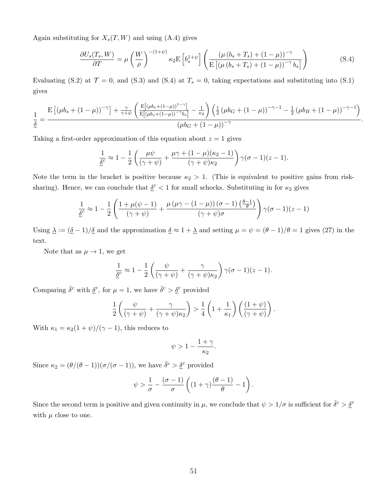Again substituting for  $X_s(T, W)$  and using (A.4) gives

$$
\frac{\partial U_s(T_s, W)}{\partial T} = \mu \left(\frac{W}{\rho}\right)^{-(1+\psi)} \kappa_2 \mathcal{E} \left[b_s^{1+\psi}\right] \left(\frac{\left(\mu \left(b_s + T_s\right) + (1-\mu)\right)^{-\gamma}}{\mathcal{E}\left[\left(\mu \left(b_s + T_s\right) + (1-\mu)\right)^{-\gamma} b_s\right]}\right) \tag{S.4}
$$

.

Evaluating (S.2) at  $\mathcal{T} = 0$ , and (S.3) and (S.4) at  $T_s = 0$ , taking expectations and substituting into (S.1) gives

$$
\frac{1}{\underline{\delta}} = \frac{\mathrm{E}\left[ (\mu b_s + (1-\mu))^{-\gamma}\right] + \frac{\gamma}{\gamma + \psi} \left( \frac{\mathrm{E}\left[ (\mu b_s + (1-\mu))^{1-\gamma}\right]}{\mathrm{E}\left[ (\mu b_s + (1-\mu))^{-\gamma} b_s \right]} - \frac{1}{\kappa_2} \right) \left( \frac{1}{2} \left( \mu b_G + (1-\mu) \right)^{-\gamma - 1} - \frac{1}{2} \left( \mu b_B + (1-\mu) \right)^{-\gamma - 1} \right)}{(\mu b_G + (1-\mu))^{-\gamma}}
$$

Taking a first-order approximation of this equation about  $z = 1$  gives

$$
\frac{1}{\underline{\delta}^c} \approx 1 - \frac{1}{2} \left( \frac{\mu \psi}{(\gamma + \psi)} + \frac{\mu \gamma + (1 - \mu)(\kappa_2 - 1)}{(\gamma + \psi)\kappa_2} \right) \gamma(\sigma - 1)(z - 1).
$$

Note the term in the bracket is positive because  $\kappa_2 > 1$ . (This is equivalent to positive gains from risksharing). Hence, we can conclude that  $\delta^c < 1$  for small schocks. Substituting in for  $\kappa_2$  gives

$$
\frac{1}{\underline{\delta}^c} \approx 1 - \frac{1}{2} \left( \frac{1 + \mu(\psi - 1)}{(\gamma + \psi)} + \frac{\mu(\mu\gamma - (1 - \mu))(\sigma - 1)(\frac{\theta - 1}{\theta})}{(\gamma + \psi)\sigma} \right) \gamma(\sigma - 1)(z - 1)
$$

Using  $\Delta := (\underline{\delta} - 1)/\underline{\delta}$  and the approximation  $\underline{\delta} \approx 1 + \underline{\lambda}$  and setting  $\mu = \psi = (\theta - 1)/\theta = 1$  gives (27) in the text.

Note that as  $\mu \to 1$ , we get

$$
\frac{1}{\underline{\delta}^c} \approx 1 - \frac{1}{2} \left( \frac{\psi}{(\gamma + \psi)} + \frac{\gamma}{(\gamma + \psi)\kappa_2} \right) \gamma(\sigma - 1)(z - 1).
$$

Comparing  $\bar{\delta}^c$  with  $\underline{\delta}^c$ , for  $\mu = 1$ , we have  $\bar{\delta}^c > \underline{\delta}^c$  provided

$$
\frac{1}{2}\left(\frac{\psi}{(\gamma+\psi)}+\frac{\gamma}{(\gamma+\psi)\kappa_2}\right) > \frac{1}{4}\left(1+\frac{1}{\kappa_1}\right)\left(\frac{(1+\psi)}{(\gamma+\psi)}\right).
$$

With  $\kappa_1 = \kappa_2(1+\psi)/(\gamma-1)$ , this reduces to

$$
\psi>1-\frac{1+\gamma}{\kappa_2}
$$

.

Since  $\kappa_2 = (\theta/(\theta - 1))(\sigma/(\sigma - 1))$ , we have  $\bar{\delta}^c > \underline{\delta}^c$  provided

$$
\psi > \frac{1}{\sigma} - \frac{(\sigma - 1)}{\sigma} \left( (1 + \gamma) \frac{(\theta - 1)}{\theta} - 1 \right).
$$

Since the second term is positive and given continuity in  $\mu$ , we conclude that  $\psi > 1/\sigma$  is sufficient for  $\bar{\delta}^c > \underline{\delta}^c$ with  $\mu$  close to one.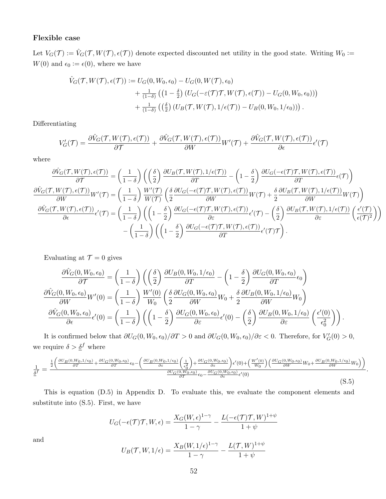#### Flexible case

Let  $V_G(\mathcal{T}) := \hat{V}_G(\mathcal{T}, W(\mathcal{T}), \epsilon(\mathcal{T}))$  denote expected discounted net utility in the good state. Writing  $W_0 :=$  $W(0)$  and  $\epsilon_0 := \epsilon(0)$ , where we have

$$
\hat{V}_G(\mathcal{T}, W(\mathcal{T}), \epsilon(\mathcal{T})) := U_G(0, W_0, \epsilon_0) - U_G(0, W(\mathcal{T}), \epsilon_0) \n+ \frac{1}{(1-\delta)} \left( \left( 1 - \frac{\delta}{2} \right) \left( U_G(-\epsilon(\mathcal{T})\mathcal{T}, W(\mathcal{T}), \epsilon(\mathcal{T}) \right) - U_G(0, W_0, \epsilon_0) \right) \right) \n+ \frac{1}{(1-\delta)} \left( \left( \frac{\delta}{2} \right) \left( U_B(\mathcal{T}, W(\mathcal{T}), 1/\epsilon(\mathcal{T})) - U_B(0, W_0, 1/\epsilon_0) \right) \right).
$$

Differentiating

$$
V'_{G}(\mathcal{T}) = \frac{\partial \hat{V}_{G}(\mathcal{T}, W(\mathcal{T}), \epsilon(\mathcal{T}))}{\partial \mathcal{T}} + \frac{\partial \hat{V}_{G}(\mathcal{T}, W(\mathcal{T}), \epsilon(\mathcal{T}))}{\partial W} W'(\mathcal{T}) + \frac{\partial \hat{V}_{G}(\mathcal{T}, W(\mathcal{T}), \epsilon(\mathcal{T}))}{\partial \epsilon} \epsilon'(\mathcal{T})
$$

where

$$
\frac{\partial \hat{V}_{G}(\mathcal{T},W(\mathcal{T}),\epsilon(\mathcal{T}))}{\partial \mathcal{T}} = \left(\frac{1}{1-\delta}\right) \left(\left(\frac{\delta}{2}\right) \frac{\partial U_{B}(\mathcal{T},W(\mathcal{T}),1/\epsilon(\mathcal{T}))}{\partial T} - \left(1-\frac{\delta}{2}\right) \frac{\partial U_{G}(-\epsilon(\mathcal{T})\mathcal{T},W(\mathcal{T}),\epsilon(\mathcal{T}))}{\partial T} \epsilon(\mathcal{T})\right)
$$
\n
$$
\frac{\partial \hat{V}_{G}(\mathcal{T},W(\mathcal{T}),\epsilon(\mathcal{T}))}{\partial W}W'(\mathcal{T}) = \left(\frac{1}{1-\delta}\right) \frac{W'(\mathcal{T})}{W(\mathcal{T})} \left(\frac{\delta}{2} \frac{\partial U_{G}(-\epsilon(\mathcal{T})\mathcal{T},W(\mathcal{T}),\epsilon(\mathcal{T}))}{\partial W}W(\mathcal{T}) + \frac{\delta}{2} \frac{\partial U_{B}(\mathcal{T},W(\mathcal{T}),1/\epsilon(\mathcal{T}))}{\partial W}W(\mathcal{T})\right)
$$
\n
$$
\frac{\partial \hat{V}_{G}(\mathcal{T},W(\mathcal{T}),\epsilon(\mathcal{T}))}{\partial \epsilon} \epsilon'(\mathcal{T}) = \left(\frac{1}{1-\delta}\right) \left(\left(1-\frac{\delta}{2}\right) \frac{\partial U_{G}(-\epsilon(\mathcal{T})\mathcal{T},W(\mathcal{T}),\epsilon(\mathcal{T}))}{\partial \epsilon} \epsilon'(\mathcal{T}) - \left(\frac{\delta}{2}\right) \frac{\partial U_{B}(\mathcal{T},W(\mathcal{T}),1/\epsilon(\mathcal{T}))}{\partial \epsilon} \left(\frac{\epsilon'(\mathcal{T})}{\epsilon(\mathcal{T})^2}\right)\right)
$$
\n
$$
-\left(\frac{1}{1-\delta}\right) \left(\left(1-\frac{\delta}{2}\right) \frac{\partial U_{G}(-\epsilon(\mathcal{T})\mathcal{T},W(\mathcal{T}),\epsilon(\mathcal{T}))}{\partial T} \epsilon'(\mathcal{T})\mathcal{T}\right).
$$

Evaluating at  $\mathcal{T} = 0$  gives

$$
\frac{\partial \hat{V}_G(0, W_0, \epsilon_0)}{\partial \mathcal{T}} = \left(\frac{1}{1-\delta}\right) \left(\left(\frac{\delta}{2}\right) \frac{\partial U_B(0, W_0, 1/\epsilon_0)}{\partial \mathcal{T}} - \left(1 - \frac{\delta}{2}\right) \frac{\partial U_G(0, W_0, \epsilon_0)}{\partial \mathcal{T}} \epsilon_0\right)
$$

$$
\frac{\partial \hat{V}_G(0, W_0, \epsilon_0)}{\partial W} W'(0) = \left(\frac{1}{1-\delta}\right) \frac{W'(0)}{W_0} \left(\frac{\delta}{2} \frac{\partial U_G(0, W_0, \epsilon_0)}{\partial W} W_0 + \frac{\delta}{2} \frac{\partial U_B(0, W_0, 1/\epsilon_0)}{\partial W} W_0\right)
$$

$$
\frac{\partial \hat{V}_G(0, W_0, \epsilon_0)}{\partial \epsilon} \epsilon'(0) = \left(\frac{1}{1-\delta}\right) \left(\left(1 - \frac{\delta}{2}\right) \frac{\partial U_G(0, W_0, \epsilon_0)}{\partial \epsilon} \epsilon'(0) - \left(\frac{\delta}{2}\right) \frac{\partial U_B(0, W_0, 1/\epsilon_0)}{\partial \epsilon} \left(\frac{\epsilon'(0)}{\epsilon_0^2}\right)\right).
$$

It is confirmed below that  $\partial U_G(0, W_0, \epsilon_0) / \partial T > 0$  and  $\partial U_G(0, W_0, \epsilon_0) / \partial \epsilon < 0$ . Therefore, for  $V_G'(0) > 0$ , we require  $\delta > \underline{\delta}^f$  where

$$
\frac{1}{\underline{\delta}^f} = \frac{\frac{1}{2} \left( \frac{\partial U_B(0, W_0, 1/\epsilon_0)}{\partial T} + \frac{\partial U_G(0, W_0, \epsilon_0)}{\partial T} \epsilon_0 - \left( \frac{\partial U_B(0, W_0, 1/\epsilon_0)}{\partial \epsilon} \left( \frac{1}{\epsilon_0^2} \right) + \frac{\partial U_G(0, W_0, \epsilon_0)}{\partial \epsilon} \right) \epsilon'(0) + \left( \frac{W'(0)}{W_0} \right) \left( \frac{\partial U_G(0, W_0, \epsilon_0)}{\partial W} W_0 + \frac{\partial U_B(0, W_0, 1/\epsilon_0)}{\partial W} W_0 \right) \right)}{\frac{\partial U_G(0, W_0, \epsilon_0)}{\partial T} \epsilon_0 - \frac{\partial U_G(0, W_0, \epsilon_0)}{\partial \epsilon} \epsilon'(0)} \epsilon'(0)}.
$$
\n(S.5)

This is equation (D.5) in Appendix D. To evaluate this, we evaluate the component elements and substitute into (S.5). First, we have

$$
U_G(-\epsilon(\mathcal{T})\mathcal{T}, W, \epsilon) = \frac{X_G(W, \epsilon)^{1-\gamma}}{1-\gamma} - \frac{L(-\epsilon(\mathcal{T})\mathcal{T}, W)^{1+\psi}}{1+\psi}
$$

and

$$
U_B(\mathcal{T}, W, 1/\epsilon) = \frac{X_B(W, 1/\epsilon)^{1-\gamma}}{1-\gamma} - \frac{L(\mathcal{T}, W)^{1+\psi}}{1+\psi}
$$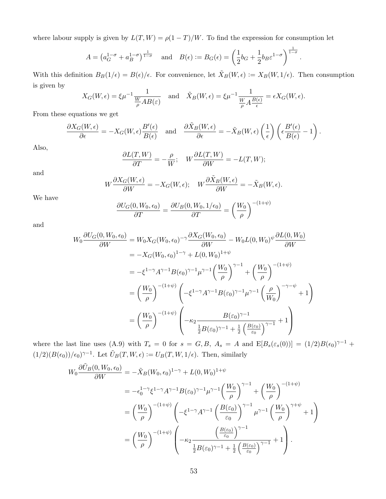where labour supply is given by  $L(T, W) = \rho(1 - T)/W$ . To find the expression for consumption let

$$
A = \left(a_G^{1-\sigma} + a_B^{1-\sigma}\right)^{\frac{1}{1-\sigma}} \quad \text{and} \quad B(\epsilon) := B_G(\epsilon) = \left(\frac{1}{2}b_G + \frac{1}{2}b_B\epsilon^{1-\sigma}\right)^{\frac{1}{1-\sigma}}.
$$

With this definition  $B_B(1/\epsilon) = B(\epsilon)/\epsilon$ . For convenience, let  $\tilde{X}_B(W, \epsilon) := X_B(W, 1/\epsilon)$ . Then consumption is given by

$$
X_G(W,\epsilon) = \xi \mu^{-1} \frac{1}{\frac{W}{\rho} AB(\epsilon)} \quad \text{and} \quad \tilde{X}_B(W,\epsilon) = \xi \mu^{-1} \frac{1}{\frac{W}{\rho} A \frac{B(\epsilon)}{\epsilon}} = \epsilon X_G(W,\epsilon).
$$

From these equations we get

$$
\frac{\partial X_G(W,\epsilon)}{\partial \epsilon} = -X_G(W,\epsilon)\frac{B'(\epsilon)}{B(\epsilon)} \quad \text{and} \quad \frac{\partial \tilde{X}_B(W,\epsilon)}{\partial \epsilon} = -\tilde{X}_B(W,\epsilon)\left(\frac{1}{\epsilon}\right)\left(\epsilon \frac{B'(\epsilon)}{B(\epsilon)} - 1\right).
$$

Also,

$$
\frac{\partial L(T,W)}{\partial T} = -\frac{\rho}{W}; \quad W \frac{\partial L(T,W)}{\partial W} = -L(T,W);
$$

and

$$
W\frac{\partial X_G(W,\epsilon)}{\partial W} = -X_G(W,\epsilon); \quad W\frac{\partial \tilde{X}_B(W,\epsilon)}{\partial W} = -\tilde{X}_B(W,\epsilon).
$$

We have

$$
\frac{\partial U_G(0, W_0, \epsilon_0)}{\partial T} = \frac{\partial U_B(0, W_0, 1/\epsilon_0)}{\partial T} = \left(\frac{W_0}{\rho}\right)^{-(1+\psi)}
$$

and

$$
W_0 \frac{\partial U_G(0, W_0, \epsilon_0)}{\partial W} = W_0 X_G(W_0, \epsilon_0)^{-\gamma} \frac{\partial X_G(W_0, \epsilon_0)}{\partial W} - W_0 L(0, W_0)^{\psi} \frac{\partial L(0, W_0)}{\partial W}
$$
  
\n
$$
= -X_G(W_0, \epsilon_0)^{1-\gamma} + L(0, W_0)^{1+\psi}
$$
  
\n
$$
= -\xi^{1-\gamma} A^{\gamma-1} B(\epsilon_0)^{\gamma-1} \mu^{\gamma-1} \left(\frac{W_0}{\rho}\right)^{\gamma-1} + \left(\frac{W_0}{\rho}\right)^{-(1+\psi)}
$$
  
\n
$$
= \left(\frac{W_0}{\rho}\right)^{-(1+\psi)} \left(-\xi^{1-\gamma} A^{\gamma-1} B(\epsilon_0)^{\gamma-1} \mu^{\gamma-1} \left(\frac{\rho}{W_0}\right)^{-\gamma-\psi} + 1\right)
$$
  
\n
$$
= \left(\frac{W_0}{\rho}\right)^{-(1+\psi)} \left(-\kappa_2 \frac{B(\epsilon_0)^{\gamma-1}}{\frac{1}{2}B(\epsilon_0)^{\gamma-1} + \frac{1}{2} \left(\frac{B(\epsilon_0)}{\epsilon_0}\right)^{\gamma-1}} + 1\right)
$$

where the last line uses (A.9) with  $T_s = 0$  for  $s = G, B, A_s = A$  and  $E[B_s(\varepsilon_s(0))] = (1/2)B(\epsilon_0)^{\gamma-1}$  +  $(1/2)(B(\epsilon_0))/\epsilon_0^{\gamma-1}$ . Let  $\tilde{U}_B(T, W, \epsilon) := U_B(T, W, 1/\epsilon)$ . Then, similarly

$$
W_0 \frac{\partial \tilde{U}_B(0, W_0, \epsilon_0)}{\partial W} = -\tilde{X}_B(W_0, \epsilon_0)^{1-\gamma} + L(0, W_0)^{1+\psi}
$$
  
\n
$$
= -\epsilon_0^{1-\gamma} \xi^{1-\gamma} A^{\gamma-1} B(\epsilon_0)^{\gamma-1} \mu^{\gamma-1} \left(\frac{W_0}{\rho}\right)^{\gamma-1} + \left(\frac{W_0}{\rho}\right)^{-(1+\psi)}
$$
  
\n
$$
= \left(\frac{W_0}{\rho}\right)^{-(1+\psi)} \left(-\xi^{1-\gamma} A^{\gamma-1} \left(\frac{B(\epsilon_0)}{\epsilon_0}\right)^{\gamma-1} \mu^{\gamma-1} \left(\frac{W_0}{\rho}\right)^{\gamma+\psi} + 1\right)
$$
  
\n
$$
= \left(\frac{W_0}{\rho}\right)^{-(1+\psi)} \left(-\kappa_2 \frac{\left(\frac{B(\epsilon_0)}{\epsilon_0}\right)^{\gamma-1}}{\frac{1}{2}B(\epsilon_0)^{\gamma-1} + \frac{1}{2} \left(\frac{B(\epsilon_0)}{\epsilon_0}\right)^{\gamma-1}} + 1\right).
$$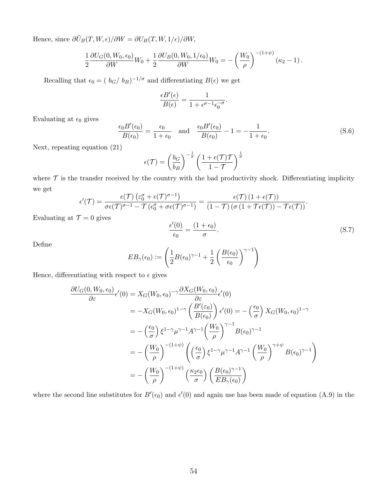Hence, since  $\partial \tilde{U}_B(T,W,\epsilon)/\partial W = \partial U_B(T,W,1/\epsilon)/\partial W,$ 

$$
\frac{1}{2} \frac{\partial U_G(0, W_0, \epsilon_0)}{\partial W} W_0 + \frac{1}{2} \frac{\partial U_B(0, W_0, 1/\epsilon_0)}{\partial W} W_0 = -\left(\frac{W_0}{\rho}\right)^{-(1+\psi)} (\kappa_2 - 1).
$$

Recalling that  $\epsilon_0 = (b_G/b_B)^{-1/\sigma}$  and differentiating  $B(\epsilon)$  we get

$$
\frac{\epsilon B'(\epsilon)}{B(\epsilon)} = \frac{1}{1+\epsilon^{\sigma-1}\epsilon_0^{-\sigma}}
$$

Evaluating at  $\epsilon_0$  gives

$$
\frac{\epsilon_0 B'(\epsilon_0)}{B(\epsilon_0)} = \frac{\epsilon_0}{1 + \epsilon_0} \quad \text{and} \quad \frac{\epsilon_0 B'(\epsilon_0)}{B(\epsilon_0)} - 1 = -\frac{1}{1 + \epsilon_0}.\tag{S.6}
$$

.

Next, repeating equation (21)

$$
\epsilon(\mathcal{T}) = \left(\frac{b_G}{b_B}\right)^{-\frac{1}{\sigma}} \left(\frac{1 + \epsilon(\mathcal{T})\mathcal{T}}{1 - \mathcal{T}}\right)^{\frac{1}{\sigma}}
$$

where  $\mathcal T$  is the transfer received by the country with the bad productivity shock. Differentiating implicity we get

$$
\epsilon'(\mathcal{T}) = \frac{\epsilon(\mathcal{T})\left(\varepsilon_0^{\sigma} + \epsilon(\mathcal{T})^{\sigma-1}\right)}{\sigma\epsilon(\mathcal{T})^{\sigma-1} - \mathcal{T}\left(\epsilon_0^{\sigma} + \sigma\epsilon(\mathcal{T})^{\sigma-1}\right)} = \frac{\epsilon(\mathcal{T})\left(1 + \epsilon(\mathcal{T})\right)}{\left(1 - \mathcal{T}\right)\left(\sigma\left(1 + \mathcal{T}\epsilon(\mathcal{T})\right) - \mathcal{T}\epsilon(\mathcal{T})\right)}.
$$
  

$$
\mathcal{T} = 0 \text{ gives}
$$

Evaluating at  $\mathcal{T}=0$  gives

$$
\frac{\epsilon'(0)}{\epsilon_0} = \frac{(1 + \epsilon_0)}{\sigma}.
$$
\n(S.7)

Define

$$
EB_{\gamma}(\epsilon_0) := \left(\frac{1}{2}B(\epsilon_0)^{\gamma-1} + \frac{1}{2}\left(\frac{B(\epsilon_0)}{\epsilon_0}\right)^{\gamma-1}\right)
$$

Hence, differentiating with respect to  $\epsilon$  gives

$$
\frac{\partial U_G(0, W_0, \epsilon_0)}{\partial \varepsilon} \epsilon'(0) = X_G(W_0, \epsilon_0)^{-\gamma} \frac{\partial X_G(W_0, \epsilon_0)}{\partial \varepsilon} \epsilon'(0)
$$
\n
$$
= -X_G(W_0, \epsilon_0)^{1-\gamma} \left(\frac{B'(\varepsilon_0)}{B(\epsilon_0)}\right) \epsilon'(0) = -\left(\frac{\epsilon_0}{\sigma}\right) X_G(W_0, \epsilon_0)^{1-\gamma}
$$
\n
$$
= -\left(\frac{\epsilon_0}{\sigma}\right) \xi^{1-\gamma} \mu^{\gamma-1} A^{\gamma-1} \left(\frac{W_0}{\rho}\right)^{\gamma-1} B(\epsilon_0)^{\gamma-1}
$$
\n
$$
= -\left(\frac{W_0}{\rho}\right)^{-(1+\psi)} \left(\left(\frac{\epsilon_0}{\sigma}\right) \xi^{1-\gamma} \mu^{\gamma-1} A^{\gamma-1} \left(\frac{W_0}{\rho}\right)^{\gamma+\psi} B(\epsilon_0)^{\gamma-1}\right)
$$
\n
$$
= -\left(\frac{W_0}{\rho}\right)^{-(1+\psi)} \left(\frac{\kappa_2 \epsilon_0}{\sigma}\right) \left(\frac{B(\epsilon_0)^{\gamma-1}}{EB_{\gamma}(\epsilon_0)}\right)
$$

where the second line substitutes for  $B'(\epsilon_0)$  and  $\epsilon'(0)$  and again use has been made of equation (A.9) in the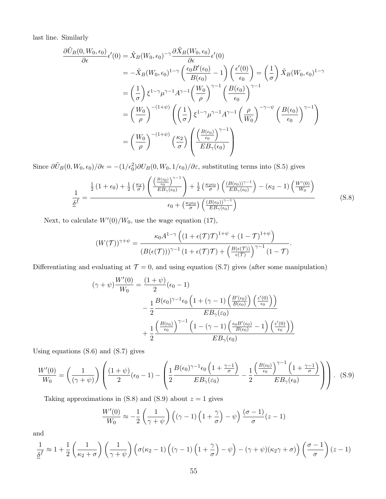last line. Similarly

$$
\frac{\partial \tilde{U}_B(0, W_0, \epsilon_0)}{\partial \epsilon} \epsilon'(0) = \tilde{X}_B(W_0, \epsilon_0)^{-\gamma} \frac{\partial \tilde{X}_B(W_0, \epsilon_0)}{\partial \epsilon} \epsilon'(0)
$$
\n
$$
= -\tilde{X}_B(W_0, \epsilon_0)^{1-\gamma} \left(\frac{\epsilon_0 B'(\epsilon_0)}{B(\epsilon_0)} - 1\right) \left(\frac{\epsilon'(0)}{\epsilon_0}\right) = \left(\frac{1}{\sigma}\right) \tilde{X}_B(W_0, \epsilon_0)^{1-\gamma}
$$
\n
$$
= \left(\frac{1}{\sigma}\right) \xi^{1-\gamma} \mu^{\gamma-1} A^{\gamma-1} \left(\frac{W_0}{\rho}\right)^{\gamma-1} \left(\frac{B(\epsilon_0)}{\epsilon_0}\right)^{\gamma-1}
$$
\n
$$
= \left(\frac{W_0}{\rho}\right)^{-(1+\psi)} \left(\left(\frac{1}{\sigma}\right) \xi^{1-\gamma} \mu^{\gamma-1} A^{\gamma-1} \left(\frac{\rho}{W_0}\right)^{-\gamma-\psi} \left(\frac{B(\epsilon_0)}{\epsilon_0}\right)^{\gamma-1}\right)
$$
\n
$$
= \left(\frac{W_0}{\rho}\right)^{-(1+\psi)} \left(\frac{\kappa_2}{\sigma}\right) \left(\frac{\left(\frac{B(\epsilon_0)}{\epsilon_0}\right)^{\gamma-1}}{EB_{\gamma}(\epsilon_0)}\right)
$$

Since  $\partial \tilde{U}_B(0, W_0, \epsilon_0)/\partial \epsilon = -(1/\epsilon_0^2) \partial U_B(0, W_0, 1/\epsilon_0)/\partial \epsilon$ , substituting terms into (S.5) gives

$$
\frac{1}{\underline{\delta}^f} = \frac{\frac{1}{2} \left( 1 + \epsilon_0 \right) + \frac{1}{2} \left( \frac{\kappa_2}{\sigma} \right) \left( \frac{\left( \frac{B(\epsilon_0)}{\epsilon_0} \right)^{\gamma - 1}}{EB_{\gamma}(\epsilon_0)} \right) + \frac{1}{2} \left( \frac{\kappa_2 \epsilon_0}{\sigma} \right) \left( \frac{\left( B(\epsilon_0) \right)^{\gamma - 1}}{EB_{\gamma}(\epsilon_0)} \right) - \left( \kappa_2 - 1 \right) \left( \frac{W'(0)}{W_0} \right)}{\epsilon_0 + \left( \frac{\kappa_2 \epsilon_0}{\sigma} \right) \left( \frac{\left( B(\epsilon_0) \right)^{\gamma - 1}}{EB_{\gamma}(\epsilon_0)} \right)}
$$
(S.8)

Next, to calculate  $W'(0)/W_0$ , use the wage equation (17),

$$
(W(\mathcal{T}))^{\gamma+\psi} = \frac{\kappa_0 A^{1-\gamma} \left( (1+\epsilon(\mathcal{T})\mathcal{T})^{1+\psi} + (1-\mathcal{T})^{1+\psi} \right)}{(B(\epsilon(\mathcal{T})))^{\gamma-1} (1+\epsilon(\mathcal{T})\mathcal{T}) + \left( \frac{B(\epsilon(\mathcal{T}))}{\epsilon(\mathcal{T})} \right)^{\gamma-1} (1-\mathcal{T})}.
$$

Differentiating and evaluating at  $\mathcal{T} = 0$ , and using equation (S.7) gives (after some manipulation)

$$
(\gamma + \psi) \frac{W'(0)}{W_0} = \frac{(1+\psi)}{2} (\epsilon_0 - 1)
$$
  

$$
- \frac{1}{2} \frac{B(\epsilon_0)^{\gamma - 1} \epsilon_0 \left(1 + (\gamma - 1) \left(\frac{B'(\epsilon_0)}{B(\epsilon_0)}\right) \left(\frac{\epsilon'(0)}{\epsilon_0}\right)\right)}{EB_\gamma(\epsilon_0)}
$$
  

$$
+ \frac{1}{2} \frac{\left(\frac{B(\epsilon_0)}{\epsilon_0}\right)^{\gamma - 1} \left(1 - (\gamma - 1) \left(\frac{\epsilon_0 B'(\epsilon_0)}{B(\epsilon_0)} - 1\right) \left(\frac{\epsilon'(0)}{\epsilon_0}\right)\right)}{EB_\gamma(\epsilon_0)}
$$

Using equations (S.6) and (S.7) gives

$$
\frac{W'(0)}{W_0} = \left(\frac{1}{(\gamma + \psi)}\right) \left(\frac{(1 + \psi)}{2}(\epsilon_0 - 1) - \left(\frac{1}{2}\frac{B(\epsilon_0)^{\gamma - 1}\epsilon_0 \left(1 + \frac{\gamma - 1}{\sigma}\right)}{EB_\gamma(\epsilon_0)} - \frac{1}{2}\frac{\left(\frac{B(\epsilon_0)}{\epsilon_0}\right)^{\gamma - 1} \left(1 + \frac{\gamma - 1}{\sigma}\right)}{EB_\gamma(\epsilon_0)}\right)\right). \tag{S.9}
$$

Taking approximations in  $(S.8)$  and  $(S.9)$  about  $z = 1$  gives

$$
\frac{W'(0)}{W_0} \approx -\frac{1}{2} \left( \frac{1}{\gamma + \psi} \right) \left( (\gamma - 1) \left( 1 + \frac{\gamma}{\sigma} \right) - \psi \right) \frac{(\sigma - 1)}{\sigma} (z - 1)
$$

and

$$
\frac{1}{\underline{\delta}^f} \approx 1 + \frac{1}{2} \left( \frac{1}{\kappa_2 + \sigma} \right) \left( \frac{1}{\gamma + \psi} \right) \left( \sigma(\kappa_2 - 1) \left( (\gamma - 1) \left( 1 + \frac{\gamma}{\sigma} \right) - \psi \right) - (\gamma + \psi)(\kappa_2 \gamma + \sigma) \right) \left( \frac{\sigma - 1}{\sigma} \right) (z - 1)
$$